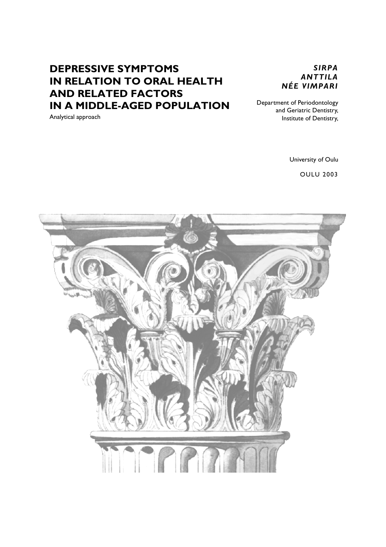# **DEPRESSIVE SYMPTOMS IN RELATION TO ORAL HEALTH AND RELATED FACTORS IN A MIDDLE-AGED POPULATION**

Analytical approach

*SIRPA ANTTILA NÉE VIMPARI*

Department of Periodontology and Geriatric Dentistry, Institute of Dentistry,

University of Oulu

OULU 2003

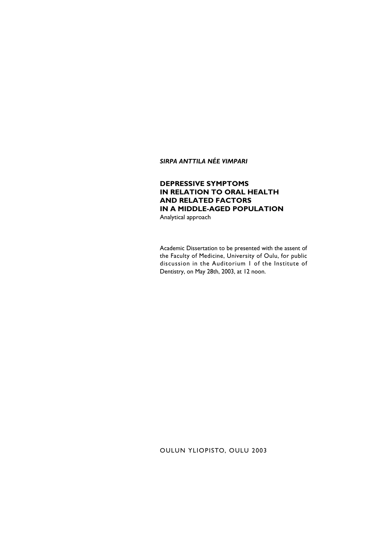*SIRPA ANTTILA NÉE VIMPARI*

### **DEPRESSIVE SYMPTOMS IN RELATION TO ORAL HEALTH AND RELATED FACTORS IN A MIDDLE-AGED POPULATION**

Analytical approach

Academic Dissertation to be presented with the assent of the Faculty of Medicine, University of Oulu, for public discussion in the Auditorium 1 of the Institute of Dentistry, on May 28th, 2003, at 12 noon.

OULUN YLIOPISTO, OULU 2003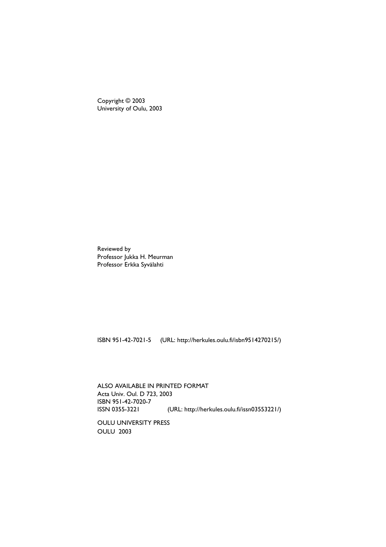Copyright © 2003 University of Oulu, 2003

Reviewed by Professor Jukka H. Meurman Professor Erkka Syvälahti

ISBN 951-42-7021-5 (URL: http://herkules.oulu.fi/isbn9514270215/)

ALSO AVAILABLE IN PRINTED FORMAT Acta Univ. Oul. D 723, 2003 ISBN 951-42-7020-7 ISSN 0355-3221 (URL: http://herkules.oulu.fi/issn03553221/)

OULU UNIVERSITY PRESS OULU 2003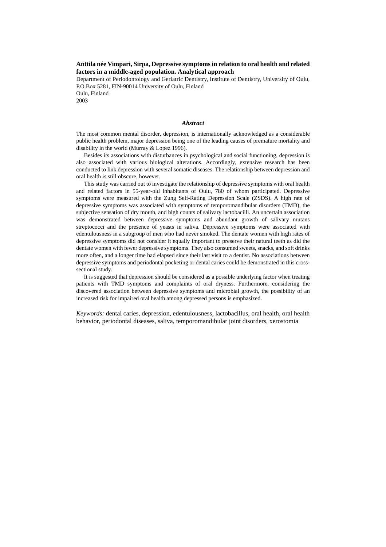### **Anttila née Vimpari, Sirpa, Depressive symptoms in relation to oral health and related factors in a middle-aged population. Analytical approach**

Department of Periodontology and Geriatric Dentistry, Institute of Dentistry, University of Oulu, P.O.Box 5281, FIN-90014 University of Oulu, Finland Oulu, Finland 2003

#### *Abstract*

The most common mental disorder, depression, is internationally acknowledged as a considerable public health problem, major depression being one of the leading causes of premature mortality and disability in the world (Murray & Lopez 1996).

Besides its associations with disturbances in psychological and social functioning, depression is also associated with various biological alterations. Accordingly, extensive research has been conducted to link depression with several somatic diseases. The relationship between depression and oral health is still obscure, however.

This study was carried out to investigate the relationship of depressive symptoms with oral health and related factors in 55-year-old inhabitants of Oulu, 780 of whom participated. Depressive symptoms were measured with the Zung Self-Rating Depression Scale (ZSDS). A high rate of depressive symptoms was associated with symptoms of temporomandibular disorders (TMD), the subjective sensation of dry mouth, and high counts of salivary lactobacilli. An uncertain association was demonstrated between depressive symptoms and abundant growth of salivary mutans streptococci and the presence of yeasts in saliva. Depressive symptoms were associated with edentulousness in a subgroup of men who had never smoked. The dentate women with high rates of depressive symptoms did not consider it equally important to preserve their natural teeth as did the dentate women with fewer depressive symptoms. They also consumed sweets, snacks, and soft drinks more often, and a longer time had elapsed since their last visit to a dentist. No associations between depressive symptoms and periodontal pocketing or dental caries could be demonstrated in this crosssectional study.

It is suggested that depression should be considered as a possible underlying factor when treating patients with TMD symptoms and complaints of oral dryness. Furthermore, considering the discovered association between depressive symptoms and microbial growth, the possibility of an increased risk for impaired oral health among depressed persons is emphasized.

*Keywords:* dental caries, depression, edentulousness, lactobacillus, oral health, oral health behavior, periodontal diseases, saliva, temporomandibular joint disorders, xerostomia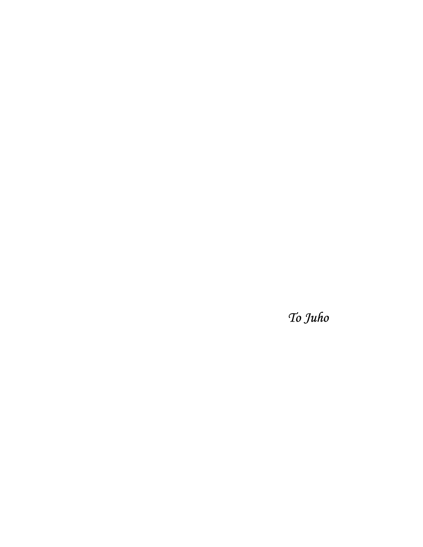*To Juho*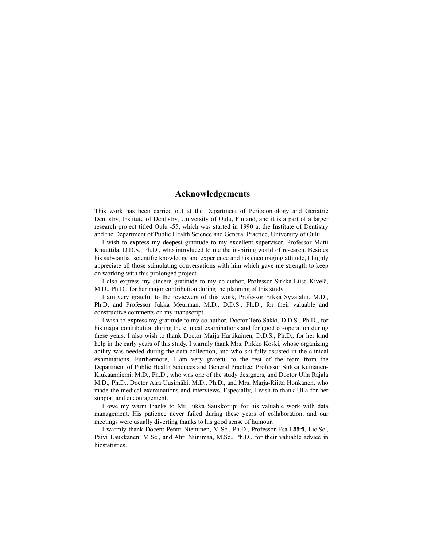### **Acknowledgements**

This work has been carried out at the Department of Periodontology and Geriatric Dentistry, Institute of Dentistry, University of Oulu, Finland, and it is a part of a larger research project titled Oulu -55, which was started in 1990 at the Institute of Dentistry and the Department of Public Health Science and General Practice, University of Oulu.

I wish to express my deepest gratitude to my excellent supervisor, Professor Matti Knuuttila, D.D.S., Ph.D., who introduced to me the inspiring world of research. Besides his substantial scientific knowledge and experience and his encouraging attitude, I highly appreciate all those stimulating conversations with him which gave me strength to keep on working with this prolonged project.

I also express my sincere gratitude to my co-author, Professor Sirkka-Liisa Kivelä, M.D., Ph.D., for her major contribution during the planning of this study.

I am very grateful to the reviewers of this work, Professor Erkka Syvälahti, M.D., Ph.D, and Professor Jukka Meurman, M.D., D.D.S., Ph.D., for their valuable and constructive comments on my manuscript.

I wish to express my gratitude to my co-author, Doctor Tero Sakki, D.D.S., Ph.D., for his major contribution during the clinical examinations and for good co-operation during these years. I also wish to thank Doctor Maija Hartikainen, D.D.S., Ph.D., for her kind help in the early years of this study. I warmly thank Mrs. Pirkko Koski, whose organizing ability was needed during the data collection, and who skilfully assisted in the clinical examinations. Furthermore, I am very grateful to the rest of the team from the Department of Public Health Sciences and General Practice: Professor Sirkka Keinänen-Kiukaanniemi, M.D., Ph.D., who was one of the study designers, and Doctor Ulla Rajala M.D., Ph.D., Doctor Aira Uusimäki, M.D., Ph.D., and Mrs. Marja-Riitta Honkanen, who made the medical examinations and interviews. Especially, I wish to thank Ulla for her support and encouragement.

I owe my warm thanks to Mr. Jukka Saukkoriipi for his valuable work with data management. His patience never failed during these years of collaboration, and our meetings were usually diverting thanks to his good sense of humour.

I warmly thank Docent Pentti Nieminen, M.Sc., Ph.D., Professor Esa Läärä, Lic.Sc., Päivi Laukkanen, M.Sc., and Ahti Niinimaa, M.Sc., Ph.D., for their valuable advice in **biostatistics**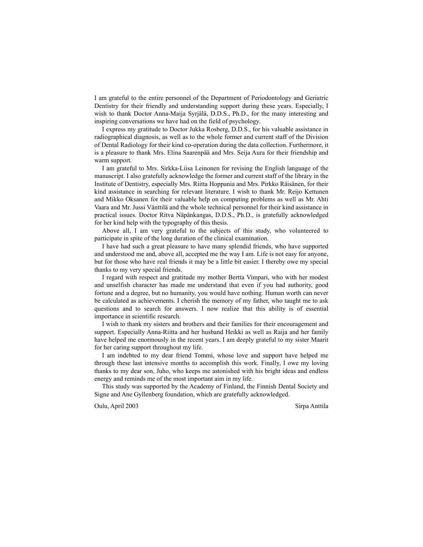I am grateful to the entire personnel of the Department of Periodontology and Geriatric Dentistry for their friendly and understanding support during these years. Especially, I wish to thank Doctor Anna-Maija Syrjälä, D.D.S., Ph.D., for the many interesting and inspiring conversations we have had on the field of psychology.

I express my gratitude to Doctor Jukka Rosberg, D.D.S., for his valuable assistance in radiographical diagnosis, as well as to the whole former and current staff of the Division of Dental Radiology for their kind co-operation during the data collection. Furthermore, it is a pleasure to thank Mrs. Elina Saarenpää and Mrs. Seija Aura for their friendship and warm support.

I am grateful to Mrs. Sirkka-Liisa Leinonen for revising the English language of the manuscript. I also gratefully acknowledge the former and current staff of the library in the Institute of Dentistry, especially Mrs. Riitta Hoppania and Mrs. Pirkko Räisänen, for their kind assistance in searching for relevant literature. I wish to thank Mr. Reijo Kettunen and Mikko Oksanen for their valuable help on computing problems as well as Mr. Ahti Vaara and Mr. Jussi Vänttilä and the whole technical personnel for their kind assistance in practical issues. Doctor Ritva Näpänkangas, D.D.S., Ph.D., is gratefully acknowledged for her kind help with the typography of this thesis.

Above all, I am very grateful to the subjects of this study, who volunteered to participate in spite of the long duration of the clinical examination.

I have had such a great pleasure to have many splendid friends, who have supported and understood me and, above all, accepted me the way I am. Life is not easy for anyone, but for those who have real friends it may be a little bit easier. I thereby owe my special thanks to my very special friends.

I regard with respect and gratitude my mother Bertta Vimpari, who with her modest and unselfish character has made me understand that even if you had authority, good fortune and a degree, but no humanity, you would have nothing. Human worth can never be calculated as achievements. I cherish the memory of my father, who taught me to ask questions and to search for answers. I now realize that this ability is of essential importance in scientific research.

I wish to thank my sisters and brothers and their families for their encouragement and support. Especially Anna-Riitta and her husband Heikki as well as Raija and her family have helped me enormously in the recent years. I am deeply grateful to my sister Maarit for her caring support throughout my life.

I am indebted to my dear friend Tommi, whose love and support have helped me through these last intensive months to accomplish this work. Finally, I owe my loving thanks to my dear son, Juho, who keeps me astonished with his bright ideas and endless energy and reminds me of the most important aim in my life.

This study was supported by the Academy of Finland, the Finnish Dental Society and Signe and Ane Gyllenberg foundation, which are gratefully acknowledged.

Oulu, April 2003 Sirpa Anttila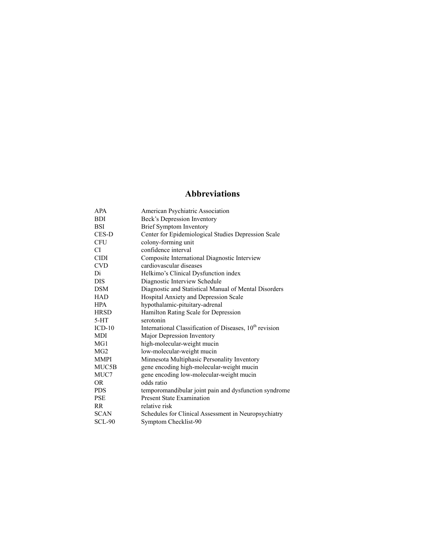# **Abbreviations**

| <b>APA</b>      | American Psychiatric Association                                    |
|-----------------|---------------------------------------------------------------------|
| <b>BDI</b>      | Beck's Depression Inventory                                         |
| <b>BSI</b>      | <b>Brief Symptom Inventory</b>                                      |
| <b>CES-D</b>    | Center for Epidemiological Studies Depression Scale                 |
| <b>CFU</b>      | colony-forming unit                                                 |
| CI.             | confidence interval                                                 |
| <b>CIDI</b>     | Composite International Diagnostic Interview                        |
| <b>CVD</b>      | cardiovascular diseases                                             |
| Di              | Helkimo's Clinical Dysfunction index                                |
| <b>DIS</b>      | Diagnostic Interview Schedule                                       |
| <b>DSM</b>      | Diagnostic and Statistical Manual of Mental Disorders               |
| <b>HAD</b>      | Hospital Anxiety and Depression Scale                               |
| <b>HPA</b>      | hypothalamic-pituitary-adrenal                                      |
| <b>HRSD</b>     | Hamilton Rating Scale for Depression                                |
| $5-HT$          | serotonin                                                           |
| $ICD-10$        | International Classification of Diseases, 10 <sup>th</sup> revision |
| <b>MDI</b>      | Major Depression Inventory                                          |
| MG <sub>1</sub> | high-molecular-weight mucin                                         |
| MG <sub>2</sub> | low-molecular-weight mucin                                          |
| <b>MMPI</b>     | Minnesota Multiphasic Personality Inventory                         |
| MUC5B           | gene encoding high-molecular-weight mucin                           |
| MUC7            | gene encoding low-molecular-weight mucin                            |
| <b>OR</b>       | odds ratio                                                          |
| <b>PDS</b>      | temporomandibular joint pain and dysfunction syndrome               |
| <b>PSE</b>      | <b>Present State Examination</b>                                    |
| R <sub>R</sub>  | relative risk                                                       |
| <b>SCAN</b>     | Schedules for Clinical Assessment in Neuropsychiatry                |
| <b>SCL-90</b>   | Symptom Checklist-90                                                |
|                 |                                                                     |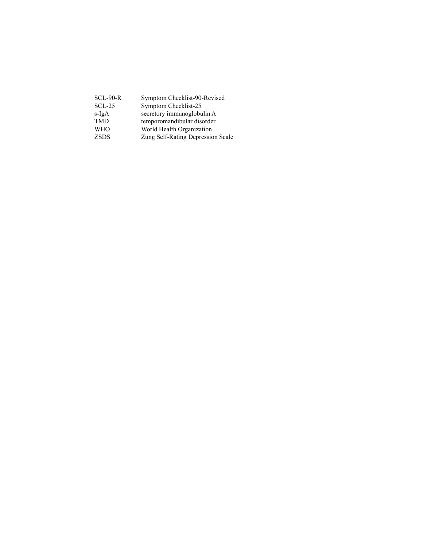| Symptom Checklist-90-Revised      |
|-----------------------------------|
| Symptom Checklist-25              |
| secretory immunoglobulin A        |
| temporomandibular disorder        |
| World Health Organization         |
| Zung Self-Rating Depression Scale |
|                                   |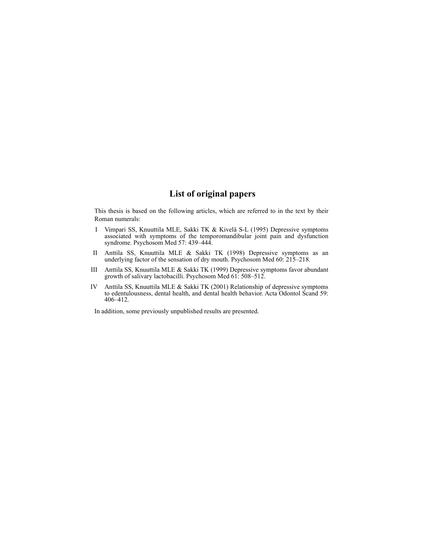### **List of original papers**

This thesis is based on the following articles, which are referred to in the text by their Roman numerals:

- I Vimpari SS, Knuuttila MLE, Sakki TK & Kivelä S-L (1995) Depressive symptoms associated with symptoms of the temporomandibular joint pain and dysfunction syndrome. Psychosom Med 57: 439–444.
- II Anttila SS, Knuuttila MLE & Sakki TK (1998) Depressive symptoms as an underlying factor of the sensation of dry mouth. Psychosom Med 60: 215–218.
- III Anttila SS, Knuuttila MLE & Sakki TK (1999) Depressive symptoms favor abundant growth of salivary lactobacilli. Psychosom Med 61: 508–512.
- IV Anttila SS, Knuuttila MLE & Sakki TK (2001) Relationship of depressive symptoms to edentulousness, dental health, and dental health behavior. Acta Odontol Scand 59: 406–412.

In addition, some previously unpublished results are presented.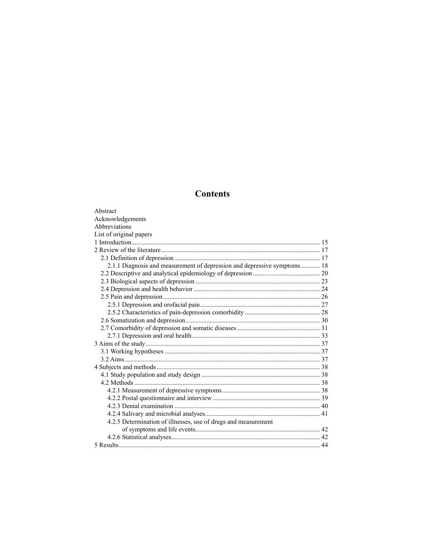# **Contents**

| Abstract                                                                 |  |
|--------------------------------------------------------------------------|--|
| Acknowledgements                                                         |  |
| Abbreviations                                                            |  |
| List of original papers                                                  |  |
|                                                                          |  |
|                                                                          |  |
|                                                                          |  |
| 2.1.1 Diagnosis and measurement of depression and depressive symptoms 18 |  |
|                                                                          |  |
|                                                                          |  |
|                                                                          |  |
|                                                                          |  |
|                                                                          |  |
|                                                                          |  |
|                                                                          |  |
|                                                                          |  |
|                                                                          |  |
|                                                                          |  |
|                                                                          |  |
|                                                                          |  |
|                                                                          |  |
|                                                                          |  |
|                                                                          |  |
|                                                                          |  |
|                                                                          |  |
|                                                                          |  |
|                                                                          |  |
| 4.2.5 Determination of illnesses, use of drugs and measurement           |  |
|                                                                          |  |
|                                                                          |  |
|                                                                          |  |
|                                                                          |  |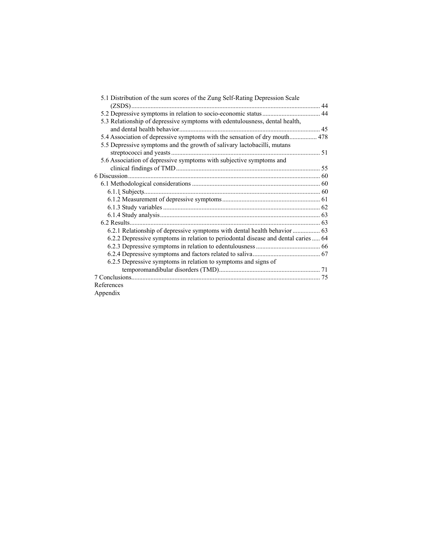| 5.1 Distribution of the sum scores of the Zung Self-Rating Depression Scale        |  |
|------------------------------------------------------------------------------------|--|
|                                                                                    |  |
| 5.3 Relationship of depressive symptoms with edentulousness, dental health,        |  |
|                                                                                    |  |
| 5.4 Association of depressive symptoms with the sensation of dry mouth 478         |  |
| 5.5 Depressive symptoms and the growth of salivary lactobacilli, mutans            |  |
|                                                                                    |  |
| 5.6 Association of depressive symptoms with subjective symptoms and                |  |
|                                                                                    |  |
|                                                                                    |  |
|                                                                                    |  |
|                                                                                    |  |
|                                                                                    |  |
|                                                                                    |  |
|                                                                                    |  |
|                                                                                    |  |
|                                                                                    |  |
| 6.2.2 Depressive symptoms in relation to periodontal disease and dental caries  64 |  |
|                                                                                    |  |
|                                                                                    |  |
| 6.2.5 Depressive symptoms in relation to symptoms and signs of                     |  |
|                                                                                    |  |
|                                                                                    |  |
| References                                                                         |  |
| Appendix                                                                           |  |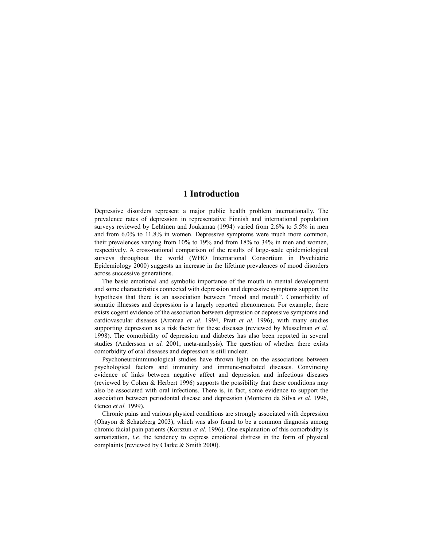### **1 Introduction**

Depressive disorders represent a major public health problem internationally. The prevalence rates of depression in representative Finnish and international population surveys reviewed by Lehtinen and Joukamaa (1994) varied from 2.6% to 5.5% in men and from 6.0% to 11.8% in women. Depressive symptoms were much more common, their prevalences varying from 10% to 19% and from 18% to 34% in men and women, respectively. A cross-national comparison of the results of large-scale epidemiological surveys throughout the world (WHO International Consortium in Psychiatric Epidemiology 2000) suggests an increase in the lifetime prevalences of mood disorders across successive generations.

The basic emotional and symbolic importance of the mouth in mental development and some characteristics connected with depression and depressive symptoms support the hypothesis that there is an association between "mood and mouth". Comorbidity of somatic illnesses and depression is a largely reported phenomenon. For example, there exists cogent evidence of the association between depression or depressive symptoms and cardiovascular diseases (Aromaa *et al.* 1994, Pratt *et al.* 1996), with many studies supporting depression as a risk factor for these diseases (reviewed by Musselman *et al.* 1998). The comorbidity of depression and diabetes has also been reported in several studies (Andersson *et al.* 2001, meta-analysis). The question of whether there exists comorbidity of oral diseases and depression is still unclear.

Psychoneuroimmunological studies have thrown light on the associations between psychological factors and immunity and immune-mediated diseases. Convincing evidence of links between negative affect and depression and infectious diseases (reviewed by Cohen & Herbert 1996) supports the possibility that these conditions may also be associated with oral infections. There is, in fact, some evidence to support the association between periodontal disease and depression (Monteiro da Silva *et al.* 1996, Genco *et al.* 1999).

Chronic pains and various physical conditions are strongly associated with depression (Ohayon & Schatzberg 2003), which was also found to be a common diagnosis among chronic facial pain patients (Korszun *et al.* 1996). One explanation of this comorbidity is somatization, *i.e.* the tendency to express emotional distress in the form of physical complaints (reviewed by Clarke & Smith 2000).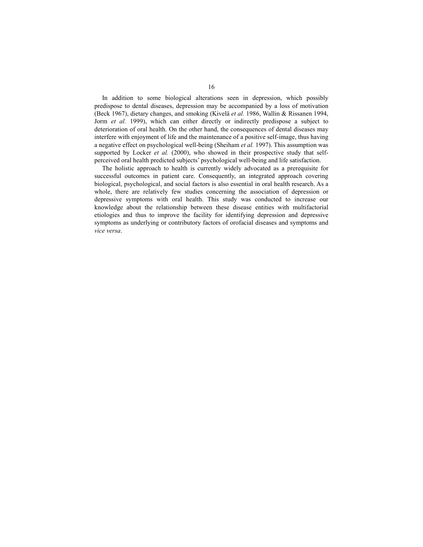In addition to some biological alterations seen in depression, which possibly predispose to dental diseases, depression may be accompanied by a loss of motivation (Beck 1967), dietary changes, and smoking (Kivelä *et al.* 1986, Wallin & Rissanen 1994, Jorm *et al.* 1999), which can either directly or indirectly predispose a subject to deterioration of oral health. On the other hand, the consequences of dental diseases may interfere with enjoyment of life and the maintenance of a positive self-image, thus having a negative effect on psychological well-being (Sheiham *et al.* 1997). This assumption was supported by Locker *et al.* (2000), who showed in their prospective study that selfperceived oral health predicted subjects' psychological well-being and life satisfaction.

The holistic approach to health is currently widely advocated as a prerequisite for successful outcomes in patient care. Consequently, an integrated approach covering biological, psychological, and social factors is also essential in oral health research. As a whole, there are relatively few studies concerning the association of depression or depressive symptoms with oral health. This study was conducted to increase our knowledge about the relationship between these disease entities with multifactorial etiologies and thus to improve the facility for identifying depression and depressive symptoms as underlying or contributory factors of orofacial diseases and symptoms and *vice versa*.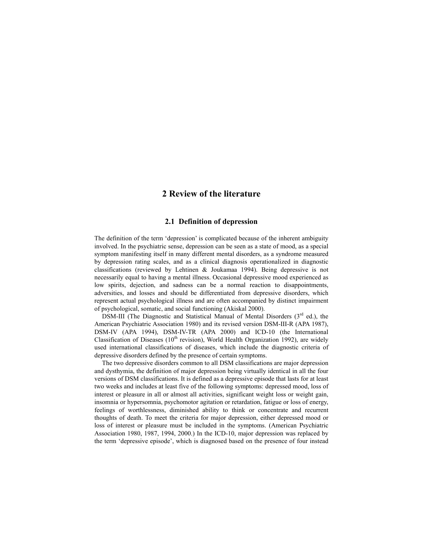### **2 Review of the literature**

### **2.1 Definition of depression**

The definition of the term 'depression' is complicated because of the inherent ambiguity involved. In the psychiatric sense, depression can be seen as a state of mood, as a special symptom manifesting itself in many different mental disorders, as a syndrome measured by depression rating scales, and as a clinical diagnosis operationalized in diagnostic classifications (reviewed by Lehtinen & Joukamaa 1994). Being depressive is not necessarily equal to having a mental illness. Occasional depressive mood experienced as low spirits, dejection, and sadness can be a normal reaction to disappointments, adversities, and losses and should be differentiated from depressive disorders, which represent actual psychological illness and are often accompanied by distinct impairment of psychological, somatic, and social functioning (Akiskal 2000).

DSM-III (The Diagnostic and Statistical Manual of Mental Disorders  $(3<sup>rd</sup>$  ed.), the American Psychiatric Association 1980) and its revised version DSM-III-R (APA 1987), DSM-IV (APA 1994), DSM-IV-TR (APA 2000) and ICD-10 (the International Classification of Diseases ( $10<sup>th</sup>$  revision), World Health Organization 1992), are widely used international classifications of diseases, which include the diagnostic criteria of depressive disorders defined by the presence of certain symptoms.

The two depressive disorders common to all DSM classifications are major depression and dysthymia, the definition of major depression being virtually identical in all the four versions of DSM classifications. It is defined as a depressive episode that lasts for at least two weeks and includes at least five of the following symptoms: depressed mood, loss of interest or pleasure in all or almost all activities, significant weight loss or weight gain, insomnia or hypersomnia, psychomotor agitation or retardation, fatigue or loss of energy, feelings of worthlessness, diminished ability to think or concentrate and recurrent thoughts of death. To meet the criteria for major depression, either depressed mood or loss of interest or pleasure must be included in the symptoms. (American Psychiatric Association 1980, 1987, 1994, 2000.) In the ICD-10, major depression was replaced by the term 'depressive episode', which is diagnosed based on the presence of four instead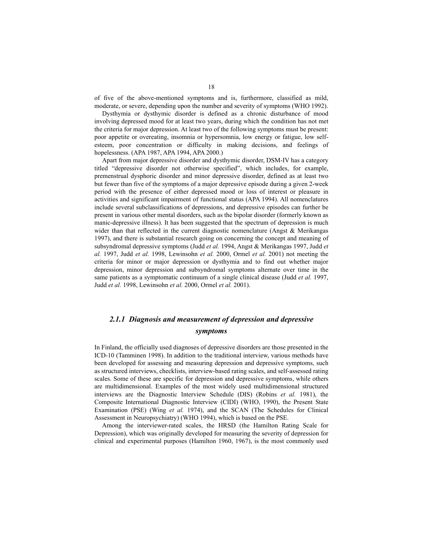of five of the above-mentioned symptoms and is, furthermore, classified as mild, moderate, or severe, depending upon the number and severity of symptoms (WHO 1992).

Dysthymia or dysthymic disorder is defined as a chronic disturbance of mood involving depressed mood for at least two years, during which the condition has not met the criteria for major depression. At least two of the following symptoms must be present: poor appetite or overeating, insomnia or hypersomnia, low energy or fatigue, low selfesteem, poor concentration or difficulty in making decisions, and feelings of hopelessness. (APA 1987, APA 1994, APA 2000.)

Apart from major depressive disorder and dysthymic disorder, DSM-IV has a category titled "depressive disorder not otherwise specified", which includes, for example, premenstrual dysphoric disorder and minor depressive disorder, defined as at least two but fewer than five of the symptoms of a major depressive episode during a given 2-week period with the presence of either depressed mood or loss of interest or pleasure in activities and significant impairment of functional status (APA 1994). All nomenclatures include several subclassifications of depressions, and depressive episodes can further be present in various other mental disorders, such as the bipolar disorder (formerly known as manic-depressive illness). It has been suggested that the spectrum of depression is much wider than that reflected in the current diagnostic nomenclature (Angst  $\&$  Merikangas 1997), and there is substantial research going on concerning the concept and meaning of subsyndromal depressive symptoms (Judd *et al.* 1994, Angst & Merikangas 1997, Judd *et al.* 1997, Judd *et al.* 1998, Lewinsohn *et al.* 2000, Ormel *et al.* 2001) not meeting the criteria for minor or major depression or dysthymia and to find out whether major depression, minor depression and subsyndromal symptoms alternate over time in the same patients as a symptomatic continuum of a single clinical disease (Judd *et al.* 1997, Judd *et al.* 1998, Lewinsohn *et al.* 2000, Ormel *et al.* 2001).

### *2.1.1 Diagnosis and measurement of depression and depressive symptoms*

In Finland, the officially used diagnoses of depressive disorders are those presented in the ICD-10 (Tamminen 1998). In addition to the traditional interview, various methods have been developed for assessing and measuring depression and depressive symptoms, such as structured interviews, checklists, interview-based rating scales, and self-assessed rating scales. Some of these are specific for depression and depressive symptoms, while others are multidimensional. Examples of the most widely used multidimensional structured interviews are the Diagnostic Interview Schedule (DIS) (Robins *et al.* 1981), the Composite International Diagnostic Interview (CIDI) (WHO, 1990), the Present State Examination (PSE) (Wing *et al.* 1974), and the SCAN (The Schedules for Clinical Assessment in Neuropsychiatry) (WHO 1994), which is based on the PSE.

Among the interviewer-rated scales, the HRSD (the Hamilton Rating Scale for Depression), which was originally developed for measuring the severity of depression for clinical and experimental purposes (Hamilton 1960, 1967), is the most commonly used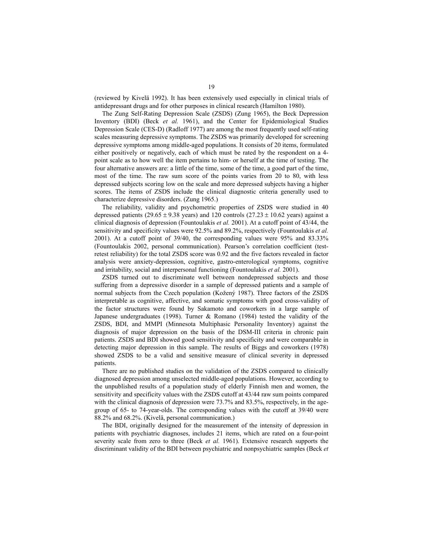(reviewed by Kivelä 1992). It has been extensively used especially in clinical trials of antidepressant drugs and for other purposes in clinical research (Hamilton 1980).

The Zung Self-Rating Depression Scale (ZSDS) (Zung 1965), the Beck Depression Inventory (BDI) (Beck *et al.* 1961), and the Center for Epidemiological Studies Depression Scale (CES-D) (Radloff 1977) are among the most frequently used self-rating scales measuring depressive symptoms. The ZSDS was primarily developed for screening depressive symptoms among middle-aged populations. It consists of 20 items, formulated either positively or negatively, each of which must be rated by the respondent on a 4 point scale as to how well the item pertains to him- or herself at the time of testing. The four alternative answers are: a little of the time, some of the time, a good part of the time, most of the time. The raw sum score of the points varies from 20 to 80, with less depressed subjects scoring low on the scale and more depressed subjects having a higher scores. The items of ZSDS include the clinical diagnostic criteria generally used to characterize depressive disorders. (Zung 1965.)

The reliability, validity and psychometric properties of ZSDS were studied in 40 depressed patients (29.65  $\pm$  9.38 years) and 120 controls (27.23  $\pm$  10.62 years) against a clinical diagnosis of depression (Fountoulakis *et al.* 2001). At a cutoff point of 43/44, the sensitivity and specificity values were 92.5% and 89.2%, respectively (Fountoulakis *et al.* 2001). At a cutoff point of 39/40, the corresponding values were 95% and 83.33% (Fountoulakis 2002, personal communication). Pearson's correlation coefficient (testretest reliability) for the total ZSDS score was 0.92 and the five factors revealed in factor analysis were anxiety-depression, cognitive, gastro-enterological symptoms, cognitive and irritability, social and interpersonal functioning (Fountoulakis *et al.* 2001).

ZSDS turned out to discriminate well between nondepressed subjects and those suffering from a depressive disorder in a sample of depressed patients and a sample of normal subjects from the Czech population (Kožený 1987). Three factors of the ZSDS interpretable as cognitive, affective, and somatic symptoms with good cross-validity of the factor structures were found by Sakamoto and coworkers in a large sample of Japanese undergraduates (1998). Turner & Romano (1984) tested the validity of the ZSDS, BDI, and MMPI (Minnesota Multiphasic Personality Inventory) against the diagnosis of major depression on the basis of the DSM-III criteria in chronic pain patients. ZSDS and BDI showed good sensitivity and specificity and were comparable in detecting major depression in this sample. The results of Biggs and coworkers (1978) showed ZSDS to be a valid and sensitive measure of clinical severity in depressed patients.

There are no published studies on the validation of the ZSDS compared to clinically diagnosed depression among unselected middle-aged populations. However, according to the unpublished results of a population study of elderly Finnish men and women, the sensitivity and specificity values with the ZSDS cutoff at 43/44 raw sum points compared with the clinical diagnosis of depression were 73.7% and 83.5%, respectively, in the agegroup of 65- to 74-year-olds. The corresponding values with the cutoff at 39/40 were 88.2% and 68.2%. (Kivelä, personal communication.)

The BDI, originally designed for the measurement of the intensity of depression in patients with psychiatric diagnoses, includes 21 items, which are rated on a four-point severity scale from zero to three (Beck *et al.* 1961). Extensive research supports the discriminant validity of the BDI between psychiatric and nonpsychiatric samples (Beck *et*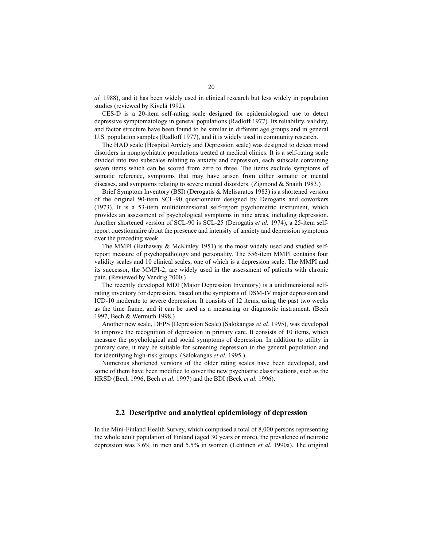*al.* 1988), and it has been widely used in clinical research but less widely in population studies (reviewed by Kivelä 1992).

CES-D is a 20-item self-rating scale designed for epidemiological use to detect depressive symptomatology in general populations (Radloff 1977). Its reliability, validity, and factor structure have been found to be similar in different age groups and in general U.S. population samples (Radloff 1977), and it is widely used in community research.

The HAD scale (Hospital Anxiety and Depression scale) was designed to detect mood disorders in nonpsychiatric populations treated at medical clinics. It is a self-rating scale divided into two subscales relating to anxiety and depression, each subscale containing seven items which can be scored from zero to three. The items exclude symptoms of somatic reference, symptoms that may have arisen from either somatic or mental diseases, and symptoms relating to severe mental disorders. (Zigmond & Snaith 1983.)

Brief Symptom Inventory (BSI) (Derogatis & Melisaratos 1983) is a shortened version of the original 90-item SCL-90 questionnaire designed by Derogatis and coworkers (1973). It is a 53-item multidimensional self-report psychometric instrument, which provides an assessment of psychological symptoms in nine areas, including depression. Another shortened version of SCL-90 is SCL-25 (Derogatis *et al.* 1974), a 25-item selfreport questionnaire about the presence and intensity of anxiety and depression symptoms over the preceding week.

The MMPI (Hathaway & McKinley 1951) is the most widely used and studied selfreport measure of psychopathology and personality. The 556-item MMPI contains four validity scales and 10 clinical scales, one of which is a depression scale. The MMPI and its successor, the MMPI-2, are widely used in the assessment of patients with chronic pain. (Reviewed by Vendrig 2000.)

The recently developed MDI (Major Depression Inventory) is a unidimensional selfrating inventory for depression, based on the symptoms of DSM-IV major depression and ICD-10 moderate to severe depression. It consists of 12 items, using the past two weeks as the time frame, and it can be used as a measuring or diagnostic instrument. (Bech 1997, Bech & Wermuth 1998.)

Another new scale, DEPS (Depression Scale) (Salokangas *et al.* 1995), was developed to improve the recognition of depression in primary care. It consists of 10 items, which measure the psychological and social symptoms of depression. In addition to utility in primary care, it may be suitable for screening depression in the general population and for identifying high-risk groups. (Salokangas *et al.* 1995.)

Numerous shortened versions of the older rating scales have been developed, and some of them have been modified to cover the new psychiatric classifications, such as the HRSD (Bech 1996, Bech *et al.* 1997) and the BDI (Beck *et al.* 1996).

### **2.2 Descriptive and analytical epidemiology of depression**

In the Mini-Finland Health Survey, which comprised a total of 8,000 persons representing the whole adult population of Finland (aged 30 years or more), the prevalence of neurotic depression was 3.6% in men and 5.5% in women (Lehtinen *et al.* 1990a). The original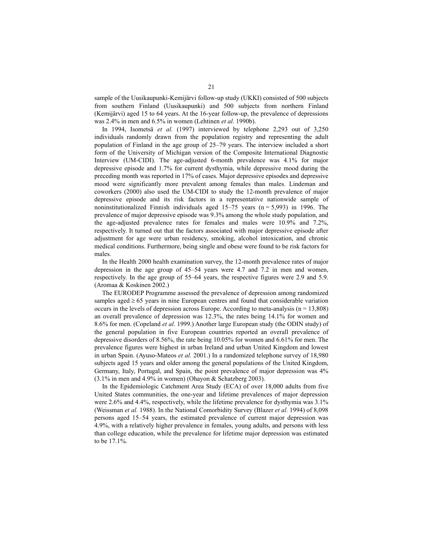sample of the Uusikaupunki-Kemijärvi follow-up study (UKKI) consisted of 500 subjects from southern Finland (Uusikaupunki) and 500 subjects from northern Finland (Kemijärvi) aged 15 to 64 years. At the 16-year follow-up, the prevalence of depressions was 2.4% in men and 6.5% in women (Lehtinen *et al.* 1990b).

In 1994, Isometsä *et al.* (1997) interviewed by telephone 2,293 out of 3,250 individuals randomly drawn from the population registry and representing the adult population of Finland in the age group of 25–79 years. The interview included a short form of the University of Michigan version of the Composite International Diagnostic Interview (UM-CIDI). The age-adjusted 6-month prevalence was 4.1% for major depressive episode and 1.7% for current dysthymia, while depressive mood during the preceding month was reported in 17% of cases. Major depressive episodes and depressive mood were significantly more prevalent among females than males. Lindeman and coworkers (2000) also used the UM-CIDI to study the 12-month prevalence of major depressive episode and its risk factors in a representative nationwide sample of noninstitutionalized Finnish individuals aged  $15-75$  years ( $n = 5,993$ ) in 1996. The prevalence of major depressive episode was 9.3% among the whole study population, and the age-adjusted prevalence rates for females and males were 10.9% and 7.2%, respectively. It turned out that the factors associated with major depressive episode after adjustment for age were urban residency, smoking, alcohol intoxication, and chronic medical conditions. Furthermore, being single and obese were found to be risk factors for males.

In the Health 2000 health examination survey, the 12-month prevalence rates of major depression in the age group of 45–54 years were 4.7 and 7.2 in men and women, respectively. In the age group of 55–64 years, the respective figures were 2.9 and 5.9. (Aromaa & Koskinen 2002.)

The EURODEP Programme assessed the prevalence of depression among randomized samples aged  $\geq 65$  years in nine European centres and found that considerable variation occurs in the levels of depression across Europe. According to meta-analysis ( $n = 13,808$ ) an overall prevalence of depression was 12.3%, the rates being 14.1% for women and 8.6% for men. (Copeland *et al.* 1999.) Another large European study (the ODIN study) of the general population in five European countries reported an overall prevalence of depressive disorders of 8.56%, the rate being 10.05% for women and 6.61% for men. The prevalence figures were highest in urban Ireland and urban United Kingdom and lowest in urban Spain. (Ayuso-Mateos *et al.* 2001.) In a randomized telephone survey of 18,980 subjects aged 15 years and older among the general populations of the United Kingdom, Germany, Italy, Portugal, and Spain, the point prevalence of major depression was 4% (3.1% in men and 4.9% in women) (Ohayon & Schatzberg 2003).

In the Epidemiologic Catchment Area Study (ECA) of over 18,000 adults from five United States communities, the one-year and lifetime prevalences of major depression were 2.6% and 4.4%, respectively, while the lifetime prevalence for dysthymia was 3.1% (Weissman *et al.* 1988). In the National Comorbidity Survey (Blazer *et al.* 1994) of 8,098 persons aged 15–54 years, the estimated prevalence of current major depression was 4.9%, with a relatively higher prevalence in females, young adults, and persons with less than college education, while the prevalence for lifetime major depression was estimated to be 17.1%.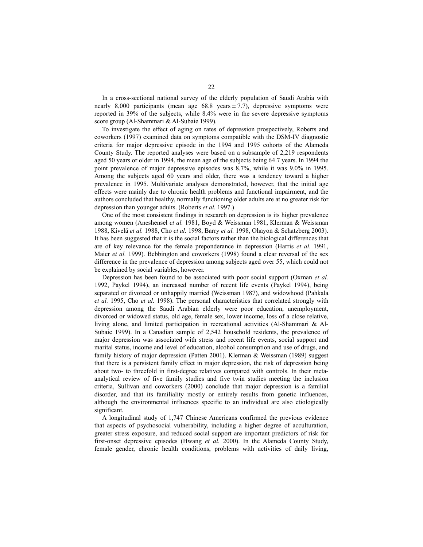In a cross-sectional national survey of the elderly population of Saudi Arabia with nearly 8,000 participants (mean age  $68.8$  years  $\pm$  7.7), depressive symptoms were reported in 39% of the subjects, while 8.4% were in the severe depressive symptoms score group (Al-Shammari & Al-Subaie 1999).

To investigate the effect of aging on rates of depression prospectively, Roberts and coworkers (1997) examined data on symptoms compatible with the DSM-IV diagnostic criteria for major depressive episode in the 1994 and 1995 cohorts of the Alameda County Study. The reported analyses were based on a subsample of 2,219 respondents aged 50 years or older in 1994, the mean age of the subjects being 64.7 years. In 1994 the point prevalence of major depressive episodes was 8.7%, while it was 9.0% in 1995. Among the subjects aged 60 years and older, there was a tendency toward a higher prevalence in 1995. Multivariate analyses demonstrated, however, that the initial age effects were mainly due to chronic health problems and functional impairment, and the authors concluded that healthy, normally functioning older adults are at no greater risk for depression than younger adults. (Roberts *et al.* 1997.)

One of the most consistent findings in research on depression is its higher prevalence among women (Aneshensel *et al.* 1981, Boyd & Weissman 1981, Klerman & Weissman 1988, Kivelä *et al.* 1988, Cho *et al.* 1998, Barry *et al.* 1998, Ohayon & Schatzberg 2003). It has been suggested that it is the social factors rather than the biological differences that are of key relevance for the female preponderance in depression (Harris *et al.* 1991, Maier *et al.* 1999). Bebbington and coworkers (1998) found a clear reversal of the sex difference in the prevalence of depression among subjects aged over 55, which could not be explained by social variables, however.

Depression has been found to be associated with poor social support (Oxman *et al.* 1992, Paykel 1994), an increased number of recent life events (Paykel 1994), being separated or divorced or unhappily married (Weissman 1987), and widowhood (Pahkala *et al.* 1995, Cho *et al.* 1998). The personal characteristics that correlated strongly with depression among the Saudi Arabian elderly were poor education, unemployment, divorced or widowed status, old age, female sex, lower income, loss of a close relative, living alone, and limited participation in recreational activities (Al-Shammari & Al-Subaie 1999). In a Canadian sample of 2,542 household residents, the prevalence of major depression was associated with stress and recent life events, social support and marital status, income and level of education, alcohol consumption and use of drugs, and family history of major depression (Patten 2001). Klerman & Weissman (1989) suggest that there is a persistent family effect in major depression, the risk of depression being about two- to threefold in first-degree relatives compared with controls. In their metaanalytical review of five family studies and five twin studies meeting the inclusion criteria, Sullivan and coworkers (2000) conclude that major depression is a familial disorder, and that its familiality mostly or entirely results from genetic influences, although the environmental influences specific to an individual are also etiologically significant.

A longitudinal study of 1,747 Chinese Americans confirmed the previous evidence that aspects of psychosocial vulnerability, including a higher degree of acculturation, greater stress exposure, and reduced social support are important predictors of risk for first-onset depressive episodes (Hwang *et al.* 2000). In the Alameda County Study, female gender, chronic health conditions, problems with activities of daily living,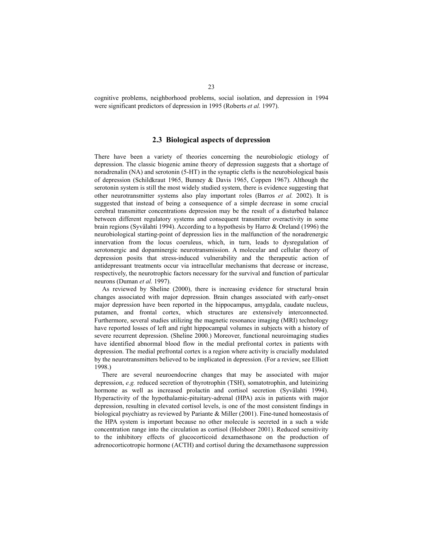cognitive problems, neighborhood problems, social isolation, and depression in 1994 were significant predictors of depression in 1995 (Roberts *et al.* 1997).

### **2.3 Biological aspects of depression**

There have been a variety of theories concerning the neurobiologic etiology of depression. The classic biogenic amine theory of depression suggests that a shortage of noradrenalin (NA) and serotonin (5-HT) in the synaptic clefts is the neurobiological basis of depression (Schildkraut 1965, Bunney & Davis 1965, Coppen 1967). Although the serotonin system is still the most widely studied system, there is evidence suggesting that other neurotransmitter systems also play important roles (Barros *et al.* 2002). It is suggested that instead of being a consequence of a simple decrease in some crucial cerebral transmitter concentrations depression may be the result of a disturbed balance between different regulatory systems and consequent transmitter overactivity in some brain regions (Syvälahti 1994). According to a hypothesis by Harro & Oreland (1996) the neurobiological starting-point of depression lies in the malfunction of the noradrenergic innervation from the locus coeruleus, which, in turn, leads to dysregulation of serotonergic and dopaminergic neurotransmission. A molecular and cellular theory of depression posits that stress-induced vulnerability and the therapeutic action of antidepressant treatments occur via intracellular mechanisms that decrease or increase, respectively, the neurotrophic factors necessary for the survival and function of particular neurons (Duman *et al.* 1997).

As reviewed by Sheline (2000), there is increasing evidence for structural brain changes associated with major depression. Brain changes associated with early-onset major depression have been reported in the hippocampus, amygdala, caudate nucleus, putamen, and frontal cortex, which structures are extensively interconnected. Furthermore, several studies utilizing the magnetic resonance imaging (MRI) technology have reported losses of left and right hippocampal volumes in subjects with a history of severe recurrent depression. (Sheline 2000.) Moreover, functional neuroimaging studies have identified abnormal blood flow in the medial prefrontal cortex in patients with depression. The medial prefrontal cortex is a region where activity is crucially modulated by the neurotransmitters believed to be implicated in depression. (For a review, see Elliott 1998.)

There are several neuroendocrine changes that may be associated with major depression, *e.g.* reduced secretion of thyrotrophin (TSH), somatotrophin, and luteinizing hormone as well as increased prolactin and cortisol secretion (Syvälahti 1994). Hyperactivity of the hypothalamic-pituitary-adrenal (HPA) axis in patients with major depression, resulting in elevated cortisol levels, is one of the most consistent findings in biological psychiatry as reviewed by Pariante & Miller (2001). Fine-tuned homeostasis of the HPA system is important because no other molecule is secreted in a such a wide concentration range into the circulation as cortisol (Holsboer 2001). Reduced sensitivity to the inhibitory effects of glucocorticoid dexamethasone on the production of adrenocorticotropic hormone (ACTH) and cortisol during the dexamethasone suppression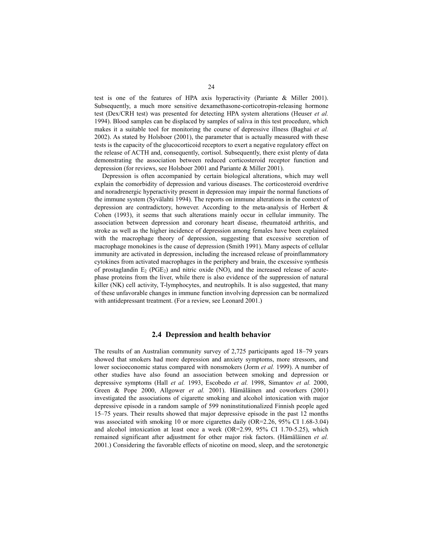test is one of the features of HPA axis hyperactivity (Pariante & Miller 2001). Subsequently, a much more sensitive dexamethasone-corticotropin-releasing hormone test (Dex/CRH test) was presented for detecting HPA system alterations (Heuser *et al.* 1994). Blood samples can be displaced by samples of saliva in this test procedure, which makes it a suitable tool for monitoring the course of depressive illness (Baghai *et al.* 2002). As stated by Holsboer (2001), the parameter that is actually measured with these tests is the capacity of the glucocorticoid receptors to exert a negative regulatory effect on the release of ACTH and, consequently, cortisol. Subsequently, there exist plenty of data demonstrating the association between reduced corticosteroid receptor function and depression (for reviews, see Holsboer 2001 and Pariante & Miller 2001).

Depression is often accompanied by certain biological alterations, which may well explain the comorbidity of depression and various diseases. The corticosteroid overdrive and noradrenergic hyperactivity present in depression may impair the normal functions of the immune system (Syvälahti 1994). The reports on immune alterations in the context of depression are contradictory, however. According to the meta-analysis of Herbert & Cohen (1993), it seems that such alterations mainly occur in cellular immunity. The association between depression and coronary heart disease, rheumatoid arthritis, and stroke as well as the higher incidence of depression among females have been explained with the macrophage theory of depression, suggesting that excessive secretion of macrophage monokines is the cause of depression (Smith 1991). Many aspects of cellular immunity are activated in depression, including the increased release of proinflammatory cytokines from activated macrophages in the periphery and brain, the excessive synthesis of prostaglandin  $E_2$  (PGE<sub>2</sub>) and nitric oxide (NO), and the increased release of acutephase proteins from the liver, while there is also evidence of the suppression of natural killer (NK) cell activity, T-lymphocytes, and neutrophils. It is also suggested, that many of these unfavorable changes in immune function involving depression can be normalized with antidepressant treatment. (For a review, see Leonard 2001.)

#### **2.4 Depression and health behavior**

The results of an Australian community survey of 2,725 participants aged 18–79 years showed that smokers had more depression and anxiety symptoms, more stressors, and lower socioeconomic status compared with nonsmokers (Jorm *et al.* 1999). A number of other studies have also found an association between smoking and depression or depressive symptoms (Hall *et al.* 1993, Escobedo *et al.* 1998, Simantov *et al.* 2000, Green & Pope 2000, Allgower *et al.* 2001). Hämäläinen and coworkers (2001) investigated the associations of cigarette smoking and alcohol intoxication with major depressive episode in a random sample of 599 noninstitutionalized Finnish people aged 15–75 years. Their results showed that major depressive episode in the past 12 months was associated with smoking 10 or more cigarettes daily (OR=2.26, 95% CI 1.68-3.04) and alcohol intoxication at least once a week (OR=2.99, 95% CI 1.70-5.25), which remained significant after adjustment for other major risk factors. (Hämäläinen *et al.* 2001.) Considering the favorable effects of nicotine on mood, sleep, and the serotonergic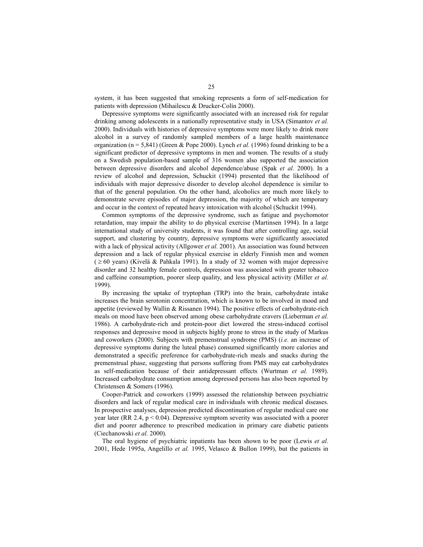system, it has been suggested that smoking represents a form of self-medication for patients with depression (Mihailescu & Drucker-Colín 2000).

Depressive symptoms were significantly associated with an increased risk for regular drinking among adolescents in a nationally representative study in USA (Simantov *et al.* 2000). Individuals with histories of depressive symptoms were more likely to drink more alcohol in a survey of randomly sampled members of a large health maintenance organization ( $n = 5,841$ ) (Green & Pope 2000). Lynch *et al.* (1996) found drinking to be a significant predictor of depressive symptoms in men and women. The results of a study on a Swedish population-based sample of 316 women also supported the association between depressive disorders and alcohol dependence/abuse (Spak *et al.* 2000). In a review of alcohol and depression, Schuckit (1994) presented that the likelihood of individuals with major depressive disorder to develop alcohol dependence is similar to that of the general population. On the other hand, alcoholics are much more likely to demonstrate severe episodes of major depression, the majority of which are temporary and occur in the context of repeated heavy intoxication with alcohol (Schuckit 1994).

Common symptoms of the depressive syndrome, such as fatigue and psychomotor retardation, may impair the ability to do physical exercise (Martinsen 1994). In a large international study of university students, it was found that after controlling age, social support, and clustering by country, depressive symptoms were significantly associated with a lack of physical activity (Allgower *et al.* 2001). An association was found between depression and a lack of regular physical exercise in elderly Finnish men and women  $( \geq 60 \text{ years})$  (Kivelä & Pahkala 1991). In a study of 32 women with major depressive disorder and 32 healthy female controls, depression was associated with greater tobacco and caffeine consumption, poorer sleep quality, and less physical activity (Miller *et al.* 1999).

By increasing the uptake of tryptophan (TRP) into the brain, carbohydrate intake increases the brain serotonin concentration, which is known to be involved in mood and appetite (reviewed by Wallin & Rissanen 1994). The positive effects of carbohydrate-rich meals on mood have been observed among obese carbohydrate cravers (Lieberman *et al.* 1986). A carbohydrate-rich and protein-poor diet lowered the stress-induced cortisol responses and depressive mood in subjects highly prone to stress in the study of Markus and coworkers (2000). Subjects with premenstrual syndrome (PMS) (*i.e.* an increase of depressive symptoms during the luteal phase) consumed significantly more calories and demonstrated a specific preference for carbohydrate-rich meals and snacks during the premenstrual phase, suggesting that persons suffering from PMS may eat carbohydrates as self-medication because of their antidepressant effects (Wurtman *et al.* 1989). Increased carbohydrate consumption among depressed persons has also been reported by Christensen & Somers (1996).

Cooper-Patrick and coworkers (1999) assessed the relationship between psychiatric disorders and lack of regular medical care in individuals with chronic medical diseases. In prospective analyses, depression predicted discontinuation of regular medical care one year later (RR 2.4,  $p < 0.04$ ). Depressive symptom severity was associated with a poorer diet and poorer adherence to prescribed medication in primary care diabetic patients (Ciechanowski *et al.* 2000).

The oral hygiene of psychiatric inpatients has been shown to be poor (Lewis *et al.* 2001, Hede 1995a, Angelillo *et al.* 1995, Velasco & Bullon 1999), but the patients in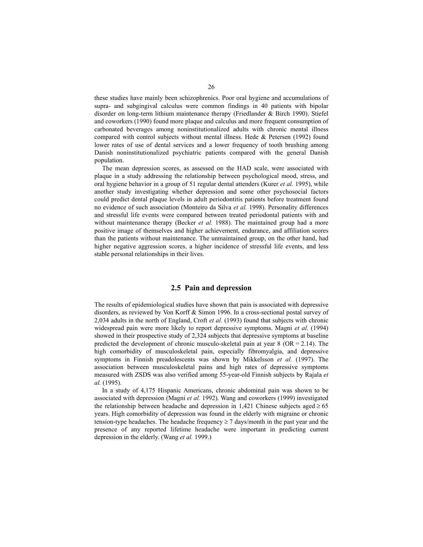these studies have mainly been schizophrenics. Poor oral hygiene and accumulations of supra- and subgingival calculus were common findings in 40 patients with bipolar disorder on long-term lithium maintenance therapy (Friedlander & Birch 1990). Stiefel and coworkers (1990) found more plaque and calculus and more frequent consumption of carbonated beverages among noninstitutionalized adults with chronic mental illness compared with control subjects without mental illness. Hede  $&$  Petersen (1992) found lower rates of use of dental services and a lower frequency of tooth brushing among Danish noninstitutionalized psychiatric patients compared with the general Danish population.

The mean depression scores, as assessed on the HAD scale, were associated with plaque in a study addressing the relationship between psychological mood, stress, and oral hygiene behavior in a group of 51 regular dental attenders (Kurer *et al.* 1995), while another study investigating whether depression and some other psychosocial factors could predict dental plaque levels in adult periodontitis patients before treatment found no evidence of such association (Monteiro da Silva *et al.* 1998). Personality differences and stressful life events were compared between treated periodontal patients with and without maintenance therapy (Becker *et al.* 1988). The maintained group had a more positive image of themselves and higher achievement, endurance, and affiliation scores than the patients without maintenance. The unmaintained group, on the other hand, had higher negative aggression scores, a higher incidence of stressful life events, and less stable personal relationships in their lives.

### **2.5 Pain and depression**

The results of epidemiological studies have shown that pain is associated with depressive disorders, as reviewed by Von Korff & Simon 1996. In a cross-sectional postal survey of 2,034 adults in the north of England, Croft *et al.* (1993) found that subjects with chronic widespread pain were more likely to report depressive symptoms. Magni *et al.* (1994) showed in their prospective study of 2,324 subjects that depressive symptoms at baseline predicted the development of chronic musculo-skeletal pain at year  $8$  (OR = 2.14). The high comorbidity of musculoskeletal pain, especially fibromyalgia, and depressive symptoms in Finnish preadolescents was shown by Mikkelsson *et al.* (1997). The association between musculoskeletal pains and high rates of depressive symptoms measured with ZSDS was also verified among 55-year-old Finnish subjects by Rajala *et al.* (1995).

In a study of 4,175 Hispanic Americans, chronic abdominal pain was shown to be associated with depression (Magni *et al.* 1992). Wang and coworkers (1999) investigated the relationship between headache and depression in 1,421 Chinese subjects aged  $\geq 65$ years. High comorbidity of depression was found in the elderly with migraine or chronic tension-type headaches. The headache frequency  $\geq 7$  days/month in the past year and the presence of any reported lifetime headache were important in predicting current depression in the elderly. (Wang *et al.* 1999.)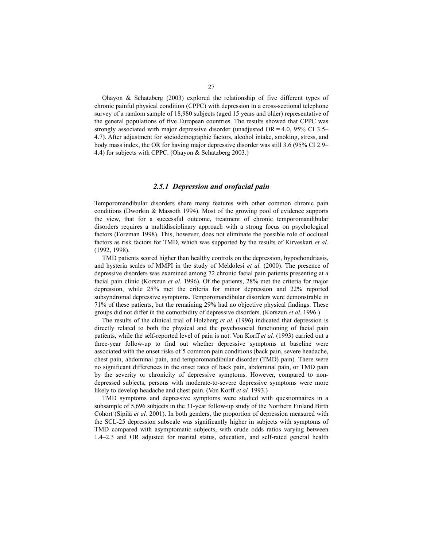Ohayon & Schatzberg  $(2003)$  explored the relationship of five different types of chronic painful physical condition (CPPC) with depression in a cross-sectional telephone survey of a random sample of 18,980 subjects (aged 15 years and older) representative of the general populations of five European countries. The results showed that CPPC was strongly associated with major depressive disorder (unadjusted OR = 4.0, 95% CI 3.5– 4.7). After adjustment for sociodemographic factors, alcohol intake, smoking, stress, and body mass index, the OR for having major depressive disorder was still 3.6 (95% CI 2.9– 4.4) for subjects with CPPC. (Ohayon & Schatzberg 2003.)

#### *2.5.1 Depression and orofacial pain*

Temporomandibular disorders share many features with other common chronic pain conditions (Dworkin & Massoth 1994). Most of the growing pool of evidence supports the view, that for a successful outcome, treatment of chronic temporomandibular disorders requires a multidisciplinary approach with a strong focus on psychological factors (Foreman 1998). This, however, does not eliminate the possible role of occlusal factors as risk factors for TMD, which was supported by the results of Kirveskari *et al.* (1992, 1998).

TMD patients scored higher than healthy controls on the depression, hypochondriasis, and hysteria scales of MMPI in the study of Meldolesi *et al.* (2000). The presence of depressive disorders was examined among 72 chronic facial pain patients presenting at a facial pain clinic (Korszun *et al.* 1996). Of the patients, 28% met the criteria for major depression, while 25% met the criteria for minor depression and 22% reported subsyndromal depressive symptoms. Temporomandibular disorders were demonstrable in 71% of these patients, but the remaining 29% had no objective physical findings. These groups did not differ in the comorbidity of depressive disorders. (Korszun *et al.* 1996.)

The results of the clinical trial of Holzberg *et al.* (1996) indicated that depression is directly related to both the physical and the psychosocial functioning of facial pain patients, while the self-reported level of pain is not. Von Korff *et al.* (1993) carried out a three-year follow-up to find out whether depressive symptoms at baseline were associated with the onset risks of 5 common pain conditions (back pain, severe headache, chest pain, abdominal pain, and temporomandibular disorder (TMD) pain). There were no significant differences in the onset rates of back pain, abdominal pain, or TMD pain by the severity or chronicity of depressive symptoms. However, compared to nondepressed subjects, persons with moderate-to-severe depressive symptoms were more likely to develop headache and chest pain. (Von Korff *et al.* 1993.)

TMD symptoms and depressive symptoms were studied with questionnaires in a subsample of 5,696 subjects in the 31-year follow-up study of the Northern Finland Birth Cohort (Sipilä *et al.* 2001). In both genders, the proportion of depression measured with the SCL-25 depression subscale was significantly higher in subjects with symptoms of TMD compared with asymptomatic subjects, with crude odds ratios varying between 1.4–2.3 and OR adjusted for marital status, education, and self-rated general health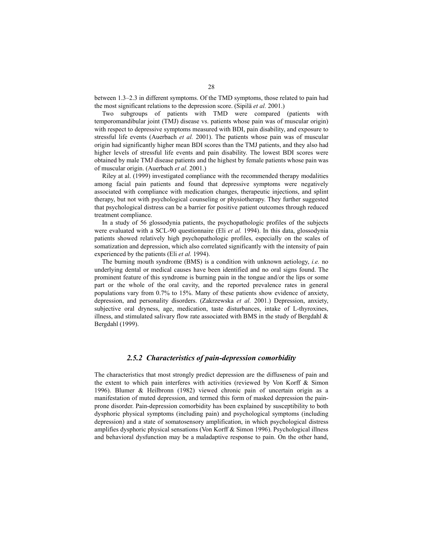between 1.3–2.3 in different symptoms. Of the TMD symptoms, those related to pain had the most significant relations to the depression score. (Sipilä *et al.* 2001.)

Two subgroups of patients with TMD were compared (patients with temporomandibular joint (TMJ) disease vs. patients whose pain was of muscular origin) with respect to depressive symptoms measured with BDI, pain disability, and exposure to stressful life events (Auerbach *et al.* 2001). The patients whose pain was of muscular origin had significantly higher mean BDI scores than the TMJ patients, and they also had higher levels of stressful life events and pain disability. The lowest BDI scores were obtained by male TMJ disease patients and the highest by female patients whose pain was of muscular origin. (Auerbach *et al.* 2001.)

Riley at al. (1999) investigated compliance with the recommended therapy modalities among facial pain patients and found that depressive symptoms were negatively associated with compliance with medication changes, therapeutic injections, and splint therapy, but not with psychological counseling or physiotherapy. They further suggested that psychological distress can be a barrier for positive patient outcomes through reduced treatment compliance.

In a study of 56 glossodynia patients, the psychopathologic profiles of the subjects were evaluated with a SCL-90 questionnaire (Eli *et al.* 1994). In this data, glossodynia patients showed relatively high psychopathologic profiles, especially on the scales of somatization and depression, which also correlated significantly with the intensity of pain experienced by the patients (Eli *et al.* 1994).

The burning mouth syndrome (BMS) is a condition with unknown aetiology, *i.e.* no underlying dental or medical causes have been identified and no oral signs found. The prominent feature of this syndrome is burning pain in the tongue and/or the lips or some part or the whole of the oral cavity, and the reported prevalence rates in general populations vary from 0.7% to 15%. Many of these patients show evidence of anxiety, depression, and personality disorders. (Zakrzewska *et al.* 2001.) Depression, anxiety, subjective oral dryness, age, medication, taste disturbances, intake of L-thyroxines, illness, and stimulated salivary flow rate associated with BMS in the study of Bergdahl  $\&$ Bergdahl (1999).

### *2.5.2 Characteristics of pain-depression comorbidity*

The characteristics that most strongly predict depression are the diffuseness of pain and the extent to which pain interferes with activities (reviewed by Von Korff & Simon 1996). Blumer & Heilbronn (1982) viewed chronic pain of uncertain origin as a manifestation of muted depression, and termed this form of masked depression the painprone disorder. Pain-depression comorbidity has been explained by susceptibility to both dysphoric physical symptoms (including pain) and psychological symptoms (including depression) and a state of somatosensory amplification, in which psychological distress amplifies dysphoric physical sensations (Von Korff & Simon 1996). Psychological illness and behavioral dysfunction may be a maladaptive response to pain. On the other hand,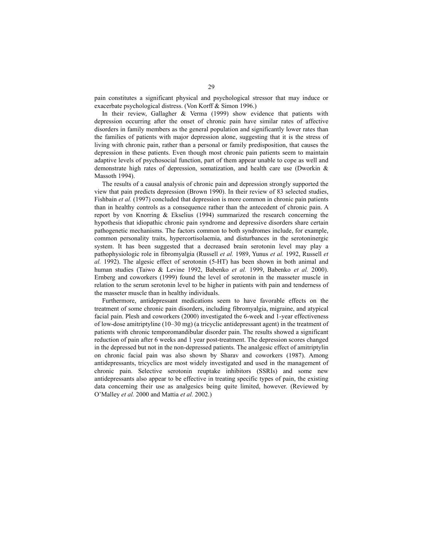pain constitutes a significant physical and psychological stressor that may induce or exacerbate psychological distress. (Von Korff & Simon 1996.)

In their review, Gallagher & Verma (1999) show evidence that patients with depression occurring after the onset of chronic pain have similar rates of affective disorders in family members as the general population and significantly lower rates than the families of patients with major depression alone, suggesting that it is the stress of living with chronic pain, rather than a personal or family predisposition, that causes the depression in these patients. Even though most chronic pain patients seem to maintain adaptive levels of psychosocial function, part of them appear unable to cope as well and demonstrate high rates of depression, somatization, and health care use (Dworkin & Massoth 1994).

The results of a causal analysis of chronic pain and depression strongly supported the view that pain predicts depression (Brown 1990). In their review of 83 selected studies, Fishbain *et al.* (1997) concluded that depression is more common in chronic pain patients than in healthy controls as a consequence rather than the antecedent of chronic pain. A report by von Knorring & Ekselius (1994) summarized the research concerning the hypothesis that idiopathic chronic pain syndrome and depressive disorders share certain pathogenetic mechanisms. The factors common to both syndromes include, for example, common personality traits, hypercortisolaemia, and disturbances in the serotoninergic system. It has been suggested that a decreased brain serotonin level may play a pathophysiologic role in fibromyalgia (Russell *et al.* 1989, Yunus *et al.* 1992, Russell *et al.* 1992). The algesic effect of serotonin (5-HT) has been shown in both animal and human studies (Taiwo & Levine 1992, Babenko *et al.* 1999, Babenko *et al.* 2000). Ernberg and coworkers (1999) found the level of serotonin in the masseter muscle in relation to the serum serotonin level to be higher in patients with pain and tenderness of the masseter muscle than in healthy individuals.

Furthermore, antidepressant medications seem to have favorable effects on the treatment of some chronic pain disorders, including fibromyalgia, migraine, and atypical facial pain. Plesh and coworkers (2000) investigated the 6-week and 1-year effectiveness of low-dose amitriptyline (10–30 mg) (a tricyclic antidepressant agent) in the treatment of patients with chronic temporomandibular disorder pain. The results showed a significant reduction of pain after 6 weeks and 1 year post-treatment. The depression scores changed in the depressed but not in the non-depressed patients. The analgesic effect of amitriptylin on chronic facial pain was also shown by Sharav and coworkers (1987). Among antidepressants, tricyclics are most widely investigated and used in the management of chronic pain. Selective serotonin reuptake inhibitors (SSRIs) and some new antidepressants also appear to be effective in treating specific types of pain, the existing data concerning their use as analgesics being quite limited, however. (Reviewed by O'Malley *et al.* 2000 and Mattia *et al.* 2002.)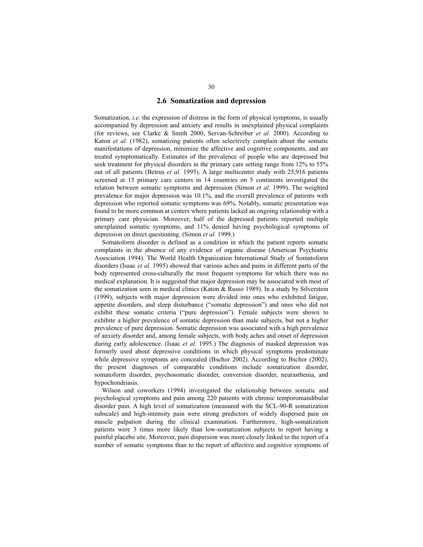#### **2.6 Somatization and depression**

Somatization, *i.e.* the expression of distress in the form of physical symptoms, is usually accompanied by depression and anxiety and results in unexplained physical complaints (for reviews, see Clarke & Smith 2000, Servan-Schreiber *et al.* 2000). According to Katon *et al.* (1982), somatizing patients often selectively complain about the somatic manifestations of depression, minimize the affective and cognitive components, and are treated symptomatically. Estimates of the prevalence of people who are depressed but seek treatment for physical disorders in the primary care setting range from 12% to 55% out of all patients (Betrus *et al.* 1995). A large multicenter study with 25,916 patients screened at 15 primary care centers in 14 countries on 5 continents investigated the relation between somatic symptoms and depression (Simon *et al.* 1999). The weighted prevalence for major depression was 10.1%, and the overall prevalence of patients with depression who reported somatic symptoms was 69%. Notably, somatic presentation was found to be more common at centers where patients lacked an ongoing relationship with a primary care physician. Moreover, half of the depressed patients reported multiple unexplained somatic symptoms, and 11% denied having psychological symptoms of depression on direct questioning. (Simon *et al.* 1999.)

Somatoform disorder is defined as a condition in which the patient reports somatic complaints in the absence of any evidence of organic disease (American Psychiatric Association 1994). The World Health Organization International Study of Somatoform disorders (Isaac *et al.* 1995) showed that various aches and pains in different parts of the body represented cross-culturally the most frequent symptoms for which there was no medical explanation. It is suggested that major depression may be associated with most of the somatization seen in medical clinics (Katon & Russo 1989). In a study by Silverstein (1999), subjects with major depression were divided into ones who exhibited fatigue, appetite disorders, and sleep disturbance ("somatic depression") and ones who did not exhibit these somatic criteria ("pure depression"). Female subjects were shown to exhibite a higher prevalence of somatic depression than male subjects, but not a higher prevalence of pure depression. Somatic depression was associated with a high prevalence of anxiety disorder and, among female subjects, with body aches and onset of depression during early adolescence. (Isaac *et al.* 1995.) The diagnosis of masked depression was formerly used about depressive conditions in which physical symptoms predominate while depressive symptoms are concealed (Bschor 2002). According to Bschor (2002), the present diagnoses of comparable conditions include somatization disorder, somatoform disorder, psychosomatic disorder, conversion disorder, neurasthenia, and hypochondriasis.

Wilson and coworkers (1994) investigated the relationship between somatic and psychological symptoms and pain among 220 patients with chronic temporomandibular disorder pain. A high level of somatization (measured with the SCL-90-R somatization subscale) and high-intensity pain were strong predictors of widely dispersed pain on muscle palpation during the clinical examination. Furthermore, high-somatization patients were 3 times more likely than low-somatization subjects to report having a painful placebo site. Moreover, pain dispersion was more closely linked to the report of a number of somatic symptoms than to the report of affective and cognitive symptoms of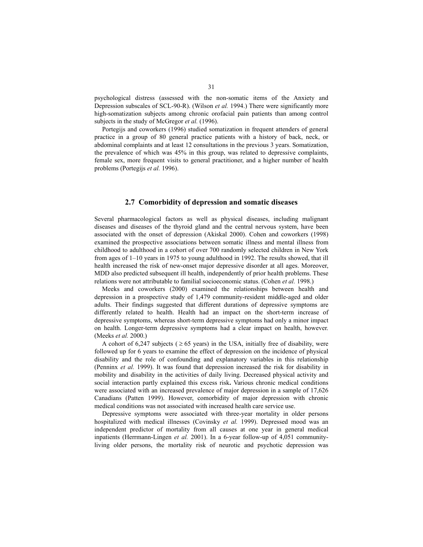psychological distress (assessed with the non-somatic items of the Anxiety and Depression subscales of SCL-90-R). (Wilson *et al.* 1994.) There were significantly more high-somatization subjects among chronic orofacial pain patients than among control subjects in the study of McGregor *et al.* (1996).

Portegijs and coworkers (1996) studied somatization in frequent attenders of general practice in a group of 80 general practice patients with a history of back, neck, or abdominal complaints and at least 12 consultations in the previous 3 years. Somatization, the prevalence of which was 45% in this group, was related to depressive complaints, female sex, more frequent visits to general practitioner, and a higher number of health problems (Portegijs *et al.* 1996).

### **2.7 Comorbidity of depression and somatic diseases**

Several pharmacological factors as well as physical diseases, including malignant diseases and diseases of the thyroid gland and the central nervous system, have been associated with the onset of depression (Akiskal 2000). Cohen and coworkers (1998) examined the prospective associations between somatic illness and mental illness from childhood to adulthood in a cohort of over 700 randomly selected children in New York from ages of 1–10 years in 1975 to young adulthood in 1992. The results showed, that ill health increased the risk of new-onset major depressive disorder at all ages. Moreover, MDD also predicted subsequent ill health, independently of prior health problems. These relations were not attributable to familial socioeconomic status. (Cohen *et al.* 1998.)

Meeks and coworkers (2000) examined the relationships between health and depression in a prospective study of 1,479 community-resident middle-aged and older adults. Their findings suggested that different durations of depressive symptoms are differently related to health. Health had an impact on the short-term increase of depressive symptoms, whereas short-term depressive symptoms had only a minor impact on health. Longer-term depressive symptoms had a clear impact on health, however. (Meeks *et al.* 2000.)

A cohort of 6,247 subjects ( $\geq 65$  years) in the USA, initially free of disability, were followed up for 6 years to examine the effect of depression on the incidence of physical disability and the role of confounding and explanatory variables in this relationship (Penninx *et al.* 1999). It was found that depression increased the risk for disability in mobility and disability in the activities of daily living. Decreased physical activity and social interaction partly explained this excess risk**.** Various chronic medical conditions were associated with an increased prevalence of major depression in a sample of 17,626 Canadians (Patten 1999). However, comorbidity of major depression with chronic medical conditions was not associated with increased health care service use.

Depressive symptoms were associated with three-year mortality in older persons hospitalized with medical illnesses (Covinsky *et al.* 1999). Depressed mood was an independent predictor of mortality from all causes at one year in general medical inpatients (Herrmann-Lingen *et al.* 2001). In a 6-year follow-up of 4,051 communityliving older persons, the mortality risk of neurotic and psychotic depression was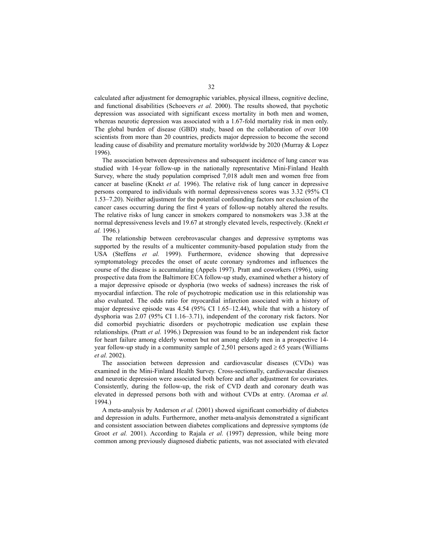calculated after adjustment for demographic variables, physical illness, cognitive decline, and functional disabilities (Schoevers *et al.* 2000). The results showed, that psychotic depression was associated with significant excess mortality in both men and women, whereas neurotic depression was associated with a 1.67-fold mortality risk in men only. The global burden of disease (GBD) study, based on the collaboration of over 100 scientists from more than 20 countries, predicts major depression to become the second leading cause of disability and premature mortality worldwide by 2020 (Murray & Lopez 1996).

The association between depressiveness and subsequent incidence of lung cancer was studied with 14-year follow-up in the nationally representative Mini-Finland Health Survey, where the study population comprised 7,018 adult men and women free from cancer at baseline (Knekt *et al.* 1996). The relative risk of lung cancer in depressive persons compared to individuals with normal depressiveness scores was 3.32 (95% CI 1.53–7.20). Neither adjustment for the potential confounding factors nor exclusion of the cancer cases occurring during the first 4 years of follow-up notably altered the results. The relative risks of lung cancer in smokers compared to nonsmokers was 3.38 at the normal depressiveness levels and 19.67 at strongly elevated levels, respectively. (Knekt *et al.* 1996.)

The relationship between cerebrovascular changes and depressive symptoms was supported by the results of a multicenter community-based population study from the USA (Steffens *et al.* 1999). Furthermore, evidence showing that depressive symptomatology precedes the onset of acute coronary syndromes and influences the course of the disease is accumulating (Appels 1997). Pratt and coworkers (1996), using prospective data from the Baltimore ECA follow-up study, examined whether a history of a major depressive episode or dysphoria (two weeks of sadness) increases the risk of myocardial infarction. The role of psychotropic medication use in this relationship was also evaluated. The odds ratio for myocardial infarction associated with a history of major depressive episode was 4.54 (95% CI 1.65–12.44), while that with a history of dysphoria was 2.07 (95% CI 1.16–3.71), independent of the coronary risk factors. Nor did comorbid psychiatric disorders or psychotropic medication use explain these relationships. (Pratt *et al.* 1996.) Depression was found to be an independent risk factor for heart failure among elderly women but not among elderly men in a prospective 14 year follow-up study in a community sample of 2,501 persons aged  $\geq$  65 years (Williams *et al.* 2002).

The association between depression and cardiovascular diseases (CVDs) was examined in the Mini-Finland Health Survey. Cross-sectionally, cardiovascular diseases and neurotic depression were associated both before and after adjustment for covariates. Consistently, during the follow-up, the risk of CVD death and coronary death was elevated in depressed persons both with and without CVDs at entry. (Aromaa *et al.* 1994.)

A meta-analysis by Anderson *et al.* (2001) showed significant comorbidity of diabetes and depression in adults. Furthermore, another meta-analysis demonstrated a significant and consistent association between diabetes complications and depressive symptoms (de Groot *et al.* 2001). According to Rajala *et al.* (1997) depression, while being more common among previously diagnosed diabetic patients, was not associated with elevated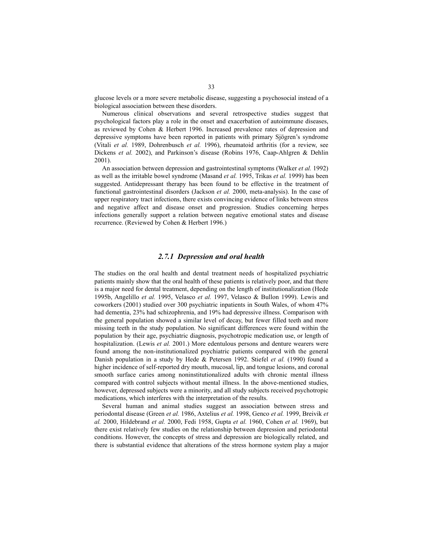glucose levels or a more severe metabolic disease, suggesting a psychosocial instead of a biological association between these disorders.

Numerous clinical observations and several retrospective studies suggest that psychological factors play a role in the onset and exacerbation of autoimmune diseases, as reviewed by Cohen & Herbert 1996. Increased prevalence rates of depression and depressive symptoms have been reported in patients with primary Sjögren's syndrome (Vitali *et al.* 1989, Dohrenbusch *et al.* 1996), rheumatoid arthritis (for a review, see Dickens *et al.* 2002), and Parkinson's disease (Robins 1976, Caap-Ahlgren & Dehlin 2001).

An association between depression and gastrointestinal symptoms (Walker *et al.* 1992) as well as the irritable bowel syndrome (Masand *et al.* 1995, Trikas *et al.* 1999) has been suggested. Antidepressant therapy has been found to be effective in the treatment of functional gastrointestinal disorders (Jackson *et al.* 2000, meta-analysis). In the case of upper respiratory tract infections, there exists convincing evidence of links between stress and negative affect and disease onset and progression. Studies concerning herpes infections generally support a relation between negative emotional states and disease recurrence. (Reviewed by Cohen & Herbert 1996.)

### *2.7.1 Depression and oral health*

The studies on the oral health and dental treatment needs of hospitalized psychiatric patients mainly show that the oral health of these patients is relatively poor, and that there is a major need for dental treatment, depending on the length of institutionalization (Hede 1995b, Angelillo *et al.* 1995, Velasco *et al.* 1997, Velasco & Bullon 1999). Lewis and coworkers (2001) studied over 300 psychiatric inpatients in South Wales, of whom 47% had dementia, 23% had schizophrenia, and 19% had depressive illness. Comparison with the general population showed a similar level of decay, but fewer filled teeth and more missing teeth in the study population. No significant differences were found within the population by their age, psychiatric diagnosis, psychotropic medication use, or length of hospitalization. (Lewis *et al.* 2001.) More edentulous persons and denture wearers were found among the non-institutionalized psychiatric patients compared with the general Danish population in a study by Hede & Petersen 1992. Stiefel *et al.* (1990) found a higher incidence of self-reported dry mouth, mucosal, lip, and tongue lesions, and coronal smooth surface caries among noninstitutionalized adults with chronic mental illness compared with control subjects without mental illness. In the above-mentioned studies, however, depressed subjects were a minority, and all study subjects received psychotropic medications, which interferes with the interpretation of the results.

Several human and animal studies suggest an association between stress and periodontal disease (Green *et al.* 1986, Axtelius *et al.* 1998, Genco *et al.* 1999, Breivik *et al.* 2000, Hildebrand *et al.* 2000, Fedi 1958, Gupta *et al.* 1960, Cohen *et al.* 1969), but there exist relatively few studies on the relationship between depression and periodontal conditions. However, the concepts of stress and depression are biologically related, and there is substantial evidence that alterations of the stress hormone system play a major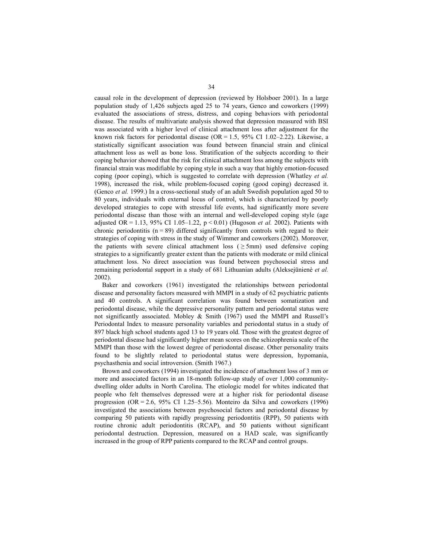causal role in the development of depression (reviewed by Holsboer 2001). In a large population study of 1,426 subjects aged 25 to 74 years, Genco and coworkers (1999) evaluated the associations of stress, distress, and coping behaviors with periodontal disease. The results of multivariate analysis showed that depression measured with BSI was associated with a higher level of clinical attachment loss after adjustment for the known risk factors for periodontal disease  $(OR = 1.5, 95\% \text{ CI } 1.02-2.22)$ . Likewise, a statistically significant association was found between financial strain and clinical attachment loss as well as bone loss. Stratification of the subjects according to their coping behavior showed that the risk for clinical attachment loss among the subjects with financial strain was modifiable by coping style in such a way that highly emotion-focused coping (poor coping), which is suggested to correlate with depression (Whatley *et al.* 1998), increased the risk, while problem-focused coping (good coping) decreased it. (Genco *et al.* 1999.) In a cross-sectional study of an adult Swedish population aged 50 to 80 years, individuals with external locus of control, which is characterized by poorly developed strategies to cope with stressful life events, had significantly more severe periodontal disease than those with an internal and well-developed coping style (age adjusted OR = 1.13, 95% CI 1.05–1.22,  $p < 0.01$ ) (Hugoson *et al.* 2002). Patients with chronic periodontitis  $(n = 89)$  differed significantly from controls with regard to their strategies of coping with stress in the study of Wimmer and coworkers (2002). Moreover, the patients with severe clinical attachment loss ( $\geq$  5mm) used defensive coping strategies to a significantly greater extent than the patients with moderate or mild clinical attachment loss. No direct association was found between psychosocial stress and remaining periodontal support in a study of 681 Lithuanian adults (Aleksejūnienè *et al.* 2002).

Baker and coworkers (1961) investigated the relationships between periodontal disease and personality factors measured with MMPI in a study of 62 psychiatric patients and 40 controls. A significant correlation was found between somatization and periodontal disease, while the depressive personality pattern and periodontal status were not significantly associated. Mobley & Smith (1967) used the MMPI and Russell's Periodontal Index to measure personality variables and periodontal status in a study of 897 black high school students aged 13 to 19 years old. Those with the greatest degree of periodontal disease had significantly higher mean scores on the schizophrenia scale of the MMPI than those with the lowest degree of periodontal disease. Other personality traits found to be slightly related to periodontal status were depression, hypomania, psychasthenia and social introversion. (Smith 1967.)

Brown and coworkers (1994) investigated the incidence of attachment loss of 3 mm or more and associated factors in an 18-month follow-up study of over 1,000 communitydwelling older adults in North Carolina. The etiologic model for whites indicated that people who felt themselves depressed were at a higher risk for periodontal disease progression (OR = 2.6, 95% CI 1.25–5.56). Monteiro da Silva and coworkers (1996) investigated the associations between psychosocial factors and periodontal disease by comparing 50 patients with rapidly progressing periodontitis (RPP), 50 patients with routine chronic adult periodontitis (RCAP), and 50 patients without significant periodontal destruction. Depression, measured on a HAD scale, was significantly increased in the group of RPP patients compared to the RCAP and control groups.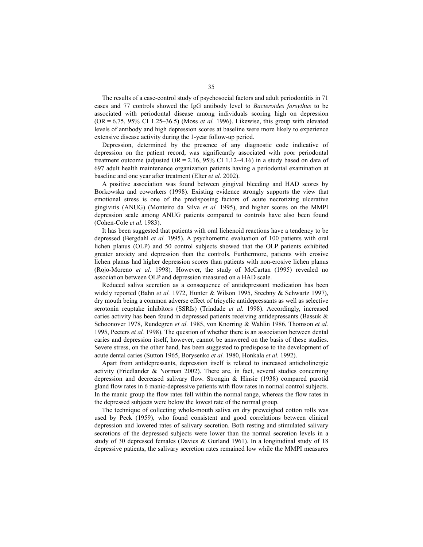The results of a case-control study of psychosocial factors and adult periodontitis in 71 cases and 77 controls showed the IgG antibody level to *Bacteroides forsythus* to be associated with periodontal disease among individuals scoring high on depression (OR = 6.75, 95% CI 1.25–36.5) (Moss *et al.* 1996). Likewise, this group with elevated levels of antibody and high depression scores at baseline were more likely to experience extensive disease activity during the 1-year follow-up period.

Depression, determined by the presence of any diagnostic code indicative of depression on the patient record, was significantly associated with poor periodontal treatment outcome (adjusted  $OR = 2.16$ , 95% CI 1.12–4.16) in a study based on data of 697 adult health maintenance organization patients having a periodontal examination at baseline and one year after treatment (Elter *et al.* 2002).

A positive association was found between gingival bleeding and HAD scores by Borkowska and coworkers (1998). Existing evidence strongly supports the view that emotional stress is one of the predisposing factors of acute necrotizing ulcerative gingivitis (ANUG) (Monteiro da Silva *et al.* 1995), and higher scores on the MMPI depression scale among ANUG patients compared to controls have also been found (Cohen-Cole *et al.* 1983).

It has been suggested that patients with oral lichenoid reactions have a tendency to be depressed (Bergdahl *et al.* 1995). A psychometric evaluation of 100 patients with oral lichen planus (OLP) and 50 control subjects showed that the OLP patients exhibited greater anxiety and depression than the controls. Furthermore, patients with erosive lichen planus had higher depression scores than patients with non-erosive lichen planus (Rojo-Moreno *et al.* 1998). However, the study of McCartan (1995) revealed no association between OLP and depression measured on a HAD scale.

Reduced saliva secretion as a consequence of antidepressant medication has been widely reported (Bahn *et al.* 1972, Hunter & Wilson 1995, Sreebny & Schwartz 1997), dry mouth being a common adverse effect of tricyclic antidepressants as well as selective serotonin reuptake inhibitors (SSRIs) (Trindade *et al.* 1998). Accordingly, increased caries activity has been found in depressed patients receiving antidepressants (Bassuk  $\&$ Schoonover 1978, Rundegren *et al.* 1985, von Knorring & Wahlin 1986, Thomson *et al.* 1995, Peeters *et al.* 1998). The question of whether there is an association between dental caries and depression itself, however, cannot be answered on the basis of these studies. Severe stress, on the other hand, has been suggested to predispose to the development of acute dental caries (Sutton 1965, Borysenko *et al.* 1980, Honkala *et al.* 1992).

Apart from antidepressants, depression itself is related to increased anticholinergic activity (Friedlander & Norman 2002). There are, in fact, several studies concerning depression and decreased salivary flow. Strongin & Hinsie (1938) compared parotid gland flow rates in 6 manic-depressive patients with flow rates in normal control subjects. In the manic group the flow rates fell within the normal range, whereas the flow rates in the depressed subjects were below the lowest rate of the normal group.

The technique of collecting whole-mouth saliva on dry preweighed cotton rolls was used by Peck (1959), who found consistent and good correlations between clinical depression and lowered rates of salivary secretion. Both resting and stimulated salivary secretions of the depressed subjects were lower than the normal secretion levels in a study of 30 depressed females (Davies & Gurland 1961). In a longitudinal study of 18 depressive patients, the salivary secretion rates remained low while the MMPI measures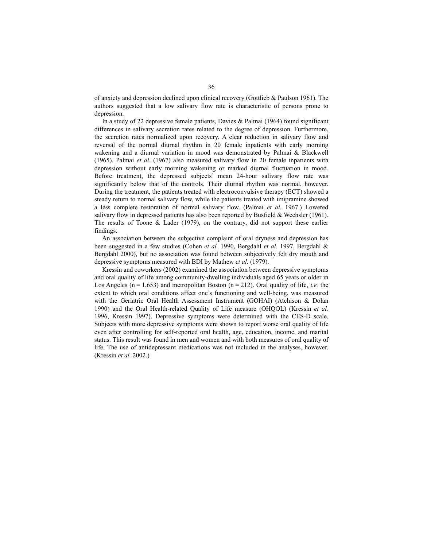of anxiety and depression declined upon clinical recovery (Gottlieb & Paulson 1961). The authors suggested that a low salivary flow rate is characteristic of persons prone to depression.

In a study of 22 depressive female patients, Davies & Palmai (1964) found significant differences in salivary secretion rates related to the degree of depression. Furthermore, the secretion rates normalized upon recovery. A clear reduction in salivary flow and reversal of the normal diurnal rhythm in 20 female inpatients with early morning wakening and a diurnal variation in mood was demonstrated by Palmai & Blackwell (1965). Palmai *et al.* (1967) also measured salivary flow in 20 female inpatients with depression without early morning wakening or marked diurnal fluctuation in mood. Before treatment, the depressed subjects' mean 24-hour salivary flow rate was significantly below that of the controls. Their diurnal rhythm was normal, however. During the treatment, the patients treated with electroconvulsive therapy (ECT) showed a steady return to normal salivary flow, while the patients treated with imipramine showed a less complete restoration of normal salivary flow. (Palmai *et al.* 1967.) Lowered salivary flow in depressed patients has also been reported by Busfield  $&$  Wechsler (1961). The results of Toone & Lader (1979), on the contrary, did not support these earlier findings.

An association between the subjective complaint of oral dryness and depression has been suggested in a few studies (Cohen *et al.* 1990, Bergdahl *et al.* 1997, Bergdahl & Bergdahl 2000), but no association was found between subjectively felt dry mouth and depressive symptoms measured with BDI by Mathew *et al.* (1979).

Kressin and coworkers (2002) examined the association between depressive symptoms and oral quality of life among community-dwelling individuals aged 65 years or older in Los Angeles ( $n = 1,653$ ) and metropolitan Boston ( $n = 212$ ). Oral quality of life, *i.e.* the extent to which oral conditions affect one's functioning and well-being, was measured with the Geriatric Oral Health Assessment Instrument (GOHAI) (Atchison & Dolan 1990) and the Oral Health-related Quality of Life measure (OHQOL) (Kressin *et al.* 1996, Kressin 1997). Depressive symptoms were determined with the CES-D scale. Subjects with more depressive symptoms were shown to report worse oral quality of life even after controlling for self-reported oral health, age, education, income, and marital status. This result was found in men and women and with both measures of oral quality of life. The use of antidepressant medications was not included in the analyses, however. (Kressin *et al.* 2002.)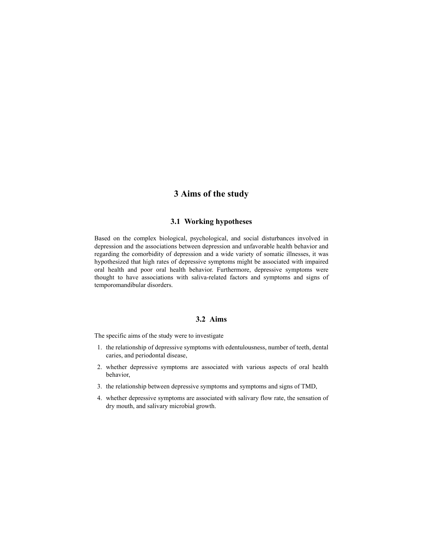# **3 Aims of the study**

### **3.1 Working hypotheses**

Based on the complex biological, psychological, and social disturbances involved in depression and the associations between depression and unfavorable health behavior and regarding the comorbidity of depression and a wide variety of somatic illnesses, it was hypothesized that high rates of depressive symptoms might be associated with impaired oral health and poor oral health behavior. Furthermore, depressive symptoms were thought to have associations with saliva-related factors and symptoms and signs of temporomandibular disorders.

### **3.2 Aims**

The specific aims of the study were to investigate

- 1. the relationship of depressive symptoms with edentulousness, number of teeth, dental caries, and periodontal disease,
- 2. whether depressive symptoms are associated with various aspects of oral health behavior,
- 3. the relationship between depressive symptoms and symptoms and signs of TMD,
- 4. whether depressive symptoms are associated with salivary flow rate, the sensation of dry mouth, and salivary microbial growth.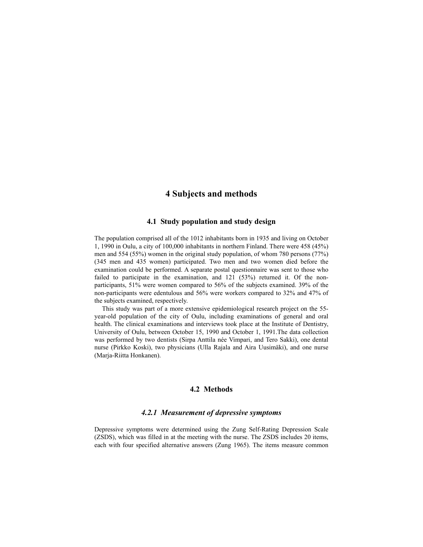## **4 Subjects and methods**

### **4.1 Study population and study design**

The population comprised all of the 1012 inhabitants born in 1935 and living on October 1, 1990 in Oulu, a city of 100,000 inhabitants in northern Finland. There were 458 (45%) men and 554 (55%) women in the original study population, of whom 780 persons (77%) (345 men and 435 women) participated. Two men and two women died before the examination could be performed. A separate postal questionnaire was sent to those who failed to participate in the examination, and 121 (53%) returned it. Of the nonparticipants, 51% were women compared to 56% of the subjects examined. 39% of the non-participants were edentulous and 56% were workers compared to 32% and 47% of the subjects examined, respectively.

This study was part of a more extensive epidemiological research project on the 55 year-old population of the city of Oulu, including examinations of general and oral health. The clinical examinations and interviews took place at the Institute of Dentistry, University of Oulu, between October 15, 1990 and October 1, 1991.The data collection was performed by two dentists (Sirpa Anttila née Vimpari, and Tero Sakki), one dental nurse (Pirkko Koski), two physicians (Ulla Rajala and Aira Uusimäki), and one nurse (Marja-Riitta Honkanen).

### **4.2 Methods**

### *4.2.1 Measurement of depressive symptoms*

Depressive symptoms were determined using the Zung Self-Rating Depression Scale (ZSDS), which was filled in at the meeting with the nurse. The ZSDS includes 20 items, each with four specified alternative answers (Zung 1965). The items measure common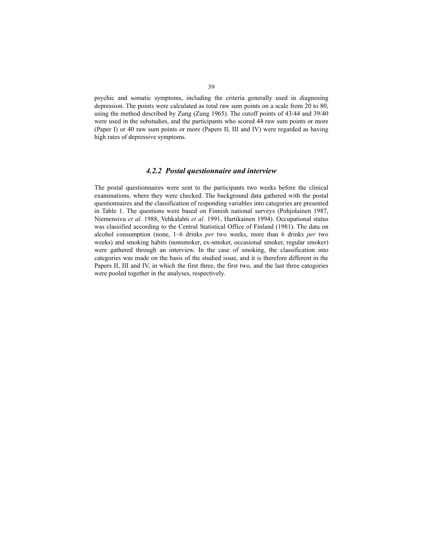psychic and somatic symptoms, including the criteria generally used in diagnosing depression. The points were calculated as total raw sum points on a scale from 20 to 80, using the method described by Zung (Zung 1965). The cutoff points of 43/44 and 39/40 were used in the substudies, and the participants who scored 44 raw sum points or more (Paper I) or 40 raw sum points or more (Papers II, III and IV) were regarded as having high rates of depressive symptoms.

### *4.2.2 Postal questionnaire and interview*

The postal questionnaires were sent to the participants two weeks before the clinical examinations, where they were checked. The background data gathered with the postal questionnaires and the classification of responding variables into categories are presented in Table 1. The questions were based on Finnish national surveys (Pohjolainen 1987, Niemensivu *et al.* 1988, Vehkalahti *et al.* 1991, Hartikainen 1994). Occupational status was classified according to the Central Statistical Office of Finland (1981). The data on alcohol consumption (none, 1–6 drinks *per* two weeks, more than 6 drinks *per* two weeks) and smoking habits (nonsmoker, ex-smoker, occasional smoker, regular smoker) were gathered through an interview. In the case of smoking, the classification into categories was made on the basis of the studied issue, and it is therefore different in the Papers II, III and IV, in which the first three, the first two, and the last three catogories were pooled together in the analyses, respectively.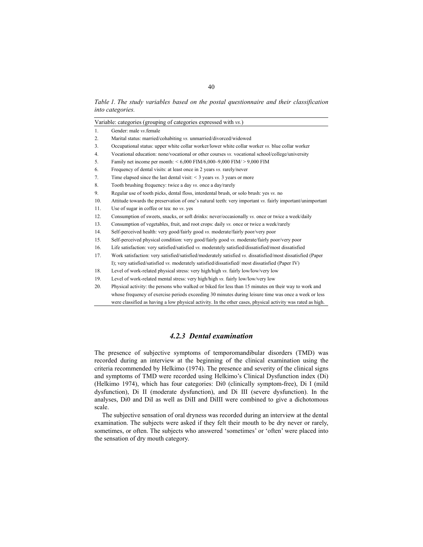*Table 1. The study variables based on the postal questionnaire and their classification into categories.* 

|     | Variable: categories (grouping of categories expressed with vs.)                                            |
|-----|-------------------------------------------------------------------------------------------------------------|
| 1.  | Gender: male vs. female                                                                                     |
| 2.  | Marital status: married/cohabiting vs. unmarried/divorced/widowed                                           |
| 3.  | Occupational status: upper white collar worker/lower white collar worker vs. blue collar worker             |
| 4.  | Vocational education: none/vocational or other courses vs. vocational school/college/university             |
| 5.  | Family net income per month: $< 6,000$ FIM/6,000-9,000 FIM/ $> 9,000$ FIM                                   |
| 6.  | Frequency of dental visits: at least once in 2 years vs. rarely/never                                       |
| 7.  | Time elapsed since the last dental visit: $\leq$ 3 years vs. 3 years or more                                |
| 8.  | Tooth brushing frequency: twice a day vs. once a day/rarely                                                 |
| 9.  | Regular use of tooth picks, dental floss, interdental brush, or solo brush: yes vs. no                      |
| 10. | Attitude towards the preservation of one's natural teeth: very important vs. fairly important/unimportant   |
| 11. | Use of sugar in coffee or tea: no vs. yes                                                                   |
| 12. | Consumption of sweets, snacks, or soft drinks: never/occasionally vs. once or twice a week/daily            |
| 13. | Consumption of vegetables, fruit, and root crops: daily vs. once or twice a week/rarely                     |
| 14. | Self-perceived health: very good/fairly good vs. moderate/fairly poor/very poor                             |
| 15. | Self-perceived physical condition: very good/fairly good vs. moderate/fairly poor/very poor                 |
| 16. | Life satisfaction: very satisfied/satisfied vs. moderately satisfied/dissatisfied/most dissatisfied         |
| 17. | Work satisfaction: very satisfied/satisfied/moderately satisfied vs. dissatisfied/most dissatisfied (Paper  |
|     | I); very satisfied/satisfied vs. moderately satisfied/dissatisfied/most dissatisfied (Paper IV)             |
| 18. | Level of work-related physical stress: very high/high vs. fairly low/low/very low                           |
| 19. | Level of work-related mental stress: very high/high vs. fairly low/low/very low                             |
| 20. | Physical activity: the persons who walked or biked for less than 15 minutes on their way to work and        |
|     | whose frequency of exercise periods exceeding 30 minutes during leisure time was once a week or less        |
|     | were classified as having a low physical activity. In the other cases, physical activity was rated as high. |

### *4.2.3 Dental examination*

The presence of subjective symptoms of temporomandibular disorders (TMD) was recorded during an interview at the beginning of the clinical examination using the criteria recommended by Helkimo (1974). The presence and severity of the clinical signs and symptoms of TMD were recorded using Helkimo's Clinical Dysfunction index (Di) (Helkimo 1974), which has four categories: Di0 (clinically symptom-free), Di I (mild dysfunction), Di II (moderate dysfunction), and Di III (severe dysfunction). In the analyses, Di0 and DiI as well as DiII and DiIII were combined to give a dichotomous scale.

The subjective sensation of oral dryness was recorded during an interview at the dental examination. The subjects were asked if they felt their mouth to be dry never or rarely, sometimes, or often. The subjects who answered 'sometimes' or 'often' were placed into the sensation of dry mouth category.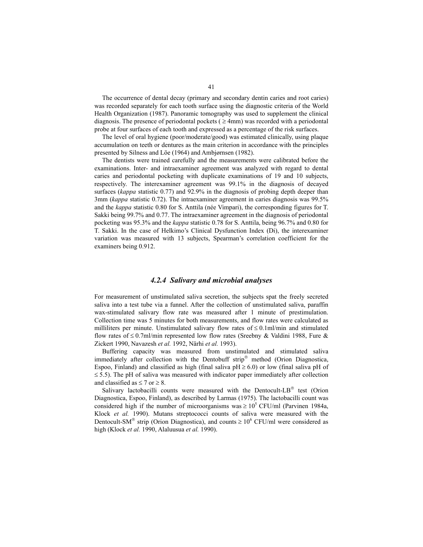The occurrence of dental decay (primary and secondary dentin caries and root caries) was recorded separately for each tooth surface using the diagnostic criteria of the World Health Organization (1987). Panoramic tomography was used to supplement the clinical diagnosis. The presence of periodontal pockets ( $\geq 4$ mm) was recorded with a periodontal probe at four surfaces of each tooth and expressed as a percentage of the risk surfaces.

The level of oral hygiene (poor/moderate/good) was estimated clinically, using plaque accumulation on teeth or dentures as the main criterion in accordance with the principles presented by Silness and Löe (1964) and Ambjørnsen (1982).

The dentists were trained carefully and the measurements were calibrated before the examinations. Inter- and intraexaminer agreement was analyzed with regard to dental caries and periodontal pocketing with duplicate examinations of 19 and 10 subjects, respectively. The interexaminer agreement was 99.1% in the diagnosis of decayed surfaces (*kappa* statistic 0.77) and 92.9% in the diagnosis of probing depth deeper than 3mm (*kappa* statistic 0.72). The intraexaminer agreement in caries diagnosis was 99.5% and the *kappa* statistic 0.80 for S. Anttila (née Vimpari), the corresponding figures for T. Sakki being 99.7% and 0.77. The intraexaminer agreement in the diagnosis of periodontal pocketing was 95.3% and the *kappa* statistic 0.78 for S. Anttila, being 96.7% and 0.80 for T. Sakki. In the case of Helkimo's Clinical Dysfunction Index (Di), the interexaminer variation was measured with 13 subjects, Spearman's correlation coefficient for the examiners being 0.912.

### *4.2.4 Salivary and microbial analyses*

For measurement of unstimulated saliva secretion, the subjects spat the freely secreted saliva into a test tube via a funnel. After the collection of unstimulated saliva, paraffin wax-stimulated salivary flow rate was measured after 1 minute of prestimulation. Collection time was 5 minutes for both measurements, and flow rates were calculated as milliliters per minute. Unstimulated salivary flow rates of  $\leq 0.1$ ml/min and stimulated flow rates of  $\leq 0.7$ ml/min represented low flow rates (Sreebny & Valdini 1988, Fure & Zickert 1990, Navazesh *et al.* 1992, Närhi *et al.* 1993).

Buffering capacity was measured from unstimulated and stimulated saliva immediately after collection with the Dentobuff strip<sup>®</sup> method (Orion Diagnostica, Espoo, Finland) and classified as high (final saliva pH  $\geq$  6.0) or low (final saliva pH of  $\le$  5.5). The pH of saliva was measured with indicator paper immediately after collection and classified as  $\leq 7$  or  $\geq 8$ .

Salivary lactobacilli counts were measured with the Dentocult-LB $^{\circ}$  test (Orion Diagnostica, Espoo, Finland), as described by Larmas (1975). The lactobacilli count was considered high if the number of microorganisms was  $\geq 10^5$  CFU/ml (Parvinen 1984a, Klock *et al.* 1990). Mutans streptococci counts of saliva were measured with the Dentocult-SM<sup>®</sup> strip (Orion Diagnostica), and counts  $\geq 10^6$  CFU/ml were considered as high (Klock *et al.* 1990, Alaluusua *et al.* 1990).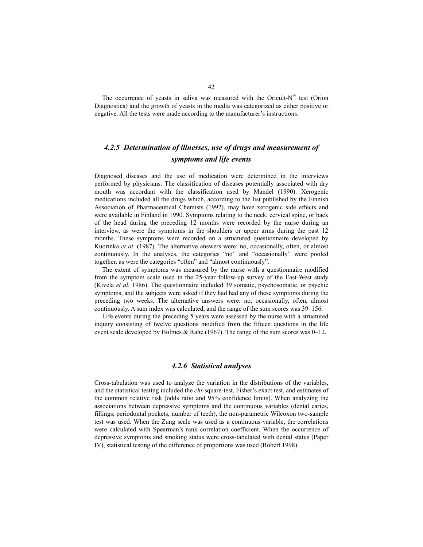The occurrence of yeasts in saliva was measured with the Oricult- $N^{\circledast}$  test (Orion Diagnostica) and the growth of yeasts in the media was categorized as either positive or negative. All the tests were made according to the manufacturer's instructions.

## *4.2.5 Determination of illnesses, use of drugs and measurement of symptoms and life events*

Diagnosed diseases and the use of medication were determined in the interviews performed by physicians. The classification of diseases potentially associated with dry mouth was accordant with the classification used by Mandel (1990). Xerogenic medications included all the drugs which, according to the list published by the Finnish Association of Pharmaceutical Chemists (1992), may have xerogenic side effects and were available in Finland in 1990. Symptoms relating to the neck, cervical spine, or back of the head during the preceding 12 months were recorded by the nurse during an interview, as were the symptoms in the shoulders or upper arms during the past 12 months. These symptoms were recorded on a structured questionnaire developed by Kuorinka *et al.* (1987). The alternative answers were: no, occasionally, often, or almost continuously. In the analyses, the categories "no" and "occasionally" were pooled together, as were the categories "often" and "almost continuously".

The extent of symptoms was measured by the nurse with a questionnaire modified from the symptom scale used in the 25-year follow-up survey of the East-West study (Kivelä *et al.* 1986). The questionnaire included 39 somatic, psychosomatic, or psychic symptoms, and the subjects were asked if they had had any of these symptoms during the preceding two weeks. The alternative answers were: no, occasionally, often, almost continuously. A sum index was calculated, and the range of the sum scores was 39–156.

Life events during the preceding 5 years were assessed by the nurse with a structured inquiry consisting of twelve questions modified from the fifteen questions in the life event scale developed by Holmes & Rahe (1967). The range of the sum scores was 0–12.

### *4.2.6 Statistical analyses*

Cross-tabulation was used to analyze the variation in the distributions of the variables, and the statistical testing included the *chi*-square-test, Fisher's exact test, and estimates of the common relative risk (odds ratio and 95% confidence limits). When analyzing the associations between depressive symptoms and the continuous variables (dental caries, fillings, periodontal pockets, number of teeth), the non-parametric Wilcoxon two-sample test was used. When the Zung scale was used as a continuous variable, the correlations were calculated with Spearman's rank correlation coefficient. When the occurrence of depressive symptoms and smoking status were cross-tabulated with dental status (Paper IV), statistical testing of the difference of proportions was used (Robert 1998).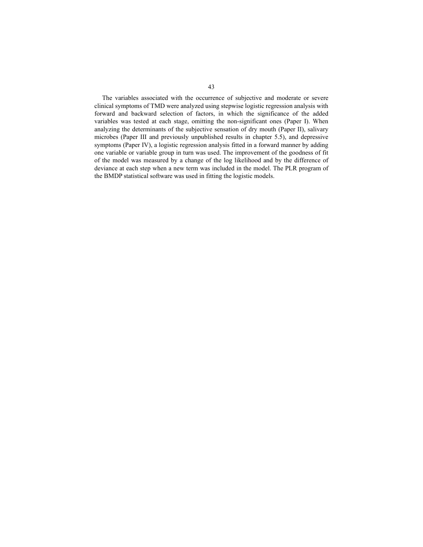The variables associated with the occurrence of subjective and moderate or severe clinical symptoms of TMD were analyzed using stepwise logistic regression analysis with forward and backward selection of factors, in which the significance of the added variables was tested at each stage, omitting the non-significant ones (Paper I). When analyzing the determinants of the subjective sensation of dry mouth (Paper II), salivary microbes (Paper III and previously unpublished results in chapter 5.5), and depressive symptoms (Paper IV), a logistic regression analysis fitted in a forward manner by adding one variable or variable group in turn was used. The improvement of the goodness of fit of the model was measured by a change of the log likelihood and by the difference of deviance at each step when a new term was included in the model. The PLR program of the BMDP statistical software was used in fitting the logistic models.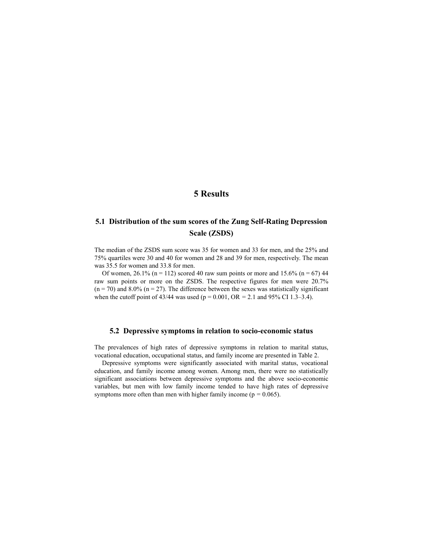## **5 Results**

## **5.1 Distribution of the sum scores of the Zung Self-Rating Depression Scale (ZSDS)**

The median of the ZSDS sum score was 35 for women and 33 for men, and the 25% and 75% quartiles were 30 and 40 for women and 28 and 39 for men, respectively. The mean was 35.5 for women and 33.8 for men.

Of women,  $26.1\%$  (n = 112) scored 40 raw sum points or more and 15.6% (n = 67) 44 raw sum points or more on the ZSDS. The respective figures for men were 20.7%  $(n = 70)$  and 8.0%  $(n = 27)$ . The difference between the sexes was statistically significant when the cutoff point of 43/44 was used (p = 0.001, OR *=* 2.1 and 95% CI 1.3–3.4).

#### **5.2 Depressive symptoms in relation to socio-economic status**

The prevalences of high rates of depressive symptoms in relation to marital status, vocational education, occupational status, and family income are presented in Table 2.

Depressive symptoms were significantly associated with marital status, vocational education, and family income among women. Among men, there were no statistically significant associations between depressive symptoms and the above socio-economic variables, but men with low family income tended to have high rates of depressive symptoms more often than men with higher family income ( $p = 0.065$ ).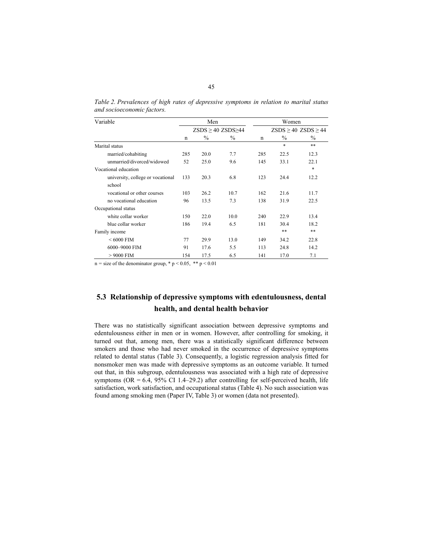| Variable                          |     | Men           |                               | Women       |                               |               |  |
|-----------------------------------|-----|---------------|-------------------------------|-------------|-------------------------------|---------------|--|
|                                   |     |               | $ZSDS \geq 40$ $ZSDS \geq 44$ |             | $ZSDS \geq 40$ $ZSDS \geq 44$ |               |  |
|                                   | n   | $\frac{0}{0}$ | $\frac{0}{0}$                 | $\mathbf n$ | $\frac{0}{0}$                 | $\frac{0}{0}$ |  |
| Marital status                    |     |               |                               |             | *                             | **            |  |
| married/cohabiting                | 285 | 20.0          | 7.7                           | 285         | 22.5                          | 12.3          |  |
| unmarried/divorced/widowed        | 52  | 25.0          | 9.6                           | 145         | 33.1                          | 22.1          |  |
| Vocational education              |     |               |                               |             |                               | $\ast$        |  |
| university, college or vocational | 133 | 20.3          | 6.8                           | 123         | 24.4                          | 12.2          |  |
| school                            |     |               |                               |             |                               |               |  |
| vocational or other courses       | 103 | 26.2          | 10.7                          | 162         | 21.6                          | 11.7          |  |
| no vocational education           | 96  | 13.5          | 7.3                           | 138         | 31.9                          | 22.5          |  |
| Occupational status               |     |               |                               |             |                               |               |  |
| white collar worker               | 150 | 22.0          | 10.0                          | 240         | 22.9                          | 13.4          |  |
| blue collar worker                | 186 | 19.4          | 6.5                           | 181         | 30.4                          | 18.2          |  |
| Family income                     |     |               |                               |             | **                            | **            |  |
| $< 6000$ FIM                      | 77  | 29.9          | 13.0                          | 149         | 34.2                          | 22.8          |  |
| 6000-9000 FIM                     | 91  | 17.6          | 5.5                           | 113         | 24.8                          | 14.2          |  |
| $>9000$ FIM                       | 154 | 17.5          | 6.5                           | 141         | 17.0                          | 7.1           |  |

*Table 2. Prevalences of high rates of depressive symptoms in relation to marital status and socioeconomic factors.* 

 $n =$  size of the denominator group,  $* p < 0.05$ ,  $** p < 0.01$ 

# **5.3 Relationship of depressive symptoms with edentulousness, dental health, and dental health behavior**

There was no statistically significant association between depressive symptoms and edentulousness either in men or in women. However, after controlling for smoking, it turned out that, among men, there was a statistically significant difference between smokers and those who had never smoked in the occurrence of depressive symptoms related to dental status (Table 3). Consequently, a logistic regression analysis fitted for nonsmoker men was made with depressive symptoms as an outcome variable. It turned out that, in this subgroup, edentulousness was associated with a high rate of depressive symptoms ( $OR = 6.4$ ,  $95\%$  CI 1.4–29.2) after controlling for self-perceived health, life satisfaction, work satisfaction, and occupational status (Table 4). No such association was found among smoking men (Paper IV, Table 3) or women (data not presented).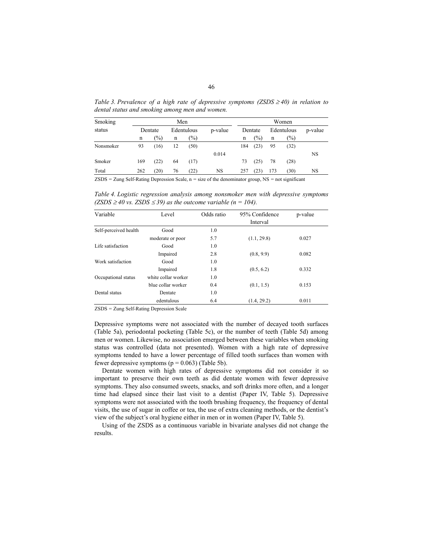| Smoking   |         | Men    |    |               |         |         |               | Women      |        |         |  |  |
|-----------|---------|--------|----|---------------|---------|---------|---------------|------------|--------|---------|--|--|
| status    | Dentate |        |    | Edentulous    | p-value | Dentate |               | Edentulous |        | p-value |  |  |
|           | n       | $(\%)$ | n  | $\frac{1}{2}$ |         | n       | $\frac{1}{2}$ | n          | $(\%)$ |         |  |  |
| Nonsmoker | 93      | (16)   | 12 | (50)          |         | 184     | (23)          | 95         | (32)   |         |  |  |
|           |         |        |    |               | 0.014   |         |               |            |        | NS      |  |  |
| Smoker    | 169     | (22)   | 64 | (17)          |         | 73      | (25)          | 78         | (28)   |         |  |  |
| Total     | 262     | (20)   | 76 | $^{(22)}$     | NS      | 257     | (23)          | 173        | (30)   | NS      |  |  |

*Table 3. Prevalence of a high rate of depressive symptoms (ZSDS ≥40) in relation to dental status and smoking among men and women.* 

ZSDS *=* Zung Self-Rating Depression Scale, n *=* size of the denominator group, NS *=* not significant

*Table 4. Logistic regression analysis among nonsmoker men with depressive symptoms*   $(ZSDS ≥ 40$  vs.  $ZSDS ≤ 39$ ) as the outcome variable (n = 104).

| Variable              | Level               | Odds ratio | 95% Confidence | p-value |
|-----------------------|---------------------|------------|----------------|---------|
|                       |                     |            | Interval       |         |
| Self-perceived health | Good                | 1.0        |                |         |
|                       | moderate or poor    | 5.7        | (1.1, 29.8)    | 0.027   |
| Life satisfaction     | Good                | 1.0        |                |         |
|                       | Impaired            | 2.8        | (0.8, 9.9)     | 0.082   |
| Work satisfaction     | Good                | 1.0        |                |         |
|                       | Impaired            | 1.8        | (0.5, 6.2)     | 0.332   |
| Occupational status   | white collar worker | 1.0        |                |         |
|                       | blue collar worker  | 0.4        | (0.1, 1.5)     | 0.153   |
| Dental status         | Dentate             | 1.0        |                |         |
|                       | edentulous          | 6.4        | (1.4, 29.2)    | 0.011   |

ZSDS *=* Zung Self-Rating Depression Scale

Depressive symptoms were not associated with the number of decayed tooth surfaces (Table 5a), periodontal pocketing (Table 5c), or the number of teeth (Table 5d) among men or women. Likewise, no association emerged between these variables when smoking status was controlled (data not presented). Women with a high rate of depressive symptoms tended to have a lower percentage of filled tooth surfaces than women with fewer depressive symptoms  $(p = 0.063)$  (Table 5b).

Dentate women with high rates of depressive symptoms did not consider it so important to preserve their own teeth as did dentate women with fewer depressive symptoms. They also consumed sweets, snacks, and soft drinks more often, and a longer time had elapsed since their last visit to a dentist (Paper IV, Table 5). Depressive symptoms were not associated with the tooth brushing frequency, the frequency of dental visits, the use of sugar in coffee or tea, the use of extra cleaning methods, or the dentist's view of the subject's oral hygiene either in men or in women (Paper IV, Table 5).

Using of the ZSDS as a continuous variable in bivariate analyses did not change the results.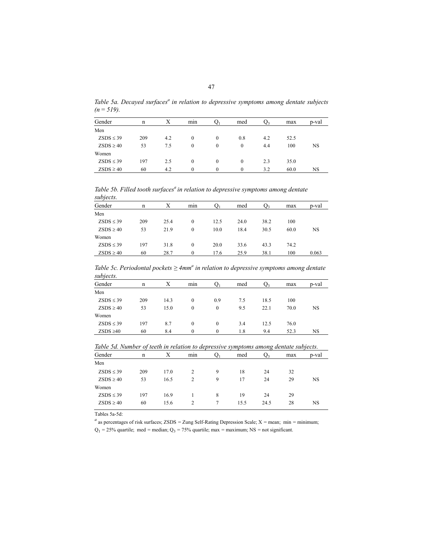|             |  |  | Table 5a. Decayed surfaces <sup>a</sup> in relation to depressive symptoms among dentate subjects |  |  |
|-------------|--|--|---------------------------------------------------------------------------------------------------|--|--|
| $(n=519)$ . |  |  |                                                                                                   |  |  |

| Gender         | n   |     | mın      |          | med      | J٦  | max  | p-val     |
|----------------|-----|-----|----------|----------|----------|-----|------|-----------|
| Men            |     |     |          |          |          |     |      |           |
| $ZSDS \leq 39$ | 209 | 4.2 | $\Omega$ | $\theta$ | 0.8      | 4.2 | 52.5 |           |
| $ZSDS \geq 40$ | 53  | 7.5 | $\theta$ | $\theta$ | $\theta$ | 4.4 | 100  | <b>NS</b> |
| Women          |     |     |          |          |          |     |      |           |
| $ZSDS \leq 39$ | 197 | 2.5 | $\theta$ | $\theta$ | $\Omega$ | 2.3 | 35.0 |           |
| $ZSDS \geq 40$ | 60  | 4.2 | $\Omega$ | $\Omega$ | $\Omega$ | 3.2 | 60.0 | NS        |

*Table 5b. Filled tooth surfacesa in relation to depressive symptoms among dentate subjects.*

| ----------     |     |      |          |      |      |      |      |       |
|----------------|-----|------|----------|------|------|------|------|-------|
| Gender         | n   | X    | mın      |      | med  | Ų٩   | max  | p-val |
| Men            |     |      |          |      |      |      |      |       |
| $ZSDS \leq 39$ | 209 | 25.4 | $\theta$ | 12.5 | 24.0 | 38.2 | 100  |       |
| $ZSDS \geq 40$ | 53  | 21.9 | $\Omega$ | 10.0 | 18.4 | 30.5 | 60.0 | NS    |
| Women          |     |      |          |      |      |      |      |       |
| $ZSDS \leq 39$ | 197 | 31.8 | $\theta$ | 20.0 | 33.6 | 43.3 | 74.2 |       |
| $ZSDS \geq 40$ | 60  | 28.7 | $\Omega$ | 17.6 | 25.9 | 38.1 | 100  | 0.063 |
|                |     |      |          |      |      |      |      |       |

*Table 5c. Periodontal pockets* ≥ 4mm<sup>a</sup> in relation to depressive symptoms among dentate *subjects.*

| Gender         | n   | Х    | min      |          | med | U٦   | max  | p-val     |
|----------------|-----|------|----------|----------|-----|------|------|-----------|
| Men            |     |      |          |          |     |      |      |           |
| $ZSDS \leq 39$ | 209 | 14.3 | $\theta$ | 0.9      | 7.5 | 18.5 | 100  |           |
| $ZSDS \geq 40$ | 53  | 15.0 | $\bf{0}$ | $\theta$ | 9.5 | 22.1 | 70.0 | <b>NS</b> |
| Women          |     |      |          |          |     |      |      |           |
| $ZSDS \leq 39$ | 197 | 8.7  | 0        | $\theta$ | 3.4 | 12.5 | 76.0 |           |
| $ZSDS \geq 40$ | 60  | 8.4  | 0        | $\Omega$ | 1.8 | 9.4  | 52.3 | NS        |

*Table 5d. Number of teeth in relation to depressive symptoms among dentate subjects.*

|                | $\cdot$ |      |                |   |      | . .  |     |       |
|----------------|---------|------|----------------|---|------|------|-----|-------|
| Gender         | n       | Х    | $\cdot$<br>min |   | med  | U٩   | max | p-val |
| Men            |         |      |                |   |      |      |     |       |
| $ZSDS \leq 39$ | 209     | 17.0 |                | 9 | 18   | 24   | 32  |       |
| $ZSDS \geq 40$ | 53      | 16.5 | $\overline{c}$ | 9 | 17   | 24   | 29  | NS    |
| Women          |         |      |                |   |      |      |     |       |
| $ZSDS \leq 39$ | 197     | 16.9 |                | 8 | 19   | 24   | 29  |       |
| $ZSDS \geq 40$ | 60      | 15.6 | 2              |   | 15.5 | 24.5 | 28  | NS    |
|                |         |      |                |   |      |      |     |       |

Tables 5a-5d:

*a* as percentages of risk surfaces; ZSDS *=* Zung Self-Rating Depression Scale; X *=* mean; min *=* minimum; Q1 *=* 25% quartile; med *=* median; Q3 *=* 75% quartile; max *=* maximum; NS *=* not significant.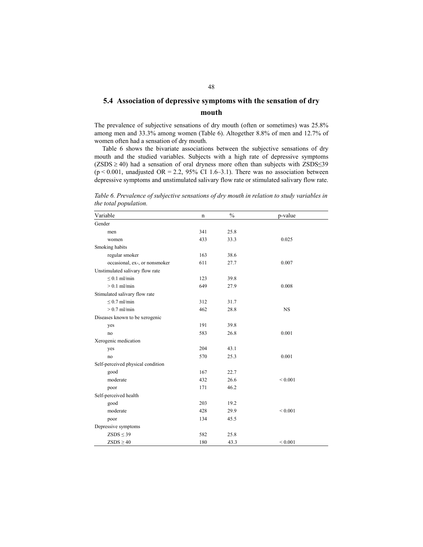## **5.4 Association of depressive symptoms with the sensation of dry mouth**

The prevalence of subjective sensations of dry mouth (often or sometimes) was 25.8% among men and 33.3% among women (Table 6). Altogether 8.8% of men and 12.7% of women often had a sensation of dry mouth.

Table 6 shows the bivariate associations between the subjective sensations of dry mouth and the studied variables. Subjects with a high rate of depressive symptoms  $(ZSDS \ge 40)$  had a sensation of oral dryness more often than subjects with  $ZSDS \le 39$  $(p < 0.001$ , unadjusted OR = 2.2, 95% CI 1.6–3.1). There was no association between depressive symptoms and unstimulated salivary flow rate or stimulated salivary flow rate.

*Table 6. Prevalence of subjective sensations of dry mouth in relation to study variables in the total population.* 

| Variable                          | n   | $\frac{0}{0}$ | p-value     |
|-----------------------------------|-----|---------------|-------------|
| Gender                            |     |               |             |
| men                               | 341 | 25.8          |             |
| women                             | 433 | 33.3          | 0.025       |
| Smoking habits                    |     |               |             |
| regular smoker                    | 163 | 38.6          |             |
| occasional, ex-, or nonsmoker     | 611 | 27.7          | 0.007       |
| Unstimulated salivary flow rate   |     |               |             |
| $\leq 0.1$ ml/min                 | 123 | 39.8          |             |
| $> 0.1$ ml/min                    | 649 | 27.9          | 0.008       |
| Stimulated salivary flow rate     |     |               |             |
| $\leq 0.7$ ml/min                 | 312 | 31.7          |             |
| $> 0.7$ ml/min                    | 462 | 28.8          | <b>NS</b>   |
| Diseases known to be xerogenic    |     |               |             |
| yes                               | 191 | 39.8          |             |
| no                                | 583 | 26.8          | 0.001       |
| Xerogenic medication              |     |               |             |
| yes                               | 204 | 43.1          |             |
| no                                | 570 | 25.3          | 0.001       |
| Self-perceived physical condition |     |               |             |
| good                              | 167 | 22.7          |             |
| moderate                          | 432 | 26.6          | ${}< 0.001$ |
| poor                              | 171 | 46.2          |             |
| Self-perceived health             |     |               |             |
| good                              | 203 | 19.2          |             |
| moderate                          | 428 | 29.9          | ${}< 0.001$ |
| poor                              | 134 | 45.5          |             |
| Depressive symptoms               |     |               |             |
| $ZSDS \leq 39$                    | 582 | 25.8          |             |
| $ZSDS \geq 40$                    | 180 | 43.3          | ${}< 0.001$ |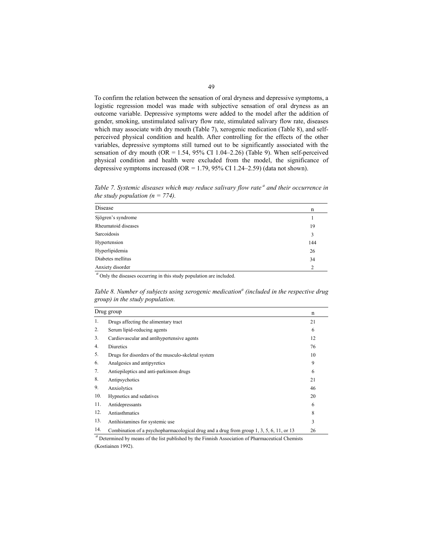To confirm the relation between the sensation of oral dryness and depressive symptoms, a logistic regression model was made with subjective sensation of oral dryness as an outcome variable. Depressive symptoms were added to the model after the addition of gender, smoking, unstimulated salivary flow rate, stimulated salivary flow rate, diseases which may associate with dry mouth (Table 7), xerogenic medication (Table 8), and selfperceived physical condition and health. After controlling for the effects of the other variables, depressive symptoms still turned out to be significantly associated with the sensation of dry mouth  $(OR = 1.54, 95\% \text{ CI } 1.04-2.26)$  (Table 9). When self-perceived physical condition and health were excluded from the model, the significance of depressive symptoms increased (OR *=* 1.79, 95% CI 1.24–2.59) (data not shown).

*Table 7. Systemic diseases which may reduce salivary flow rate* <sup>*a*</sup> and their occurrence in *the study population*  $(n = 774)$ *.* 

| Disease             | n   |
|---------------------|-----|
| Sjögren's syndrome  |     |
| Rheumatoid diseases | 19  |
| Sarcoidosis         | 3   |
| Hypertension        | 144 |
| Hyperlipidemia      | 26  |
| Diabetes mellitus   | 34  |
| Anxiety disorder    | 2   |

<sup>*a*</sup> Only the diseases occurring in this study population are included.

*Table 8. Number of subjects using xerogenic medication<sup>a</sup> (included in the respective drug group) in the study population.* 

|     | Drug group                                                                              | n  |
|-----|-----------------------------------------------------------------------------------------|----|
| 1.  | Drugs affecting the alimentary tract                                                    | 21 |
| 2.  | Serum lipid-reducing agents                                                             | 6  |
| 3.  | Cardiovascular and antihypertensive agents                                              | 12 |
| 4.  | <b>Diuretics</b>                                                                        | 76 |
| 5.  | Drugs for disorders of the musculo-skeletal system                                      | 10 |
| 6.  | Analgesics and antipyretics                                                             | 9  |
| 7.  | Antiepileptics and anti-parkinson drugs                                                 | 6  |
| 8.  | Antipsychotics                                                                          | 21 |
| 9.  | Anxiolytics                                                                             | 46 |
| 10. | Hypnotics and sedatives                                                                 | 20 |
| 11. | Antidepressants                                                                         | 6  |
| 12. | Antiasthmatics                                                                          | 8  |
| 13. | Antihistamines for systemic use                                                         | 3  |
| 14. | Combination of a psychopharmacological drug and a drug from group 1, 3, 5, 6, 11, or 13 | 26 |

*<sup>a</sup>* Determined by means of the list published by the Finnish Association of Pharmaceutical Chemists (Kostiainen 1992).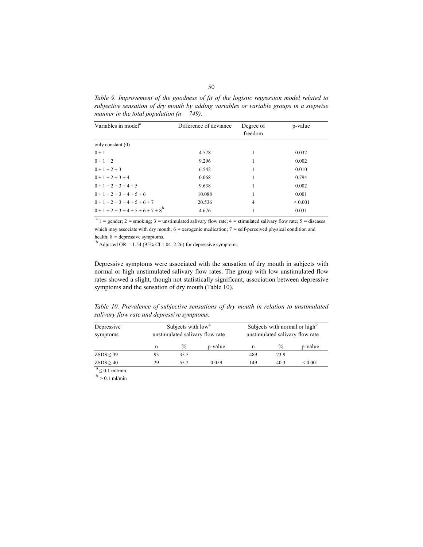*Table 9. Improvement of the goodness of fit of the logistic regression model related to subjective sensation of dry mouth by adding variables or variable groups in a stepwise manner in the total population (n = 749).* 

| Variables in model <sup>a</sup>  | Difference of deviance | Degree of<br>freedom | p-value      |
|----------------------------------|------------------------|----------------------|--------------|
| only constant $(0)$              |                        |                      |              |
| $0 + 1$                          | 4.578                  | 1                    | 0.032        |
| $0 + 1 + 2$                      | 9.296                  | 1                    | 0.002        |
| $0 + 1 + 2 + 3$                  | 6.542                  | 1                    | 0.010        |
| $0 + 1 + 2 + 3 + 4$              | 0.068                  |                      | 0.794        |
| $0+1+2+3+4+5$                    | 9.638                  |                      | 0.002        |
| $0+1+2+3+4+5+6$                  | 10.088                 |                      | 0.001        |
| $0+1+2+3+4+5+6+7$                | 20.536                 | $\overline{4}$       | ${}_{0.001}$ |
| $0+1+2+3+4+5+6+7+8$ <sup>b</sup> | 4.676                  | 1                    | 0.031        |

 $a<sup>a</sup>$  1 = gender; 2 = smoking; 3 = unstimulated salivary flow rate; 4 = stimulated salivary flow rate; 5 = diseases which may associate with dry mouth;  $6 =$  xerogenic medication;  $7 =$  self-perceived physical condition and health; 8 = depressive symptoms.<br><sup>b</sup> Adjusted OR = 1.54 (95% CI 1.04–2.26) for depressive symptoms.

Depressive symptoms were associated with the sensation of dry mouth in subjects with normal or high unstimulated salivary flow rates. The group with low unstimulated flow rates showed a slight, though not statistically significant, association between depressive symptoms and the sensation of dry mouth (Table 10).

*Table 10. Prevalence of subjective sensations of dry mouth in relation to unstimulated salivary flow rate and depressive symptoms.* 

| Depressive<br>symptoms |    |      |         | Subjects with normal or high <sup>o</sup><br>Subjects with low <sup>a</sup><br>unstimulated salivary flow rate<br>unstimulated salivary flow rate |      |              |  |
|------------------------|----|------|---------|---------------------------------------------------------------------------------------------------------------------------------------------------|------|--------------|--|
|                        | n  | $\%$ | p-value | n                                                                                                                                                 | $\%$ | p-value      |  |
| $ZSDS \leq 39$         | 93 | 35.5 |         | 489                                                                                                                                               | 23.9 |              |  |
| $ZSDS \geq 40$         | 29 | 55.2 | 0.059   | 149                                                                                                                                               | 40.3 | ${}_{0.001}$ |  |

 $\frac{a}{b} \leq 0.1$  ml/min<br> $b > 0.1$  ml/min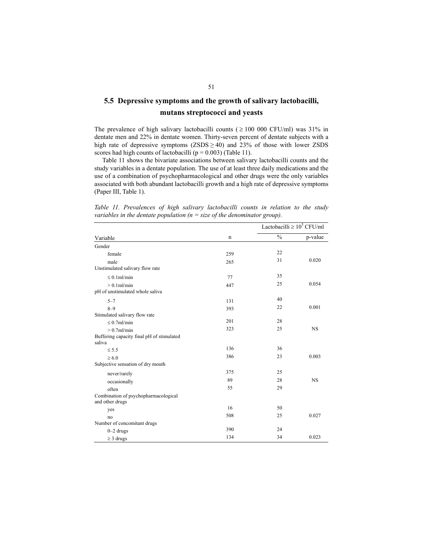# **5.5 Depressive symptoms and the growth of salivary lactobacilli, mutans streptococci and yeasts**

The prevalence of high salivary lactobacilli counts ( $\geq 100000$  CFU/ml) was 31% in dentate men and 22% in dentate women. Thirty-seven percent of dentate subjects with a high rate of depressive symptoms  $(ZSDS \geq 40)$  and 23% of those with lower ZSDS scores had high counts of lactobacilli ( $p = 0.003$ ) (Table 11).

Table 11 shows the bivariate associations between salivary lactobacilli counts and the study variables in a dentate population. The use of at least three daily medications and the use of a combination of psychopharmacological and other drugs were the only variables associated with both abundant lactobacilli growth and a high rate of depressive symptoms (Paper III, Table 1).

*Table 11. Prevalences of high salivary lactobacilli counts in relation to the study variables in the dentate population (n = size of the denominator group).* 

|                                                         |             | Lactobacilli $\geq 10^5$ CFU/ml |           |
|---------------------------------------------------------|-------------|---------------------------------|-----------|
| Variable                                                | $\mathbf n$ | $\frac{0}{0}$                   | p-value   |
| Gender                                                  |             |                                 |           |
| female                                                  | 259         | 22                              |           |
| male<br>Unstimulated salivary flow rate                 | 265         | 31                              | 0.020     |
| $< 0.1$ ml/min                                          | 77          | 35                              |           |
| $> 0.1$ ml/min<br>pH of unstimulated whole saliva       | 447         | 25                              | 0.054     |
| $5 - 7$                                                 | 131         | 40                              |           |
| $8 - 9$<br>Stimulated salivary flow rate                | 393         | 22                              | 0.001     |
| $< 0.7$ ml/min                                          | 201         | 28                              |           |
| $> 0.7$ ml/min                                          | 323         | 25                              | <b>NS</b> |
| Buffering capacity final pH of stimulated<br>saliva     |             |                                 |           |
| $\leq$ 5.5                                              | 136         | 36                              |           |
| $\geq 6.0$                                              | 386         | 23                              | 0.003     |
| Subjective sensation of dry mouth                       |             |                                 |           |
| never/rarely                                            | 375         | 25                              |           |
| occasionally                                            | 89          | 28                              | <b>NS</b> |
| often                                                   | 55          | 29                              |           |
| Combination of psychopharmacological<br>and other drugs |             |                                 |           |
| yes                                                     | 16          | 50                              |           |
| no                                                      | 508         | 25                              | 0.027     |
| Number of concomitant drugs                             |             |                                 |           |
| $0-2$ drugs                                             | 390         | 24                              |           |
| $\geq$ 3 drugs                                          | 134         | 34                              | 0.023     |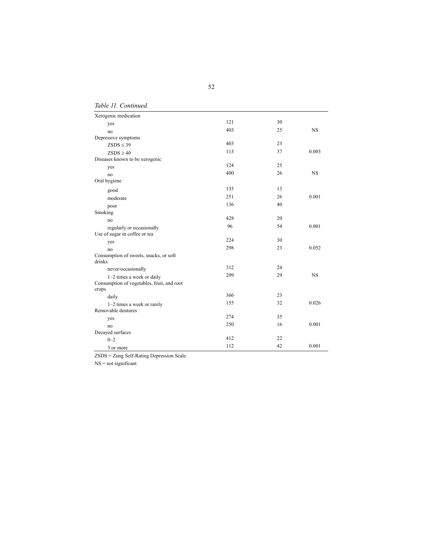*Table 11. Continued.* 

| Xerogenic medication                                |     |    |           |
|-----------------------------------------------------|-----|----|-----------|
| yes                                                 | 121 | 30 |           |
| no                                                  | 403 | 25 | <b>NS</b> |
| Depressive symptoms                                 |     |    |           |
| $ZSDS \leq 39$                                      | 403 | 23 |           |
| $ZSDS \geq 40$                                      | 113 | 37 | 0.003     |
| Diseases known to be xerogenic                      |     |    |           |
| yes                                                 | 124 | 25 |           |
| no                                                  | 400 | 26 | <b>NS</b> |
| Oral hygiene                                        |     |    |           |
| good                                                | 135 | 13 |           |
| moderate                                            | 251 | 26 | 0.001     |
| poor                                                | 136 | 40 |           |
| Smoking                                             |     |    |           |
| no                                                  | 428 | 20 |           |
| regularly or occasionally                           | 96  | 54 | 0.001     |
| Use of sugar in coffee or tea                       |     |    |           |
| yes                                                 | 224 | 30 |           |
| no                                                  | 298 | 23 | 0.052     |
| Consumption of sweets, snacks, or soft<br>drinks    |     |    |           |
| never/occasionally                                  | 312 | 24 |           |
| 1-2 times a week or daily                           | 209 | 29 | <b>NS</b> |
| Consumption of vegetables, fruit, and root<br>crops |     |    |           |
| daily                                               | 366 | 23 |           |
| 1–2 times a week or rarely                          | 155 | 32 | 0.026     |
| Removable dentures                                  |     |    |           |
| yes                                                 | 274 | 35 |           |
| no                                                  | 250 | 16 | 0.001     |
| Decayed surfaces                                    |     |    |           |
| $0 - 2$                                             | 412 | 22 |           |
| 3 or more                                           | 112 | 42 | 0.001     |

ZSDS = Zung Self-Rating Depression Scale

 $NS = not significant$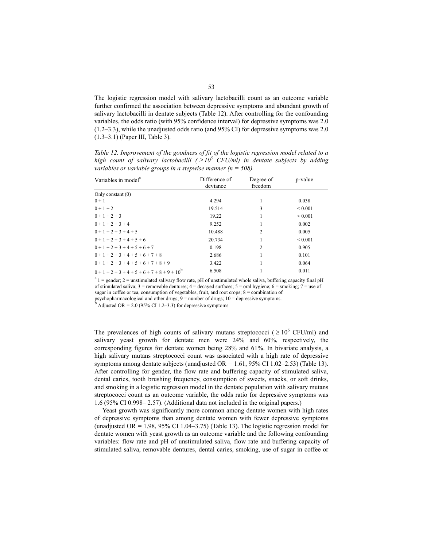The logistic regression model with salivary lactobacilli count as an outcome variable further confirmed the association between depressive symptoms and abundant growth of salivary lactobacilli in dentate subjects (Table 12). After controlling for the confounding variables, the odds ratio (with 95% confidence interval) for depressive symptoms was 2.0 (1.2–3.3), while the unadjusted odds ratio (and 95% CI) for depressive symptoms was 2.0 (1.3–3.1) (Paper III, Table 3).

| variables or variable groups in a stepwise manner ( $n = 508$ ). |                           |                      |              |  |  |  |  |
|------------------------------------------------------------------|---------------------------|----------------------|--------------|--|--|--|--|
| Variables in model <sup>a</sup>                                  | Difference of<br>deviance | Degree of<br>freedom | p-value      |  |  |  |  |
| Only constant $(0)$                                              |                           |                      |              |  |  |  |  |
| $0 + 1$                                                          | 4.294                     |                      | 0.038        |  |  |  |  |
| $0 + 1 + 2$                                                      | 19.514                    | 3                    | ${}_{0.001}$ |  |  |  |  |
| $0 + 1 + 2 + 3$                                                  | 19.22                     |                      | ${}_{0.001}$ |  |  |  |  |
| $0 + 1 + 2 + 3 + 4$                                              | 9.252                     |                      | 0.002        |  |  |  |  |
| $0+1+2+3+4+5$                                                    | 10.488                    | 2                    | 0.005        |  |  |  |  |
| $0+1+2+3+4+5+6$                                                  | 20.734                    |                      | ${}_{0.001}$ |  |  |  |  |
| $0+1+2+3+4+5+6+7$                                                | 0.198                     | 2                    | 0.905        |  |  |  |  |
| $0+1+2+3+4+5+6+7+8$                                              | 2.686                     |                      | 0.101        |  |  |  |  |
| $0+1+2+3+4+5+6+7+8+9$                                            | 3.422                     |                      | 0.064        |  |  |  |  |
| $0+1+2+3+4+5+6+7+8+9+10^{6}$                                     | 6.508                     |                      | 0.011        |  |  |  |  |

*Table 12. Improvement of the goodness of fit of the logistic regression model related to a high count of salivary lactobacilli* ( $\geq 10^5$  CFU/ml) in dentate subjects by adding *variables or variable groups in a stepwise manner (n = 508).* 

 $a_1 = \text{gender}$ ; 2 = unstimulated salivary flow rate, pH of unstimulated whole saliva, buffering capacity final pH of stimulated saliva;  $3 =$  removable dentures;  $4 =$  decayed surfaces;  $5 =$  oral hygiene;  $6 =$  smoking;  $7 =$  use of sugar in coffee or tea, consumption of vegetables, fruit, and root crops; 8 = combination of psychopharmacological and other drugs;  $9 =$  number of drugs;  $10 =$  depressive symptoms.

Adjusted OR =  $2.0$  (95% CI 1.2–3.3) for depressive symptoms

The prevalences of high counts of salivary mutans streptococci ( $\geq 10^6$  CFU/ml) and salivary yeast growth for dentate men were 24% and 60%, respectively, the corresponding figures for dentate women being 28% and 61%. In bivariate analysis, a high salivary mutans streptococci count was associated with a high rate of depressive symptoms among dentate subjects (unadjusted OR *=* 1.61, 95% CI 1.02–2.53) (Table 13). After controlling for gender, the flow rate and buffering capacity of stimulated saliva, dental caries, tooth brushing frequency, consumption of sweets, snacks, or soft drinks, and smoking in a logistic regression model in the dentate population with salivary mutans streptococci count as an outcome variable, the odds ratio for depressive symptoms was 1.6 (95% CI 0.998– 2.57). (Additional data not included in the original papers.)

Yeast growth was significantly more common among dentate women with high rates of depressive symptoms than among dentate women with fewer depressive symptoms (unadjusted OR *=* 1.98, 95% CI 1.04–3.75) (Table 13). The logistic regression model for dentate women with yeast growth as an outcome variable and the following confounding variables: flow rate and pH of unstimulated saliva, flow rate and buffering capacity of stimulated saliva, removable dentures, dental caries, smoking, use of sugar in coffee or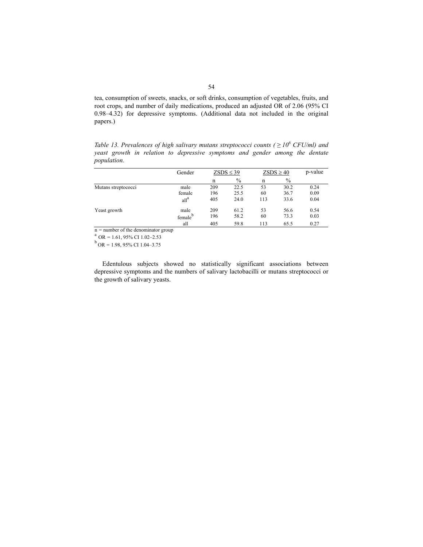tea, consumption of sweets, snacks, or soft drinks, consumption of vegetables, fruits, and root crops, and number of daily medications, produced an adjusted OR of 2.06 (95% CI 0.98–4.32) for depressive symptoms. (Additional data not included in the original papers.)

*Table 13. Prevalences of high salivary mutans streptococci counts (* $\geq 10^6$  *CFU/ml) and yeast growth in relation to depressive symptoms and gender among the dentate population.* 

|                         | Gender              |     | $ZSDS \leq 39$ |     | $ZSDS \geq 40$ | p-value |
|-------------------------|---------------------|-----|----------------|-----|----------------|---------|
|                         |                     | n   | $\%$           | n   | $\%$           |         |
| Mutans streptococci     | male                | 209 | 22.5           | 53  | 30.2           | 0.24    |
|                         | female              | 196 | 25.5           | 60  | 36.7           | 0.09    |
|                         | all <sup>a</sup>    | 405 | 24.0           | 113 | 33.6           | 0.04    |
| Yeast growth            | male                | 209 | 61.2           | 53  | 56.6           | 0.54    |
|                         | female <sup>b</sup> | 196 | 58.2           | 60  | 73.3           | 0.03    |
| $\sim$<br>$\sim$ $\sim$ | all                 | 405 | 59.8           | 113 | 65.5           | 0.27    |

<sup>n</sup> *=* number of the denominator group a OR *=* 1.61, 95% CI 1.02–2.53 b OR *=* 1.98, 95% CI 1.04–3.75

Edentulous subjects showed no statistically significant associations between depressive symptoms and the numbers of salivary lactobacilli or mutans streptococci or the growth of salivary yeasts.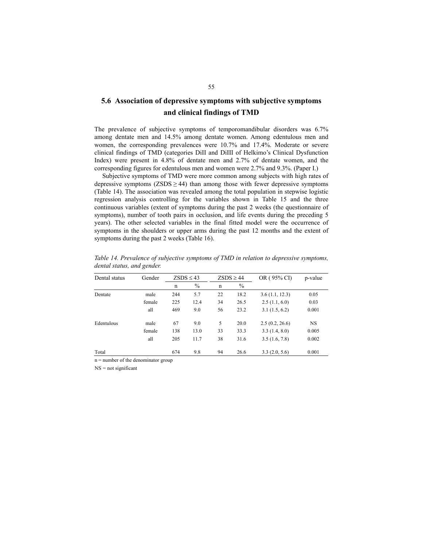## **5.6 Association of depressive symptoms with subjective symptoms and clinical findings of TMD**

The prevalence of subjective symptoms of temporomandibular disorders was 6.7% among dentate men and 14.5% among dentate women. Among edentulous men and women, the corresponding prevalences were 10.7% and 17.4%. Moderate or severe clinical findings of TMD (categories DiII and DiIII of Helkimo's Clinical Dysfunction Index) were present in 4.8% of dentate men and 2.7% of dentate women, and the corresponding figures for edentulous men and women were 2.7% and 9.3%. (Paper I.)

Subjective symptoms of TMD were more common among subjects with high rates of depressive symptoms  $(ZSDS \ge 44)$  than among those with fewer depressive symptoms (Table 14). The association was revealed among the total population in stepwise logistic regression analysis controlling for the variables shown in Table 15 and the three continuous variables (extent of symptoms during the past 2 weeks (the questionnaire of symptoms), number of tooth pairs in occlusion, and life events during the preceding 5 years). The other selected variables in the final fitted model were the occurrence of symptoms in the shoulders or upper arms during the past 12 months and the extent of symptoms during the past 2 weeks (Table 16).

| Dental status | Gender |     | $ZSDS \leq 43$ |    | $ZSDS \geq 44$ | OR (95% CI)    | p-value   |
|---------------|--------|-----|----------------|----|----------------|----------------|-----------|
|               |        | n   | $\%$           | n  | $\%$           |                |           |
| Dentate       | male   | 244 | 5.7            | 22 | 18.2           | 3.6(1.1, 12.3) | 0.05      |
|               | female | 225 | 12.4           | 34 | 26.5           | 2.5(1.1, 6.0)  | 0.03      |
|               | all    | 469 | 9.0            | 56 | 23.2           | 3.1(1.5, 6.2)  | 0.001     |
| Edentulous    | male   | 67  | 9.0            | 5  | 20.0           | 2.5(0.2, 26.6) | <b>NS</b> |
|               | female | 138 | 13.0           | 33 | 33.3           | 3.3(1.4, 8.0)  | 0.005     |
|               | all    | 205 | 11.7           | 38 | 31.6           | 3.5(1.6, 7.8)  | 0.002     |
| Total         |        | 674 | 9.8            | 94 | 26.6           | 3.3(2.0, 5.6)  | 0.001     |

*Table 14. Prevalence of subjective symptoms of TMD in relation to depressive symptoms, dental status, and gender.* 

 $n =$  number of the denominator group

NS *=* not significant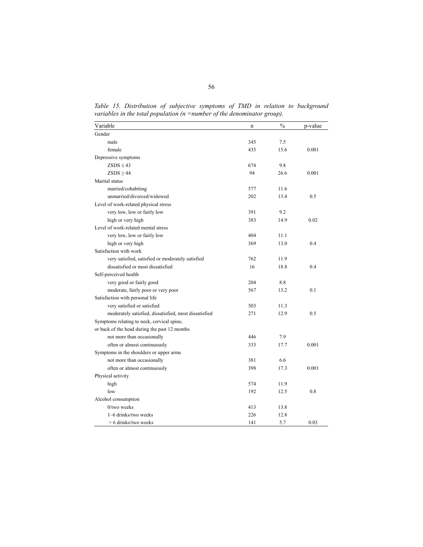Variable **n**  $\frac{9}{6}$  p-value Gender male 345 7.5 female 435 15.6 0.001 Depressive symptoms  $ZSDS \le 43$  674 9.8  $ZSDS \ge 44$  94 26.6 0.001 Marital status married/cohabiting 577 11.6 unmarried/divorced/widowed 202 13.4 0.5 Level of work-related physical stress very low, low or fairly low 391 9.2 high or very high 383 14.9 0.02 Level of work-related mental stress very low, low or fairly low 404 11.1 high or very high 369 13.0 0.4 Satisfaction with work very satisfied, satisfied or moderately satisfied 762 11.9 dissatisfied or most dissatisfied 16 18.8 0.4 Self-perceived health very good or fairly good 204 8.8 moderate, fairly poor or very poor 567 13.2 0.1 Satisfaction with personal life very satisfied or satisfied 503 11.3 moderately satisfied, dissatisfied, most dissatisfied 271 12.9 0.5 Symptoms relating to neck, cervical spine, or back of the head during the past 12 months not more than occasionally  $446$  7.9 often or almost continuously 333 17.7 0.001 Symptoms in the shoulders or upper arms not more than occasionally 381 6.6 often or almost continuously 398 17.3 0.001 Physical activity high 574 11.9 low 192 12.5 0.8 Alcohol consumption 0/two weeks 413 13.8 1–6 drinks/two weeks 226 12.8  $> 6$  drinks/two weeks 141 5.7 0.03

Table 15. Distribution of subjective symptoms of TMD in relation to background *variables in the total population (n =number of the denominator group).*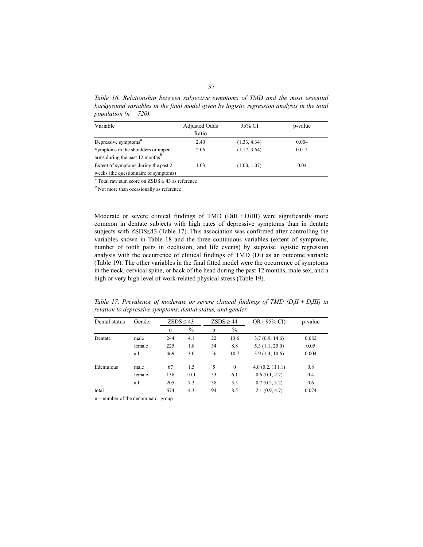*Table 16. Relationship between subjective symptoms of TMD and the most essential background variables in the final model given by logistic regression analysis in the total population (n = 720).* 

| Variable                                    | <b>Adjusted Odds</b> | 95% CI       | p-value |
|---------------------------------------------|----------------------|--------------|---------|
|                                             | Ratio                |              |         |
| Depressive symptoms <sup>a</sup>            | 2.40                 | (1.33, 4.34) | 0.004   |
| Symptoms in the shoulders or upper          | 2.06                 | (1.17, 3.64) | 0.013   |
| arms during the past 12 months <sup>b</sup> |                      |              |         |
| Extent of symptoms during the past 2        | 1.03                 | (1.00, 1.07) | 0.04    |
| weeks (the questionnaire of symptoms)       |                      |              |         |

<sup>a</sup> Total raw sum score on ZSDS  $\leq$  43 as reference b<sub>Net</sub> magnetic agents and property

<sup>b</sup> Not more than occasionally as reference

Moderate or severe clinical findings of TMD (DiII + DiIII) were significantly more common in dentate subjects with high rates of depressive symptoms than in dentate subjects with ZSDS≤43 (Table 17). This association was confirmed after controlling the variables shown in Table 18 and the three continuous variables (extent of symptoms, number of tooth pairs in occlusion, and life events) by stepwise logistic regression analysis with the occurrence of clinical findings of TMD (Di) as an outcome variable (Table 19). The other variables in the final fitted model were the occurrence of symptoms in the neck, cervical spine, or back of the head during the past 12 months, male sex, and a high or very high level of work-related physical stress (Table 19).

| Dental status | Gender                 | $ZSDS \leq 43$ |      | $ZSDS \geq 44$ |          | OR (95% CI)     | p-value |
|---------------|------------------------|----------------|------|----------------|----------|-----------------|---------|
|               | $\%$<br>$\%$<br>n<br>n |                |      |                |          |                 |         |
| Dentate       | male                   | 244            | 4.1  | 22             | 13.6     | 3.7(0.9, 14.6)  | 0.082   |
|               | female                 | 225            | 1.8  | 34             | 8.8      | 5.3(1.1, 25.0)  | 0.05    |
|               | all                    | 469            | 3.0  | 56             | 10.7     | 3.9(1.4, 10.6)  | 0.004   |
| Edentulous    | male                   | 67             | 1.5  | 5              | $\theta$ | 4.0(0.2, 111.1) | 0.8     |
|               | female                 | 138            | 10.1 | 33             | 6.1      | 0.6(0.1, 2.7)   | 0.4     |
|               | all                    | 205            | 7.3  | 38             | 5.3      | 0.7(0.2, 3.2)   | 0.6     |
| total         |                        | 674            | 4.3  | 94             | 8.5      | 2.1(0.9, 4.7)   | 0.074   |

*Table 17. Prevalence of moderate or severe clinical findings of TMD (D<sub>i</sub>II + D<sub>i</sub>III) in relation to depressive symptoms, dental status, and gender.* 

 $n =$  number of the denominator group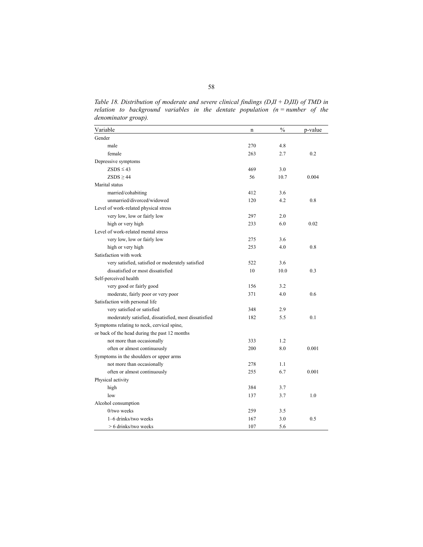*Table 18. Distribution of moderate and severe clinical findings (DiII + DiIII) of TMD in relation to background variables in the dentate population (n = number of the denominator group).* 

| Variable                                              | n   | $\frac{0}{0}$ | p-value |
|-------------------------------------------------------|-----|---------------|---------|
| Gender                                                |     |               |         |
| male                                                  | 270 | 4.8           |         |
| female                                                | 263 | 2.7           | 0.2     |
| Depressive symptoms                                   |     |               |         |
| $ZSDS \leq 43$                                        | 469 | 3.0           |         |
| $ZSDS \geq 44$                                        | 56  | 10.7          | 0.004   |
| Marital status                                        |     |               |         |
| married/cohabiting                                    | 412 | 3.6           |         |
| unmarried/divorced/widowed                            | 120 | 4.2           | 0.8     |
| Level of work-related physical stress                 |     |               |         |
| very low, low or fairly low                           | 297 | 2.0           |         |
| high or very high                                     | 233 | 6.0           | 0.02    |
| Level of work-related mental stress                   |     |               |         |
| very low, low or fairly low                           | 275 | 3.6           |         |
| high or very high                                     | 253 | 4.0           | 0.8     |
| Satisfaction with work                                |     |               |         |
| very satisfied, satisfied or moderately satisfied     | 522 | 3.6           |         |
| dissatisfied or most dissatisfied                     | 10  | 10.0          | 0.3     |
| Self-perceived health                                 |     |               |         |
| very good or fairly good                              | 156 | 3.2           |         |
| moderate, fairly poor or very poor                    | 371 | 4.0           | 0.6     |
| Satisfaction with personal life                       |     |               |         |
| very satisfied or satisfied                           | 348 | 2.9           |         |
| moderately satisfied, dissatisfied, most dissatisfied | 182 | 5.5           | 0.1     |
| Symptoms relating to neck, cervical spine,            |     |               |         |
| or back of the head during the past 12 months         |     |               |         |
| not more than occasionally                            | 333 | 1.2           |         |
| often or almost continuously                          | 200 | 8.0           | 0.001   |
| Symptoms in the shoulders or upper arms               |     |               |         |
| not more than occasionally                            | 278 | 1.1           |         |
| often or almost continuously                          | 255 | 6.7           | 0.001   |
| Physical activity                                     |     |               |         |
| high                                                  | 384 | 3.7           |         |
| low                                                   | 137 | 3.7           | 1.0     |
| Alcohol consumption                                   |     |               |         |
| $0$ /two weeks                                        | 259 | 3.5           |         |
| 1-6 drinks/two weeks                                  | 167 | 3.0           | 0.5     |
| $> 6$ drinks/two weeks                                | 107 | 5.6           |         |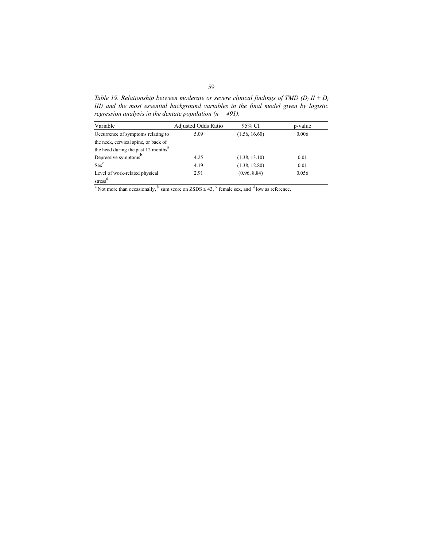*Table 19. Relationship between moderate or severe clinical findings of TMD (Di II + Di III) and the most essential background variables in the final model given by logistic regression analysis in the dentate population (n = 491).* 

| Variable                                                                                                                                       | Adjusted Odds Ratio | 95% CI        | p-value |
|------------------------------------------------------------------------------------------------------------------------------------------------|---------------------|---------------|---------|
| Occurrence of symptoms relating to                                                                                                             | 5.09                | (1.56, 16.60) | 0.006   |
| the neck, cervical spine, or back of                                                                                                           |                     |               |         |
| the head during the past 12 months <sup>a</sup>                                                                                                |                     |               |         |
| Depressive symptoms <sup>b</sup>                                                                                                               | 4.25                | (1.38, 13.10) | 0.01    |
| $Sex^c$                                                                                                                                        | 4.19                | (1.38, 12.80) | 0.01    |
| Level of work-related physical                                                                                                                 | 2.91                | (0.96, 8.84)  | 0.056   |
| stress <sup>d</sup>                                                                                                                            |                     |               |         |
| <sup>a</sup> Not more than occasionally, <sup>b</sup> sum score on ZSDS $\leq$ 43, <sup>c</sup> female sex, and <sup>d</sup> low as reference. |                     |               |         |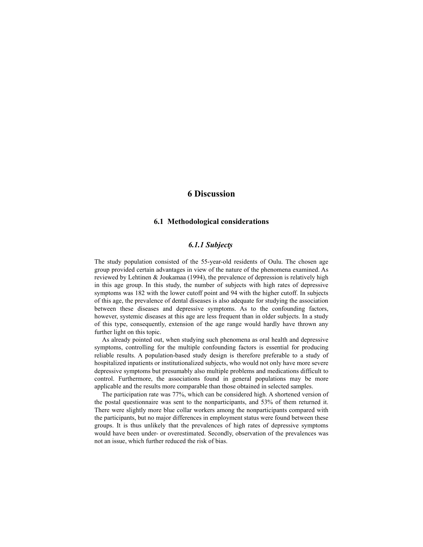## **6 Discussion**

### **6.1 Methodological considerations**

### *6.1.1 Subjects*

The study population consisted of the 55-year-old residents of Oulu. The chosen age group provided certain advantages in view of the nature of the phenomena examined. As reviewed by Lehtinen  $&$  Joukamaa (1994), the prevalence of depression is relatively high in this age group. In this study, the number of subjects with high rates of depressive symptoms was 182 with the lower cutoff point and 94 with the higher cutoff. In subjects of this age, the prevalence of dental diseases is also adequate for studying the association between these diseases and depressive symptoms. As to the confounding factors, however, systemic diseases at this age are less frequent than in older subjects. In a study of this type, consequently, extension of the age range would hardly have thrown any further light on this topic.

As already pointed out, when studying such phenomena as oral health and depressive symptoms, controlling for the multiple confounding factors is essential for producing reliable results. A population-based study design is therefore preferable to a study of hospitalized inpatients or institutionalized subjects, who would not only have more severe depressive symptoms but presumably also multiple problems and medications difficult to control. Furthermore, the associations found in general populations may be more applicable and the results more comparable than those obtained in selected samples.

The participation rate was 77%, which can be considered high. A shortened version of the postal questionnaire was sent to the nonparticipants, and 53% of them returned it. There were slightly more blue collar workers among the nonparticipants compared with the participants, but no major differences in employment status were found between these groups. It is thus unlikely that the prevalences of high rates of depressive symptoms would have been under- or overestimated. Secondly, observation of the prevalences was not an issue, which further reduced the risk of bias.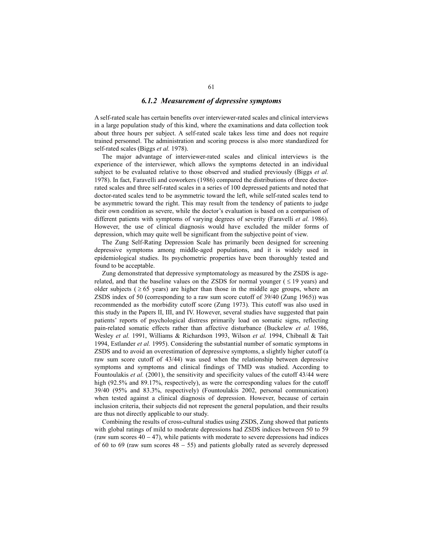### *6.1.2 Measurement of depressive symptoms*

A self-rated scale has certain benefits over interviewer-rated scales and clinical interviews in a large population study of this kind, where the examinations and data collection took about three hours per subject. A self-rated scale takes less time and does not require trained personnel. The administration and scoring process is also more standardized for self-rated scales (Biggs *et al.* 1978).

The major advantage of interviewer-rated scales and clinical interviews is the experience of the interviewer, which allows the symptoms detected in an individual subject to be evaluated relative to those observed and studied previously (Biggs *et al.* 1978). In fact, Faravelli and coworkers (1986) compared the distributions of three doctorrated scales and three self-rated scales in a series of 100 depressed patients and noted that doctor-rated scales tend to be asymmetric toward the left, while self-rated scales tend to be asymmetric toward the right. This may result from the tendency of patients to judge their own condition as severe, while the doctor's evaluation is based on a comparison of different patients with symptoms of varying degrees of severity (Faravelli *et al.* 1986). However, the use of clinical diagnosis would have excluded the milder forms of depression, which may quite well be significant from the subjective point of view.

The Zung Self-Rating Depression Scale has primarily been designed for screening depressive symptoms among middle-aged populations, and it is widely used in epidemiological studies. Its psychometric properties have been thoroughly tested and found to be acceptable.

Zung demonstrated that depressive symptomatology as measured by the ZSDS is agerelated, and that the baseline values on the ZSDS for normal younger  $( \leq 19 \text{ years})$  and older subjects ( $\geq 65$  years) are higher than those in the middle age groups, where an ZSDS index of 50 (corresponding to a raw sum score cutoff of 39/40 (Zung 1965)) was recommended as the morbidity cutoff score (Zung 1973). This cutoff was also used in this study in the Papers II, III, and IV. However, several studies have suggested that pain patients' reports of psychological distress primarily load on somatic signs, reflecting pain-related somatic effects rather than affective disturbance (Buckelew *et al.* 1986, Wesley *et al.* 1991, Williams & Richardson 1993, Wilson *et al.* 1994, Chibnall & Tait 1994, Estlander *et al.* 1995). Considering the substantial number of somatic symptoms in ZSDS and to avoid an overestimation of depressive symptoms, a slightly higher cutoff (a raw sum score cutoff of 43/44) was used when the relationship between depressive symptoms and symptoms and clinical findings of TMD was studied. According to Fountoulakis *et al.* (2001), the sensitivity and specificity values of the cutoff 43/44 were high (92.5% and 89.17%, respectively), as were the corresponding values for the cutoff 39/40 (95% and 83.3%, respectively) (Fountoulakis 2002, personal communication) when tested against a clinical diagnosis of depression. However, because of certain inclusion criteria, their subjects did not represent the general population, and their results are thus not directly applicable to our study.

Combining the results of cross-cultural studies using ZSDS, Zung showed that patients with global ratings of mild to moderate depressions had ZSDS indices between 50 to 59 (raw sum scores  $40 - 47$ ), while patients with moderate to severe depressions had indices of 60 to 69 (raw sum scores 48 − 55) and patients globally rated as severely depressed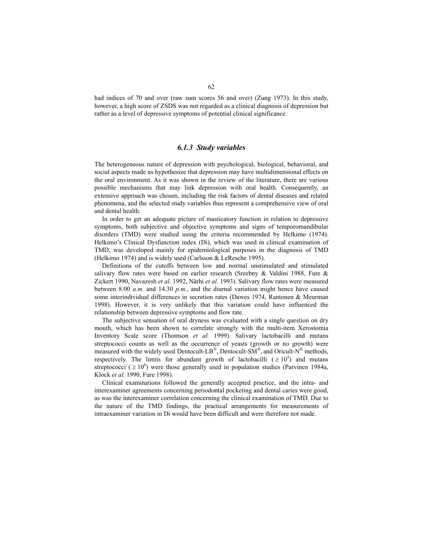had indices of 70 and over (raw sum scores 56 and over) (Zung 1973). In this study, however, a high score of ZSDS was not regarded as a clinical diagnosis of depression but rather as a level of depressive symptoms of potential clinical significance.

### *6.1.3 Study variables*

The heterogeneous nature of depression with psychological, biological, behavioral, and social aspects made us hypothesize that depression may have multidimensional effects on the oral environment. As it was shown in the review of the literature, there are various possible mechanisms that may link depression with oral health. Consequently, an extensive approach was chosen, including the risk factors of dental diseases and related phenomena, and the selected study variables thus represent a comprehensive view of oral and dental health.

In order to get an adequate picture of masticatory function in relation to depressive symptoms, both subjective and objective symptoms and signs of temporomandibular disorders (TMD) were studied using the criteria recommended by Helkimo (1974). Helkimo's Clinical Dysfunction index (Di), which was used in clinical examination of TMD, was developed mainly for epidemiological purposes in the diagnosis of TMD (Helkimo 1974) and is widely used (Carlsson & LeResche 1995).

Definitions of the cutoffs between low and normal unstimulated and stimulated salivary flow rates were based on earlier research (Sreebny & Valdini 1988, Fure & Zickert 1990, Navazesh *et al.* 1992, Närhi *et al.* 1993). Salivary flow rates were measured between 8.00 *a.m.* and 14.30 *p.m.*, and the diurnal variation might hence have caused some interindividual differences in secretion rates (Dawes 1974, Rantonen & Meurman 1998). However, it is very unlikely that this variation could have influenced the relationship between depressive symptoms and flow rate.

The subjective sensation of oral dryness was evaluated with a single question on dry mouth, which has been shown to correlate strongly with the multi-item Xerostomia Inventory Scale score (Thomson *et al.* 1999). Salivary lactobacilli and mutans streptococci counts as well as the occurrence of yeasts (growth or no growth) were measured with the widely used Dentocult-LB<sup>®</sup>, Dentocult-SM<sup>®</sup>, and Oricult-N<sup>®</sup> methods, respectively. The limits for abundant growth of lactobacilli ( $\geq 10^5$ ) and mutans streptococci ( $\geq 10^6$ ) were those generally used in population studies (Parvinen 1984a, Klock *et al.* 1990, Fure 1998).

Clinical examinations followed the generally accepted practice, and the intra- and interexaminer agreements concerning periodontal pocketing and dental caries were good, as was the interexaminer correlation concerning the clinical examination of TMD. Due to the nature of the TMD findings, the practical arrangements for measurements of intraexaminer variation in Di would have been difficult and were therefore not made.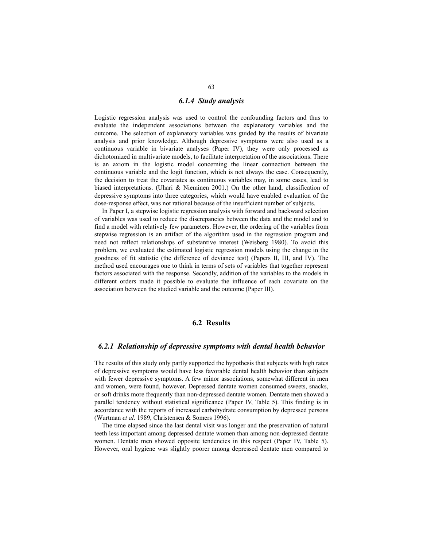### *6.1.4 Study analysis*

Logistic regression analysis was used to control the confounding factors and thus to evaluate the independent associations between the explanatory variables and the outcome. The selection of explanatory variables was guided by the results of bivariate analysis and prior knowledge. Although depressive symptoms were also used as a continuous variable in bivariate analyses (Paper IV), they were only processed as dichotomized in multivariate models, to facilitate interpretation of the associations. There is an axiom in the logistic model concerning the linear connection between the continuous variable and the logit function, which is not always the case. Consequently, the decision to treat the covariates as continuous variables may, in some cases, lead to biased interpretations. (Uhari & Nieminen 2001.) On the other hand, classification of depressive symptoms into three categories, which would have enabled evaluation of the dose-response effect, was not rational because of the insufficient number of subjects.

In Paper I, a stepwise logistic regression analysis with forward and backward selection of variables was used to reduce the discrepancies between the data and the model and to find a model with relatively few parameters. However, the ordering of the variables from stepwise regression is an artifact of the algorithm used in the regression program and need not reflect relationships of substantive interest (Weisberg 1980). To avoid this problem, we evaluated the estimated logistic regression models using the change in the goodness of fit statistic (the difference of deviance test) (Papers II, III, and IV). The method used encourages one to think in terms of sets of variables that together represent factors associated with the response. Secondly, addition of the variables to the models in different orders made it possible to evaluate the influence of each covariate on the association between the studied variable and the outcome (Paper III).

### **6.2 Results**

### *6.2.1 Relationship of depressive symptoms with dental health behavior*

The results of this study only partly supported the hypothesis that subjects with high rates of depressive symptoms would have less favorable dental health behavior than subjects with fewer depressive symptoms. A few minor associations, somewhat different in men and women, were found, however. Depressed dentate women consumed sweets, snacks, or soft drinks more frequently than non-depressed dentate women. Dentate men showed a parallel tendency without statistical significance (Paper IV, Table 5). This finding is in accordance with the reports of increased carbohydrate consumption by depressed persons (Wurtman *et al.* 1989, Christensen & Somers 1996).

The time elapsed since the last dental visit was longer and the preservation of natural teeth less important among depressed dentate women than among non-depressed dentate women. Dentate men showed opposite tendencies in this respect (Paper IV, Table 5). However, oral hygiene was slightly poorer among depressed dentate men compared to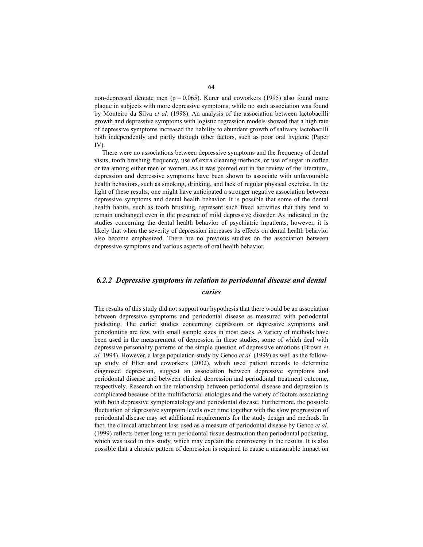non-depressed dentate men ( $p = 0.065$ ). Kurer and coworkers (1995) also found more plaque in subjects with more depressive symptoms, while no such association was found by Monteiro da Silva *et al.* (1998). An analysis of the association between lactobacilli growth and depressive symptoms with logistic regression models showed that a high rate of depressive symptoms increased the liability to abundant growth of salivary lactobacilli both independently and partly through other factors, such as poor oral hygiene (Paper IV).

There were no associations between depressive symptoms and the frequency of dental visits, tooth brushing frequency, use of extra cleaning methods, or use of sugar in coffee or tea among either men or women. As it was pointed out in the review of the literature, depression and depressive symptoms have been shown to associate with unfavourable health behaviors, such as smoking, drinking, and lack of regular physical exercise. In the light of these results, one might have anticipated a stronger negative association between depressive symptoms and dental health behavior. It is possible that some of the dental health habits, such as tooth brushing, represent such fixed activities that they tend to remain unchanged even in the presence of mild depressive disorder. As indicated in the studies concerning the dental health behavior of psychiatric inpatients, however, it is likely that when the severity of depression increases its effects on dental health behavior also become emphasized. There are no previous studies on the association between depressive symptoms and various aspects of oral health behavior.

## *6.2.2 Depressive symptoms in relation to periodontal disease and dental caries*

The results of this study did not support our hypothesis that there would be an association between depressive symptoms and periodontal disease as measured with periodontal pocketing. The earlier studies concerning depression or depressive symptoms and periodontitis are few, with small sample sizes in most cases. A variety of methods have been used in the measurement of depression in these studies, some of which deal with depressive personality patterns or the simple question of depressive emotions (Brown *et al.* 1994). However, a large population study by Genco *et al.* (1999) as well as the followup study of Elter and coworkers (2002), which used patient records to determine diagnosed depression, suggest an association between depressive symptoms and periodontal disease and between clinical depression and periodontal treatment outcome, respectively. Research on the relationship between periodontal disease and depression is complicated because of the multifactorial etiologies and the variety of factors associating with both depressive symptomatology and periodontal disease. Furthermore, the possible fluctuation of depressive symptom levels over time together with the slow progression of periodontal disease may set additional requirements for the study design and methods. In fact, the clinical attachment loss used as a measure of periodontal disease by Genco *et al.* (1999) reflects better long-term periodontal tissue destruction than periodontal pocketing, which was used in this study, which may explain the controversy in the results. It is also possible that a chronic pattern of depression is required to cause a measurable impact on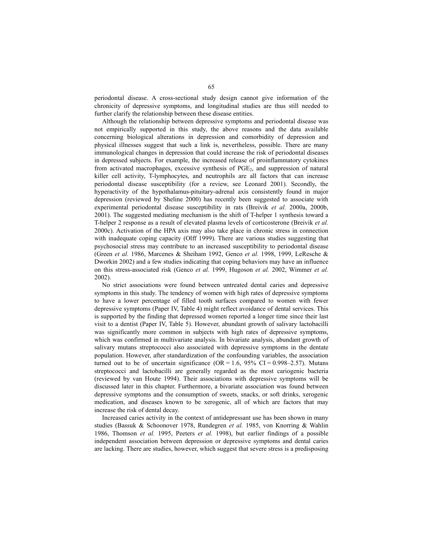periodontal disease. A cross-sectional study design cannot give information of the chronicity of depressive symptoms, and longitudinal studies are thus still needed to further clarify the relationship between these disease entities.

Although the relationship between depressive symptoms and periodontal disease was not empirically supported in this study, the above reasons and the data available concerning biological alterations in depression and comorbidity of depression and physical illnesses suggest that such a link is, nevertheless, possible. There are many immunological changes in depression that could increase the risk of periodontal diseases in depressed subjects. For example, the increased release of proinflammatory cytokines from activated macrophages, excessive synthesis of  $PGE<sub>2</sub>$ , and suppression of natural killer cell activity, T-lymphocytes, and neutrophils are all factors that can increase periodontal disease susceptibility (for a review, see Leonard 2001). Secondly, the hyperactivity of the hypothalamus-pituitary-adrenal axis consistently found in major depression (reviewed by Sheline 2000) has recently been suggested to associate with experimental periodontal disease susceptibility in rats (Breivik *et al.* 2000a, 2000b, 2001). The suggested mediating mechanism is the shift of T-helper 1 synthesis toward a T-helper 2 response as a result of elevated plasma levels of corticosterone (Breivik *et al.* 2000c). Activation of the HPA axis may also take place in chronic stress in connection with inadequate coping capacity (Olff 1999). There are various studies suggesting that psychosocial stress may contribute to an increased susceptibility to periodontal disease (Green *et al.* 1986, Marcenes & Sheiham 1992, Genco *et al.* 1998, 1999, LeResche & Dworkin 2002) and a few studies indicating that coping behaviors may have an influence on this stress-associated risk (Genco *et al.* 1999, Hugoson *et al.* 2002, Wimmer *et al.* 2002).

No strict associations were found between untreated dental caries and depressive symptoms in this study. The tendency of women with high rates of depressive symptoms to have a lower percentage of filled tooth surfaces compared to women with fewer depressive symptoms (Paper IV, Table 4) might reflect avoidance of dental services. This is supported by the finding that depressed women reported a longer time since their last visit to a dentist (Paper IV, Table 5). However, abundant growth of salivary lactobacilli was significantly more common in subjects with high rates of depressive symptoms, which was confirmed in multivariate analysis. In bivariate analysis, abundant growth of salivary mutans streptococci also associated with depressive symptoms in the dentate population. However, after standardization of the confounding variables, the association turned out to be of uncertain significance (OR = 1.6, 95% CI = 0.998–2.57). Mutans streptococci and lactobacilli are generally regarded as the most cariogenic bacteria (reviewed by van Houte 1994). Their associations with depressive symptoms will be discussed later in this chapter. Furthermore, a bivariate association was found between depressive symptoms and the consumption of sweets, snacks, or soft drinks, xerogenic medication, and diseases known to be xerogenic, all of which are factors that may increase the risk of dental decay.

Increased caries activity in the context of antidepressant use has been shown in many studies (Bassuk & Schoonover 1978, Rundegren *et al.* 1985, von Knorring & Wahlin 1986, Thomson *et al.* 1995, Peeters *et al.* 1998), but earlier findings of a possible independent association between depression or depressive symptoms and dental caries are lacking. There are studies, however, which suggest that severe stress is a predisposing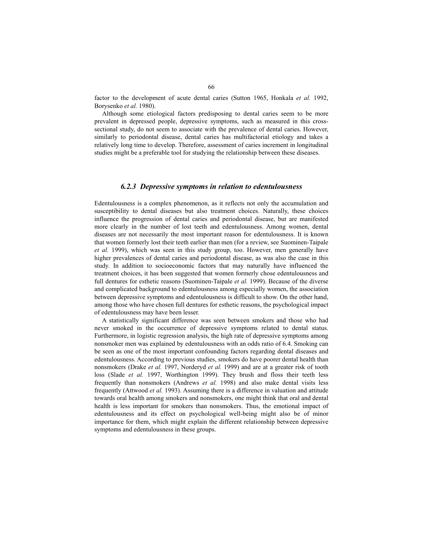factor to the development of acute dental caries (Sutton 1965, Honkala *et al.* 1992, Borysenko *et al.* 1980).

Although some etiological factors predisposing to dental caries seem to be more prevalent in depressed people, depressive symptoms, such as measured in this crosssectional study, do not seem to associate with the prevalence of dental caries. However, similarly to periodontal disease, dental caries has multifactorial etiology and takes a relatively long time to develop. Therefore, assessment of caries increment in longitudinal studies might be a preferable tool for studying the relationship between these diseases.

#### *6.2.3 Depressive symptoms in relation to edentulousness*

Edentulousness is a complex phenomenon, as it reflects not only the accumulation and susceptibility to dental diseases but also treatment choices. Naturally, these choices influence the progression of dental caries and periodontal disease, but are manifested more clearly in the number of lost teeth and edentulousness. Among women, dental diseases are not necessarily the most important reason for edentulousness. It is known that women formerly lost their teeth earlier than men (for a review, see Suominen-Taipale *et al.* 1999), which was seen in this study group, too. However, men generally have higher prevalences of dental caries and periodontal disease, as was also the case in this study. In addition to socioeconomic factors that may naturally have influenced the treatment choices, it has been suggested that women formerly chose edentulousness and full dentures for esthetic reasons (Suominen-Taipale *et al.* 1999). Because of the diverse and complicated background to edentulousness among especially women, the association between depressive symptoms and edentulousness is difficult to show. On the other hand, among those who have chosen full dentures for esthetic reasons, the psychological impact of edentulousness may have been lesser.

A statistically significant difference was seen between smokers and those who had never smoked in the occurrence of depressive symptoms related to dental status. Furthermore, in logistic regression analysis, the high rate of depressive symptoms among nonsmoker men was explained by edentulousness with an odds ratio of 6.4. Smoking can be seen as one of the most important confounding factors regarding dental diseases and edentulousness. According to previous studies, smokers do have poorer dental health than nonsmokers (Drake *et al.* 1997, Norderyd *et al.* 1999) and are at a greater risk of tooth loss (Slade *et al.* 1997, Worthington 1999). They brush and floss their teeth less frequently than nonsmokers (Andrews *et al.* 1998) and also make dental visits less frequently (Attwood *et al.* 1993). Assuming there is a difference in valuation and attitude towards oral health among smokers and nonsmokers, one might think that oral and dental health is less important for smokers than nonsmokers. Thus, the emotional impact of edentulousness and its effect on psychological well-being might also be of minor importance for them, which might explain the different relationship between depressive symptoms and edentulousness in these groups.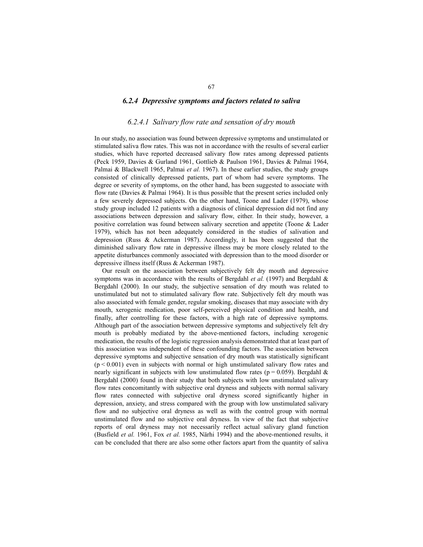#### *6.2.4 Depressive symptoms and factors related to saliva*

### *6.2.4.1 Salivary flow rate and sensation of dry mouth*

In our study, no association was found between depressive symptoms and unstimulated or stimulated saliva flow rates. This was not in accordance with the results of several earlier studies, which have reported decreased salivary flow rates among depressed patients (Peck 1959, Davies & Gurland 1961, Gottlieb & Paulson 1961, Davies & Palmai 1964, Palmai & Blackwell 1965, Palmai *et al.* 1967). In these earlier studies, the study groups consisted of clinically depressed patients, part of whom had severe symptoms. The degree or severity of symptoms, on the other hand, has been suggested to associate with flow rate (Davies & Palmai 1964). It is thus possible that the present series included only a few severely depressed subjects. On the other hand, Toone and Lader (1979), whose study group included 12 patients with a diagnosis of clinical depression did not find any associations between depression and salivary flow, either. In their study, however, a positive correlation was found between salivary secretion and appetite (Toone & Lader 1979), which has not been adequately considered in the studies of salivation and depression (Russ  $\&$  Ackerman 1987). Accordingly, it has been suggested that the diminished salivary flow rate in depressive illness may be more closely related to the appetite disturbances commonly associated with depression than to the mood disorder or depressive illness itself (Russ & Ackerman 1987).

Our result on the association between subjectively felt dry mouth and depressive symptoms was in accordance with the results of Bergdahl *et al.* (1997) and Bergdahl & Bergdahl (2000). In our study, the subjective sensation of dry mouth was related to unstimulated but not to stimulated salivary flow rate. Subjectively felt dry mouth was also associated with female gender, regular smoking, diseases that may associate with dry mouth, xerogenic medication, poor self-perceived physical condition and health, and finally, after controlling for these factors, with a high rate of depressive symptoms. Although part of the association between depressive symptoms and subjectively felt dry mouth is probably mediated by the above-mentioned factors, including xerogenic medication, the results of the logistic regression analysis demonstrated that at least part of this association was independent of these confounding factors. The association between depressive symptoms and subjective sensation of dry mouth was statistically significant  $(p < 0.001)$  even in subjects with normal or high unstimulated salivary flow rates and nearly significant in subjects with low unstimulated flow rates ( $p = 0.059$ ). Bergdahl & Bergdahl (2000) found in their study that both subjects with low unstimulated salivary flow rates concomitantly with subjective oral dryness and subjects with normal salivary flow rates connected with subjective oral dryness scored significantly higher in depression, anxiety, and stress compared with the group with low unstimulated salivary flow and no subjective oral dryness as well as with the control group with normal unstimulated flow and no subjective oral dryness. In view of the fact that subjective reports of oral dryness may not necessarily reflect actual salivary gland function (Busfield *et al.* 1961, Fox *et al.* 1985, Närhi 1994) and the above-mentioned results, it can be concluded that there are also some other factors apart from the quantity of saliva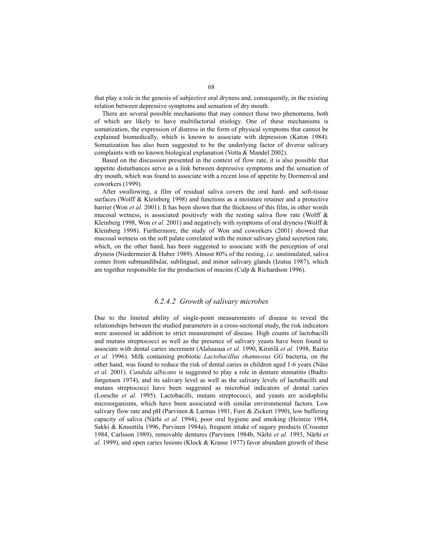that play a role in the genesis of subjective oral dryness and, consequently, in the existing relation between depressive symptoms and sensation of dry mouth.

There are several possible mechanisms that may connect these two phenomena, both of which are likely to have multifactorial etiology. One of these mechanisms is somatization, the expression of distress in the form of physical symptoms that cannot be explained biomedically, which is known to associate with depression (Katon 1984). Somatization has also been suggested to be the underlying factor of diverse salivary complaints with no known biological explanation (Votta & Mandel 2002).

Based on the discussion presented in the context of flow rate, it is also possible that appetite disturbances serve as a link between depressive symptoms and the sensation of dry mouth, which was found to associate with a recent loss of appetite by Dormenval and coworkers (1999).

After swallowing, a film of residual saliva covers the oral hard- and soft-tissue surfaces (Wolff & Kleinberg 1998) and functions as a moisture retainer and a protective barrier (Won *et al.* 2001). It has been shown that the thickness of this film, in other words mucosal wetness, is associated positively with the resting saliva flow rate (Wolff  $\&$ Kleinberg 1998, Won *et al.* 2001) and negatively with symptoms of oral dryness (Wolff & Kleinberg 1998). Furthermore, the study of Won and coworkers (2001) showed that mucosal wetness on the soft palate correlated with the minor salivary gland secretion rate, which, on the other hand, has been suggested to associate with the perception of oral dryness (Niedermeier & Huber 1989). Almost 80% of the resting, *i.e.* unstimulated, saliva comes from submandibular, sublingual, and minor salivary glands (Izutsu 1987), which are together responsible for the production of mucins (Culp & Richardson 1996).

### *6.2.4.2 Growth of salivary microbes*

Due to the limited ability of single-point measurements of disease to reveal the relationships between the studied parameters in a cross-sectional study, the risk indicators were assessed in addition to strict measurement of disease. High counts of lactobacilli and mutans streptococci as well as the presence of salivary yeasts have been found to associate with dental caries increment (Alaluusua *et al.* 1990, Kirstilä *et al.* 1998, Raitio *et al.* 1996). Milk containing probiotic *Lactobacillus rhamnosus GG* bacteria, on the other hand, was found to reduce the risk of dental caries in children aged 1-6 years (Näse *et al.* 2001). *Candida albicans* is suggested to play a role in denture stomatitis (Budtz-Jørgensen 1974), and its salivary level as well as the salivary levels of lactobacilli and mutans streptococci have been suggested as microbial indicators of dental caries (Loesche *et al.* 1995). Lactobacilli, mutans streptococci, and yeasts are acidophilic microorganisms, which have been associated with similar environmental factors. Low salivary flow rate and pH (Parvinen  $\&$  Larmas 1981, Fure  $\&$  Zickert 1990), low buffering capacity of saliva (Närhi *et al.* 1994), poor oral hygiene and smoking (Heintze 1984, Sakki & Knuuttila 1996, Parvinen 1984a), frequent intake of sugary products (Crossner 1984, Carlsson 1989), removable dentures (Parvinen 1984b, Närhi *et al.* 1993, Närhi *et al.* 1999), and open caries lesions (Klock & Krasse 1977) favor abundant growth of these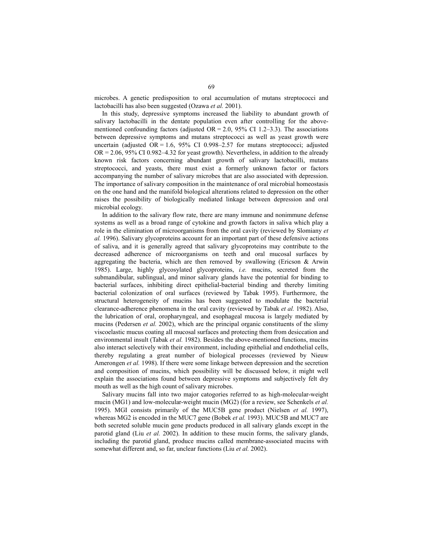microbes. A genetic predisposition to oral accumulation of mutans streptococci and lactobacilli has also been suggested (Ozawa *et al.* 2001).

In this study, depressive symptoms increased the liability to abundant growth of salivary lactobacilli in the dentate population even after controlling for the abovementioned confounding factors (adjusted  $OR = 2.0$ , 95% CI 1.2–3.3). The associations between depressive symptoms and mutans streptococci as well as yeast growth were uncertain (adjusted OR = 1.6, 95% CI 0.998–2.57 for mutans streptococci; adjusted  $OR = 2.06$ , 95% CI 0.982–4.32 for yeast growth). Nevertheless, in addition to the already known risk factors concerning abundant growth of salivary lactobacilli, mutans streptococci, and yeasts, there must exist a formerly unknown factor or factors accompanying the number of salivary microbes that are also associated with depression. The importance of salivary composition in the maintenance of oral microbial homeostasis on the one hand and the manifold biological alterations related to depression on the other raises the possibility of biologically mediated linkage between depression and oral microbial ecology.

In addition to the salivary flow rate, there are many immune and nonimmune defense systems as well as a broad range of cytokine and growth factors in saliva which play a role in the elimination of microorganisms from the oral cavity (reviewed by Slomiany *et al.* 1996). Salivary glycoproteins account for an important part of these defensive actions of saliva, and it is generally agreed that salivary glycoproteins may contribute to the decreased adherence of microorganisms on teeth and oral mucosal surfaces by aggregating the bacteria, which are then removed by swallowing (Ericson  $\&$  Arwin 1985). Large, highly glycosylated glycoproteins, *i.e.* mucins, secreted from the submandibular, sublingual, and minor salivary glands have the potential for binding to bacterial surfaces, inhibiting direct epithelial-bacterial binding and thereby limiting bacterial colonization of oral surfaces (reviewed by Tabak 1995). Furthermore, the structural heterogeneity of mucins has been suggested to modulate the bacterial clearance-adherence phenomena in the oral cavity (reviewed by Tabak *et al.* 1982). Also, the lubrication of oral, oropharyngeal, and esophageal mucosa is largely mediated by mucins (Pedersen *et al.* 2002), which are the principal organic constituents of the slimy viscoelastic mucus coating all mucosal surfaces and protecting them from desiccation and environmental insult (Tabak *et al.* 1982). Besides the above-mentioned functions, mucins also interact selectively with their environment, including epithelial and endothelial cells, thereby regulating a great number of biological processes (reviewed by Nieuw Amerongen *et al.* 1998). If there were some linkage between depression and the secretion and composition of mucins, which possibility will be discussed below, it might well explain the associations found between depressive symptoms and subjectively felt dry mouth as well as the high count of salivary microbes.

Salivary mucins fall into two major catogories referred to as high-molecular-weight mucin (MG1) and low-molecular-weight mucin (MG2) (for a review, see Schenkels *et al.* 1995). MGI consists primarily of the MUC5B gene product (Nielsen *et al.* 1997), whereas MG2 is encoded in the MUC7 gene (Bobek *et al.* 1993). MUC5B and MUC7 are both secreted soluble mucin gene products produced in all salivary glands except in the parotid gland (Liu *et al.* 2002). In addition to these mucin forms, the salivary glands, including the parotid gland, produce mucins called membrane-associated mucins with somewhat different and, so far, unclear functions (Liu *et al.* 2002).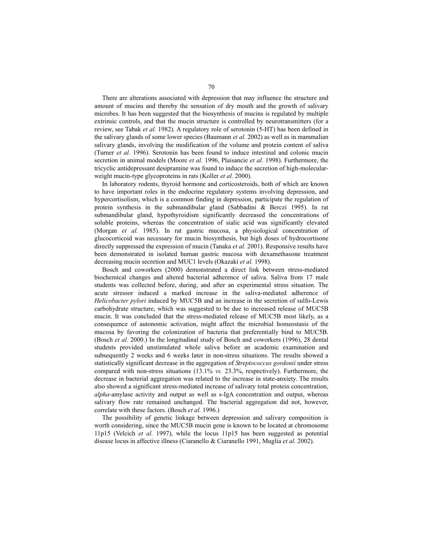There are alterations associated with depression that may influence the structure and amount of mucins and thereby the sensation of dry mouth and the growth of salivary microbes. It has been suggested that the biosynthesis of mucins is regulated by multiple extrinsic controls, and that the mucin structure is controlled by neurotransmitters (for a review, see Tabak *et al.* 1982). A regulatory role of serotonin (5-HT) has been defined in the salivary glands of some lower species (Baumann *et al.* 2002) as well as in mammalian salivary glands, involving the modification of the volume and protein content of saliva (Turner *et al.* 1996). Serotonin has been found to induce intestinal and colonic mucin secretion in animal models (Moore *et al.* 1996, Plaisancie *et al.* 1998). Furthermore, the tricyclic antidepressant desipramine was found to induce the secretion of high-molecularweight mucin-type glycoproteins in rats (Koller *et al.* 2000).

In laboratory rodents, thyroid hormone and corticosteroids, both of which are known to have important roles in the endocrine regulatory systems involving depression, and hypercortisolism, which is a common finding in depression, participate the regulation of protein synthesis in the submandibular gland (Sabbadini & Berczi 1995). In rat submandibular gland, hypothyroidism significantly decreased the concentrations of soluble proteins, whereas the concentration of sialic acid was significantly elevated (Morgan *et al.* 1985). In rat gastric mucosa, a physiological concentration of glucocorticoid was necessary for mucin biosynthesis, but high doses of hydrocortisone directly suppressed the expression of mucin (Tanaka *et al.* 2001). Responsive results have been demonstrated in isolated human gastric mucosa with dexamethasone treatment decreasing mucin secretion and MUC1 levels (Okazaki *et al.* 1998).

Bosch and coworkers (2000) demonstrated a direct link between stress-mediated biochemical changes and altered bacterial adherence of saliva. Saliva from 17 male students was collected before, during, and after an experimental stress situation. The acute stressor induced a marked increase in the saliva-mediated adherence of *Helicobacter pylori* induced by MUC5B and an increase in the secretion of sulfo-Lewis carbohydrate structure, which was suggested to be due to increased release of MUC5B mucin. It was concluded that the stress-mediated release of MUC5B most likely, as a consequence of autonomic activation, might affect the microbial homeostasis of the mucosa by favoring the colonization of bacteria that preferentially bind to MUC5B. (Bosch *et al.* 2000.) In the longitudinal study of Bosch and coworkers (1996), 28 dental students provided unstimulated whole saliva before an academic examination and subsequently 2 weeks and 6 weeks later in non-stress situations. The results showed a statistically significant decrease in the aggregation of *Streptococcus gordonii* under stress compared with non-stress situations (13.1% *vs.* 23.3%, respectively). Furthermore, the decrease in bacterial aggregation was related to the increase in state-anxiety. The results also showed a significant stress-mediated increase of salivary total protein concentration, *alpha*-amylase activity and output as well as s-IgA concentration and output, whereas salivary flow rate remained unchanged. The bacterial aggregation did not, however, correlate with these factors. (Bosch *et al.* 1996.)

The possibility of genetic linkage between depression and salivary composition is worth considering, since the MUC5B mucin gene is known to be located at chromosome 11p15 (Velcich *et al.* 1997), while the locus 11p15 has been suggested as potential disease locus in affective illness (Ciaranello & Ciaranello 1991, Muglia *et al.* 2002).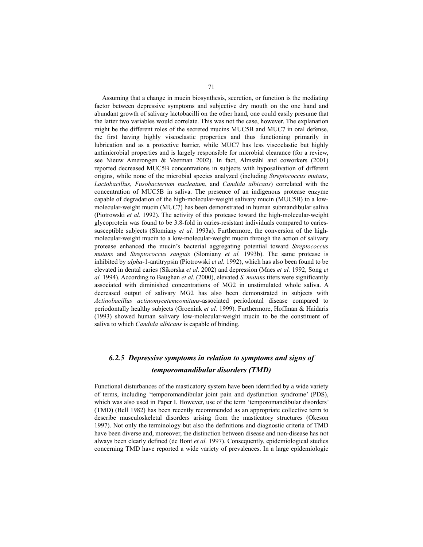Assuming that a change in mucin biosynthesis, secretion, or function is the mediating factor between depressive symptoms and subjective dry mouth on the one hand and abundant growth of salivary lactobacilli on the other hand, one could easily presume that the latter two variables would correlate. This was not the case, however. The explanation might be the different roles of the secreted mucins MUC5B and MUC7 in oral defense, the first having highly viscoelastic properties and thus functioning primarily in lubrication and as a protective barrier, while MUC7 has less viscoelastic but highly antimicrobial properties and is largely responsible for microbial clearance (for a review, see Nieuw Amerongen & Veerman 2002). In fact, Almståhl and coworkers (2001) reported decreased MUC5B concentrations in subjects with hyposalivation of different origins, while none of the microbial species analyzed (including *Streptococcus mutans*, *Lactobacillus*, *Fusobacterium nucleatum*, and *Candida albicans*) correlated with the concentration of MUC5B in saliva. The presence of an indigenous protease enzyme capable of degradation of the high-molecular-weight salivary mucin (MUC5B) to a lowmolecular-weight mucin (MUC7) has been demonstrated in human submandibular saliva (Piotrowski *et al.* 1992). The activity of this protease toward the high-molecular-weight glycoprotein was found to be 3.8-fold in caries-resistant individuals compared to cariessusceptible subjects (Slomiany *et al.* 1993a). Furthermore, the conversion of the highmolecular-weight mucin to a low-molecular-weight mucin through the action of salivary protease enhanced the mucin's bacterial aggregating potential toward *Streptococcus mutans* and *Streptococcus sanguis* (Slomiany *et al.* 1993b). The same protease is inhibited by *alpha*-1-antitrypsin (Piotrowski *et al.* 1992), which has also been found to be elevated in dental caries (Sikorska *et al.* 2002) and depression (Maes *et al.* 1992, Song *et al.* 1994). According to Baughan *et al.* (2000), elevated *S. mutans* titers were significantly associated with diminished concentrations of MG2 in unstimulated whole saliva. A decreased output of salivary MG2 has also been demonstrated in subjects with *Actinobacillus actinomycetemcomitans*-associated periodontal disease compared to periodontally healthy subjects (Groenink *et al.* 1999). Furthermore, Hoffman & Haidaris (1993) showed human salivary low-molecular-weight mucin to be the constituent of saliva to which *Candida albicans* is capable of binding.

## *6.2.5 Depressive symptoms in relation to symptoms and signs of temporomandibular disorders (TMD)*

Functional disturbances of the masticatory system have been identified by a wide variety of terms, including 'temporomandibular joint pain and dysfunction syndrome' (PDS), which was also used in Paper I. However, use of the term 'temporomandibular disorders' (TMD) (Bell 1982) has been recently recommended as an appropriate collective term to describe musculoskeletal disorders arising from the masticatory structures (Okeson 1997). Not only the terminology but also the definitions and diagnostic criteria of TMD have been diverse and, moreover, the distinction between disease and non-disease has not always been clearly defined (de Bont *et al.* 1997). Consequently, epidemiological studies concerning TMD have reported a wide variety of prevalences. In a large epidemiologic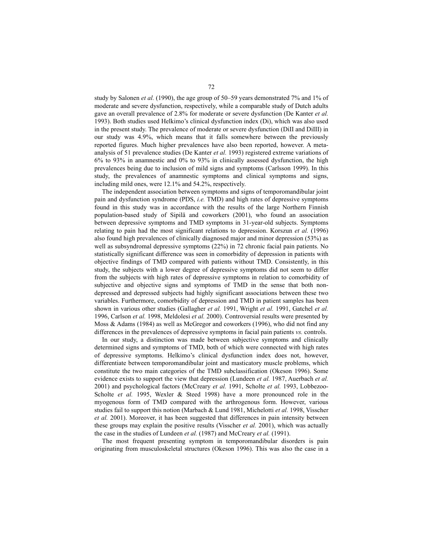study by Salonen *et al.* (1990), the age group of 50–59 years demonstrated 7% and 1% of moderate and severe dysfunction, respectively, while a comparable study of Dutch adults gave an overall prevalence of 2.8% for moderate or severe dysfunction (De Kanter *et al.* 1993). Both studies used Helkimo's clinical dysfunction index (Di), which was also used in the present study. The prevalence of moderate or severe dysfunction (DiII and DiIII) in our study was 4.9%, which means that it falls somewhere between the previously reported figures. Much higher prevalences have also been reported, however. A metaanalysis of 51 prevalence studies (De Kanter *et al.* 1993) registered extreme variations of 6% to 93% in anamnestic and 0% to 93% in clinically assessed dysfunction, the high prevalences being due to inclusion of mild signs and symptoms (Carlsson 1999). In this study, the prevalences of anamnestic symptoms and clinical symptoms and signs, including mild ones, were 12.1% and 54.2%, respectively.

The independent association between symptoms and signs of temporomandibular joint pain and dysfunction syndrome (PDS, *i.e.* TMD) and high rates of depressive symptoms found in this study was in accordance with the results of the large Northern Finnish population-based study of Sipilä and coworkers (2001), who found an association between depressive symptoms and TMD symptoms in 31-year-old subjects. Symptoms relating to pain had the most significant relations to depression. Korszun *et al.* (1996) also found high prevalences of clinically diagnosed major and minor depression (53%) as well as subsyndromal depressive symptoms (22%) in 72 chronic facial pain patients. No statistically significant difference was seen in comorbidity of depression in patients with objective findings of TMD compared with patients without TMD. Consistently, in this study, the subjects with a lower degree of depressive symptoms did not seem to differ from the subjects with high rates of depressive symptoms in relation to comorbidity of subjective and objective signs and symptoms of TMD in the sense that both nondepressed and depressed subjects had highly significant associations between these two variables. Furthermore, comorbidity of depression and TMD in patient samples has been shown in various other studies (Gallagher *et al.* 1991, Wright *et al.* 1991, Gatchel *et al.* 1996, Carlson *et al.* 1998, Meldolesi *et al.* 2000). Controversial results were presented by Moss & Adams (1984) as well as McGregor and coworkers (1996), who did not find any differences in the prevalences of depressive symptoms in facial pain patients *vs.* controls.

In our study, a distinction was made between subjective symptoms and clinically determined signs and symptoms of TMD, both of which were connected with high rates of depressive symptoms. Helkimo's clinical dysfunction index does not, however, differentiate between temporomandibular joint and masticatory muscle problems, which constitute the two main categories of the TMD subclassification (Okeson 1996). Some evidence exists to support the view that depression (Lundeen *et al.* 1987, Auerbach *et al.* 2001) and psychological factors (McCreary *et al.* 1991, Scholte *et al.* 1993, Lobbezoo-Scholte *et al.* 1995, Wexler & Steed 1998) have a more pronounced role in the myogenous form of TMD compared with the arthrogenous form. However, various studies fail to support this notion (Marbach & Lund 1981, Michelotti *et al.* 1998, Visscher *et al.* 2001). Moreover, it has been suggested that differences in pain intensity between these groups may explain the positive results (Visscher *et al.* 2001), which was actually the case in the studies of Lundeen *et al.* (1987) and McCreary *et al.* (1991).

The most frequent presenting symptom in temporomandibular disorders is pain originating from musculoskeletal structures (Okeson 1996). This was also the case in a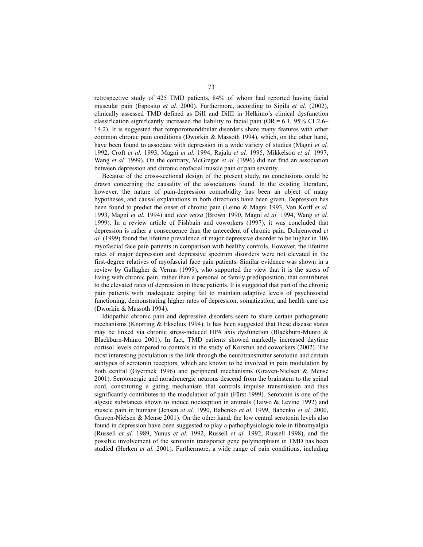retrospective study of 425 TMD patients, 84% of whom had reported having facial muscular pain (Esposito *et al.* 2000). Furthermore, according to Sipilä *et al.* (2002), clinically assessed TMD defined as DiII and DiIII in Helkimo's clinical dysfunction classification significantly increased the liability to facial pain (OR =  $6.1$ , 95% CI 2.6– 14.2). It is suggested that temporomandibular disorders share many features with other common chronic pain conditions (Dworkin  $\&$  Massoth 1994), which, on the other hand, have been found to associate with depression in a wide variety of studies (Magni *et al.* 1992, Croft *et al.* 1993, Magni *et al.* 1994, Rajala *et al.* 1995, Mikkelson *et al.* 1997, Wang *et al.* 1999). On the contrary, McGregor *et al.* (1996) did not find an association between depression and chronic orofacial muscle pain or pain severity.

Because of the cross-sectional design of the present study, no conclusions could be drawn concerning the causality of the associations found. In the existing literature, however, the nature of pain-depression comorbidity has been an object of many hypotheses, and causal explanations in both directions have been given. Depression has been found to predict the onset of chronic pain (Leino & Magni 1993, Von Korff *et al.* 1993, Magni *et al.* 1994) and *vice versa* (Brown 1990, Magni *et al.* 1994, Wang *et al.* 1999). In a review article of Fishbain and coworkers (1997), it was concluded that depression is rather a consequence than the antecedent of chronic pain. Dohrenwend *et al.* (1999) found the lifetime prevalence of major depressive disorder to be higher in 106 myofascial face pain patients in comparison with healthy controls. However, the lifetime rates of major depression and depressive spectrum disorders were not elevated in the first-degree relatives of myofascial face pain patients. Similar evidence was shown in a review by Gallagher & Verma (1999), who supported the view that it is the stress of living with chronic pain, rather than a personal or family predisposition, that contributes to the elevated rates of depression in these patients. It is suggested that part of the chronic pain patients with inadequate coping fail to maintain adaptive levels of psychosocial functioning, demonstrating higher rates of depression, somatization, and health care use (Dworkin & Massoth 1994).

Idiopathic chronic pain and depressive disorders seem to share certain pathogenetic mechanisms (Knorring & Ekselius 1994). It has been suggested that these disease states may be linked via chronic stress-induced HPA axis dysfunction (Blackburn-Munro & Blackburn-Munro 2001). In fact, TMD patients showed markedly increased daytime cortisol levels compared to controls in the study of Korszun and coworkers (2002). The most interesting postulation is the link through the neurotransmitter serotonin and certain subtypes of serotonin receptors, which are known to be involved in pain modulation by both central (Gyermek 1996) and peripheral mechanisms (Graven-Nielsen & Mense 2001). Serotonergic and noradrenergic neurons descend from the brainstem to the spinal cord, constituting a gating mechanism that controls impulse transmission and thus significantly contributes to the modulation of pain (Fürst 1999). Serotonin is one of the algesic substances shown to induce nociception in animals (Taiwo  $&$  Levine 1992) and muscle pain in humans (Jensen *et al.* 1990, Babenko *et al.* 1999, Babenko *et al.* 2000, Graven-Nielsen & Mense 2001). On the other hand, the low central serotonin levels also found in depression have been suggested to play a pathophysiologic role in fibromyalgia (Russell *et al.* 1989, Yunus *et al.* 1992, Russell *et al.* 1992, Russell 1998), and the possible involvement of the serotonin transporter gene polymorphism in TMD has been studied (Herken *et al.* 2001). Furthermore, a wide range of pain conditions, including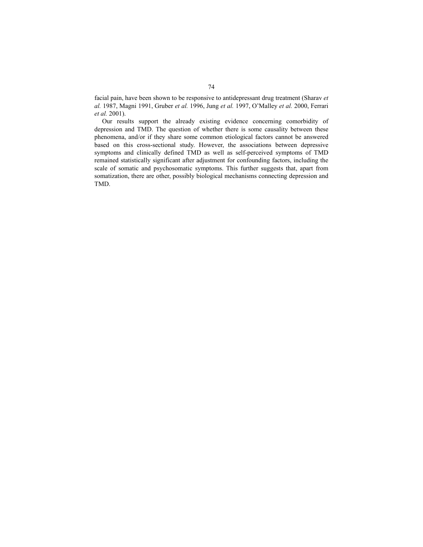facial pain, have been shown to be responsive to antidepressant drug treatment (Sharav *et al.* 1987, Magni 1991, Gruber *et al.* 1996, Jung *et al.* 1997, O'Malley *et al.* 2000, Ferrari *et al.* 2001).

Our results support the already existing evidence concerning comorbidity of depression and TMD. The question of whether there is some causality between these phenomena, and/or if they share some common etiological factors cannot be answered based on this cross-sectional study. However, the associations between depressive symptoms and clinically defined TMD as well as self-perceived symptoms of TMD remained statistically significant after adjustment for confounding factors, including the scale of somatic and psychosomatic symptoms. This further suggests that, apart from somatization, there are other, possibly biological mechanisms connecting depression and TMD.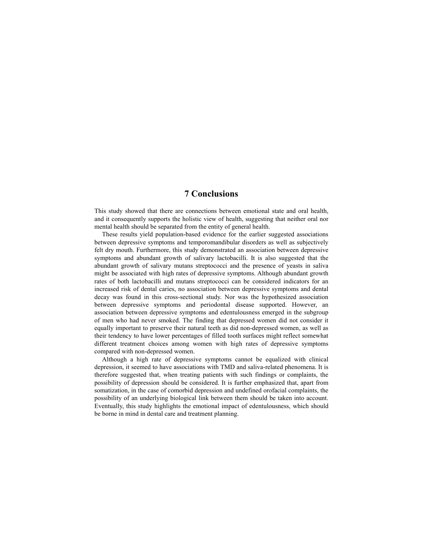### **7 Conclusions**

This study showed that there are connections between emotional state and oral health, and it consequently supports the holistic view of health, suggesting that neither oral nor mental health should be separated from the entity of general health.

These results yield population-based evidence for the earlier suggested associations between depressive symptoms and temporomandibular disorders as well as subjectively felt dry mouth. Furthermore, this study demonstrated an association between depressive symptoms and abundant growth of salivary lactobacilli. It is also suggested that the abundant growth of salivary mutans streptococci and the presence of yeasts in saliva might be associated with high rates of depressive symptoms. Although abundant growth rates of both lactobacilli and mutans streptococci can be considered indicators for an increased risk of dental caries, no association between depressive symptoms and dental decay was found in this cross-sectional study. Nor was the hypothesized association between depressive symptoms and periodontal disease supported. However, an association between depressive symptoms and edentulousness emerged in the subgroup of men who had never smoked. The finding that depressed women did not consider it equally important to preserve their natural teeth as did non-depressed women, as well as their tendency to have lower percentages of filled tooth surfaces might reflect somewhat different treatment choices among women with high rates of depressive symptoms compared with non-depressed women.

Although a high rate of depressive symptoms cannot be equalized with clinical depression, it seemed to have associations with TMD and saliva-related phenomena. It is therefore suggested that, when treating patients with such findings or complaints, the possibility of depression should be considered. It is further emphasized that, apart from somatization, in the case of comorbid depression and undefined orofacial complaints, the possibility of an underlying biological link between them should be taken into account. Eventually, this study highlights the emotional impact of edentulousness, which should be borne in mind in dental care and treatment planning.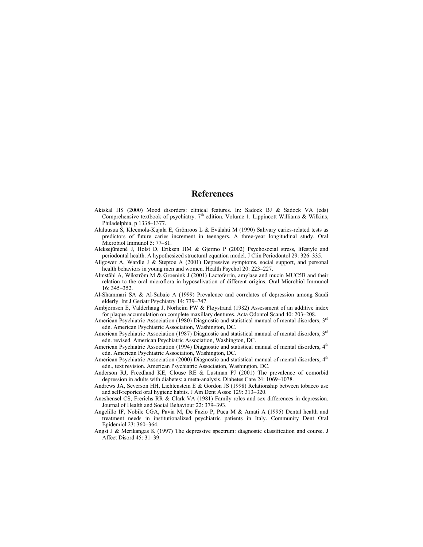#### **References**

- Akiskal HS (2000) Mood disorders: clinical features. In: Sadock BJ & Sadock VA (eds) Comprehensive textbook of psychiatry.  $7<sup>th</sup>$  edition. Volume 1. Lippincott Williams & Wilkins, Philadelphia, p 1338–1377.
- Alaluusua S, Kleemola-Kujala E, Grönroos L & Evälahti M (1990) Salivary caries-related tests as predictors of future caries increment in teenagers. A three-year longitudinal study. Oral Microbiol Immunol 5: 77–81.
- Aleksejūnienè J, Holst D, Eriksen HM & Gjermo P (2002) Psychosocial stress, lifestyle and periodontal health. A hypothesized structural equation model. J Clin Periodontol 29: 326–335.
- Allgower A, Wardle J & Steptoe A (2001) Depressive symptoms, social support, and personal health behaviors in young men and women. Health Psychol 20: 223–227.
- Almståhl A, Wikström M & Groenink J (2001) Lactoferrin, amylase and mucin MUC5B and their relation to the oral microflora in hyposalivation of different origins. Oral Microbiol Immunol 16: 345–352.
- Al-Shammari SA & Al-Subaie A (1999) Prevalence and correlates of depression among Saudi elderly. Int J Geriatr Psychiatry 14: 739–747.
- Ambjørnsen E, Valderhaug J, Norheim PW & Fløystrand (1982) Assessment of an additive index for plaque accumulation on complete maxillary dentures. Acta Odontol Scand 40: 203–208.
- American Psychiatric Association (1980) Diagnostic and statistical manual of mental disorders. 3<sup>rd</sup> edn. American Psychiatric Association, Washington, DC.
- American Psychiatric Association (1987) Diagnostic and statistical manual of mental disorders, 3<sup>rd</sup> edn. revised. American Psychiatric Association, Washington, DC.
- American Psychiatric Association (1994) Diagnostic and statistical manual of mental disorders,  $4<sup>th</sup>$ edn. American Psychiatric Association, Washington, DC.
- American Psychiatric Association (2000) Diagnostic and statistical manual of mental disorders,  $4<sup>th</sup>$ edn., text revision. American Psychiatric Association, Washington, DC.
- Anderson RJ, Freedland KE, Clouse RE & Lustman PJ (2001) The prevalence of comorbid depression in adults with diabetes: a meta-analysis. Diabetes Care 24: 1069–1078.
- Andrews JA, Severson HH, Lichtenstein E & Gordon JS (1998) Relationship between tobacco use and self-reported oral hygiene habits. J Am Dent Assoc 129: 313–320.
- Aneshensel CS, Frerichs RR & Clark VA (1981) Family roles and sex differences in depression. Journal of Health and Social Behaviour 22: 379–393.
- Angelillo IF, Nobile CGA, Pavia M, De Fazio P, Puca M & Amati A (1995) Dental health and treatment needs in institutionalized psychiatric patients in Italy. Community Dent Oral Epidemiol 23: 360–364.
- Angst J & Merikangas K (1997) The depressive spectrum: diagnostic classification and course. J Affect Disord 45: 31–39.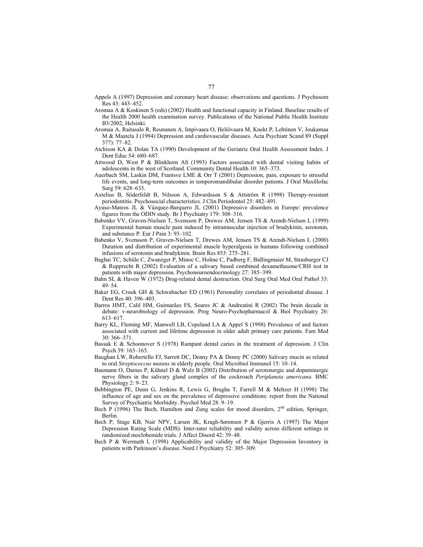- Appels A (1997) Depression and coronary heart disease: observations and questions. J Psychosom Res 43: 443–452.
- Aromaa A & Koskinen S (eds) (2002) Health and functional capacity in Finland. Baseline results of the Health 2000 health examination survey. Publications of the National Public Health Institute B3/2002, Helsinki.
- Aromaa A, Raitasalo R, Reunanen A, Impivaara O, Heliövaara M, Knekt P, Lehtinen V, Joukamaa M & Maatela J (1994) Depression and cardiovascular diseases. Acta Psychiatr Scand 89 (Suppl 377): 77–82.
- Atchison KA & Dolan TA (1990) Development of the Geriatric Oral Health Assessment Index. J Dent Educ 54: 680–687.
- Attwood D, West P & Blinkhorn AS (1993) Factors associated with dental visiting habits of adolescents in the west of Scotland. Community Dental Health 10: 365–373.
- Auerbach SM, Laskin DM, Frantsve LME & Orr T (2001) Depression, pain, exposure to stressful life events, and long-term outcomes in temporomandibular disorder patients. J Oral Maxillofac Surg 59: 628–633.
- Axtelius B, Söderfeldt B, Nilsson A, Edwardsson S & Attström R (1998) Therapy-resistant periodontitis. Psychosocial characteristics. J Clin Periodontol 25: 482–491.
- Ayuso-Mateos JL & Vázquez-Barquero JL (2001) Depressive disorders in Europe: prevalence figures from the ODIN study. Br J Psychiatry 179: 308–316.
- Babenko VV, Graven-Nielsen T, Svensson P, Drewes AM, Jensen TS & Arendt-Nielsen L (1999) Experimental human muscle pain induced by intramuscular injection of bradykinin, serotonin, and substance P. Eur J Pain 3: 93–102.
- Babenko V, Svensson P, Graven-Nielsen T, Drewes AM, Jensen TS & Arendt-Nielsen L (2000) Duration and distribution of experimental muscle hyperalgesia in humans following combined infusions of serotonin and bradykinin. Brain Res 853: 275–281.
- Baghai TC, Schüle C, Zwanzger P, Minoc C, Holme C, Padberg F, Bidlingmaier M, Strasburger CJ & Rupprecht R (2002) Evaluation of a salivary based combined dexamethasone/CRH test in patients with major depression. Psychoneuroendocrinology 27: 385–399.
- Bahn SL & Haven W (1972) Drug-related dental destruction. Oral Surg Oral Med Oral Pathol 33: 49–54.
- Baker EG, Crook GH & Schwabacher ED (1961) Personality correlates of periodontal disease. J Dent Res 40: 396–403.
- Barros HMT, Calil HM, Guimarães FS, Soares JC & Andreatini R (2002) The brain decade in debate: v-neurobiology of depression. Prog Neuro-Psychopharmacol & Biol Psychiatry 26: 613–617.
- Barry KL, Fleming MF, Manwell LB, Copeland LA & Appel S (1998) Prevalence of and factors associated with current and lifetime depression in older adult primary care patients. Fam Med 30: 366–371.
- Bassuk E & Schoonover S (1978) Rampant dental caries in the treatment of depression. J Clin Psych 39: 163–165.
- Baughan LW, Robertello FJ, Sarrett DC, Denny PA & Denny PC (2000) Salivary mucin as related to oral *Streptococcus mutans* in elderly people. Oral Microbiol Immunol 15: 10–14.
- Baumann O, Dames P, Kühnel D & Walz B (2002) Distribution of serotonergic and dopaminergic nerve fibers in the salivary gland complex of the cockroach *Periplaneta americana*. BMC Physiology 2: 9-23.
- Bebbington PE, Dunn G, Jenkins R, Lewis G, Brugha T, Farrell M & Meltzer H (1998) The influence of age and sex on the prevalence of depressive conditions: report from the National Survey of Psychiatric Morbidity. Psychol Med 28: 9–19.
- Bech P (1996) The Bech, Hamilton and Zung scales for mood disorders,  $2<sup>nd</sup>$  edition, Springer, Berlin.
- Bech P, Stage KB, Nair NPV, Larsen JK, Kragh-Sørensen P & Gjerris A (1997) The Major Depression Rating Scale (MDS). Inter-rater reliability and validity across different settings in randomized moclobemide trials. J Affect Disord 42: 39–48.
- Bech P & Wermuth L (1998) Applicability and validity of the Major Depression Inventory in patients with Parkinson's disease. Nord J Psychiatry 52: 305–309.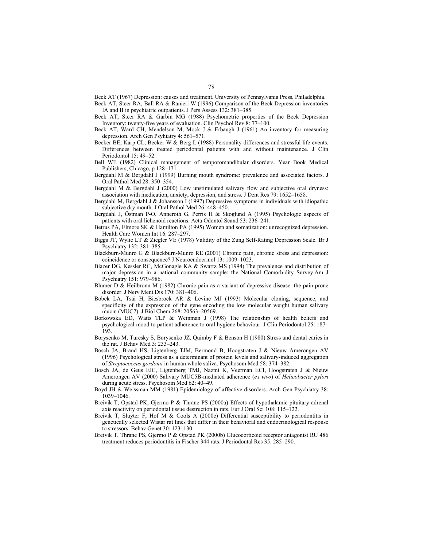Beck AT (1967) Depression: causes and treatment. University of Pennsylvania Press, Philadelphia.

- Beck AT, Steer RA, Ball RA & Ranieri W (1996) Comparison of the Beck Depression inventories IA and II in psychiatric outpatients. J Pers Assess 132: 381–385.
- Beck AT, Steer RA & Garbin MG (1988) Psychometric properties of the Beck Depression Inventory: twenty-five years of evaluation. Clin Psychol Rev 8: 77–100.
- Beck AT, Ward CH, Mendelson M, Mock J & Erbaugh J (1961) An inventory for measuring depression. Arch Gen Psyhiatry 4: 561–571.
- Becker BE, Karp CL, Becker W & Berg L (1988) Personality differences and stressful life events. Differences between treated periodontal patients with and without maintenance. J Clin Periodontol 15: 49–52.
- Bell WE (1982) Clinical management of temporomandibular disorders. Year Book Medical Publishers, Chicago, p 128–171.
- Bergdahl M & Bergdahl J (1999) Burning mouth syndrome: prevalence and associated factors. J Oral Pathol Med 28: 350–354.
- Bergdahl M & Bergdahl J (2000) Low unstimulated salivary flow and subjective oral dryness: association with medication, anxiety, depression, and stress. J Dent Res 79: 1652–1658.
- Bergdahl M, Bergdahl J & Johansson I (1997) Depressive symptoms in individuals with idiopathic subjective dry mouth. J Oral Pathol Med 26: 448–450.
- Bergdahl J, Östman P-O, Anneroth G, Perris H & Skoglund A (1995) Psychologic aspects of patients with oral lichenoid reactions. Acta Odontol Scand 53: 236–241.
- Betrus PA, Elmore SK & Hamilton PA (1995) Women and somatization: unrecognized depression. Health Care Women Int 16: 287–297.
- Biggs JT, Wylie LT & Ziegler VE (1978) Validity of the Zung Self-Rating Depression Scale. Br J Psychiatry 132: 381–385.
- Blackburn-Munro G & Blackburn-Munro RE (2001) Chronic pain, chronic stress and depression: coincidence or consequence? J Neuroendocrinol 13: 1009–1023.
- Blazer DG, Kessler RC, McGonagle KA & Swartz MS (1994) The prevalence and distribution of major depression in a national community sample: the National Comorbidity Survey.Am J Psychiatry 151: 979–986.
- Blumer D & Heilbronn M (1982) Chronic pain as a variant of depressive disease: the pain-prone disorder. J Nerv Ment Dis 170: 381–406.
- Bobek LA, Tsai H, Biesbrock AR & Levine MJ (1993) Molecular cloning, sequence, and specificity of the expression of the gene encoding the low molecular weight human salivary mucin (MUC7). J Biol Chem 268: 20563–20569.
- Borkowska ED, Watts TLP & Weinman J (1998) The relationship of health beliefs and psychological mood to patient adherence to oral hygiene behaviour. J Clin Periodontol 25: 187– 193.
- Borysenko M, Turesky S, Borysenko JZ, Quimby F & Benson H (1980) Stress and dental caries in the rat. J Behav Med 3: 233–243.
- Bosch JA, Brand HS, Ligtenberg TJM, Bermond B, Hoogstraten J & Nieuw Amerongen AV (1996) Psychological stress as a determinant of protein levels and salivary-induced aggregation of *Streptococcus gordonii* in human whole saliva. Psychosom Med 58: 374–382.
- Bosch JA, de Geus EJC, Ligtenberg TMJ, Nazmi K, Veerman ECI, Hoogstraten J & Nieuw Amerongen AV (2000) Salivary MUC5B-mediated adherence (*ex vivo*) of *Helicobacter pylori* during acute stress. Psychosom Med 62: 40–49.
- Boyd JH & Weissman MM (1981) Epidemiology of affective disorders. Arch Gen Psychiatry 38: 1039–1046.
- Breivik T, Opstad PK, Gjermo P & Thrane PS (2000a) Effects of hypothalamic-pituitary-adrenal axis reactivity on periodontal tissue destruction in rats. Eur J Oral Sci 108: 115–122.
- Breivik T, Sluyter F, Hof M & Cools A (2000c) Differential susceptibility to periodontitis in genetically selected Wistar rat lines that differ in their behavioral and endocrinological response to stressors. Behav Genet 30: 123–130.
- Breivik T, Thrane PS, Gjermo P & Opstad PK (2000b) Glucocorticoid receptor antagonist RU 486 treatment reduces periodontitis in Fischer 344 rats. J Periodontal Res 35: 285–290.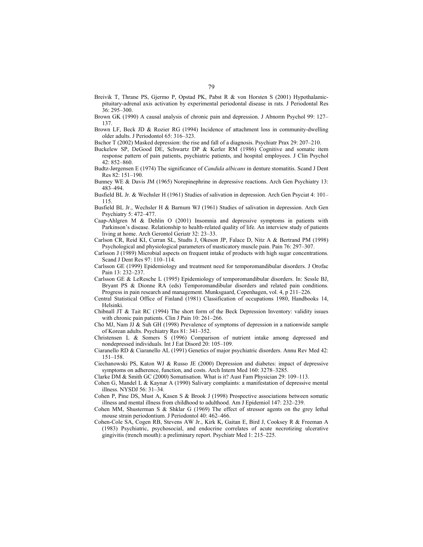- Breivik T, Thrane PS, Gjermo P, Opstad PK, Pabst R & von Horsten S (2001) Hypothalamicpituitary-adrenal axis activation by experimental periodontal disease in rats. J Periodontal Res 36: 295–300.
- Brown GK (1990) A causal analysis of chronic pain and depression. J Abnorm Psychol 99: 127– 137.
- Brown LF, Beck JD & Rozier RG (1994) Incidence of attachment loss in community-dwelling older adults. J Periodontol 65: 316–323.
- Bschor T (2002) Masked depression: the rise and fall of a diagnosis. Psychiatr Prax 29: 207–210.
- Buckelew SP, DeGood DE, Schwartz DP & Kerler RM (1986) Cognitive and somatic item response pattern of pain patients, psychiatric patients, and hospital employees. J Clin Psychol 42: 852–860.
- Budtz-Jørgensen E (1974) The significance of *Candida albicans* in denture stomatitis. Scand J Dent Res 82: 151–190.
- Bunney WE & Davis JM (1965) Norepinephrine in depressive reactions. Arch Gen Psychiatry 13: 483–494.
- Busfield BL Jr. & Wechsler H (1961) Studies of salivation in depression. Arch Gen Psyciat 4: 101– 115.
- Busfield BL Jr., Wechsler H & Barnum WJ (1961) Studies of salivation in depression. Arch Gen Psychiatry 5: 472–477.
- Caap-Ahlgren M & Dehlin O (2001) Insomnia and depressive symptoms in patients with Parkinson's disease. Relationship to health-related quality of life. An interview study of patients living at home. Arch Gerontol Geriatr 32: 23–33.
- Carlson CR, Reid KI, Curran SL, Studts J, Okeson JP, Falace D, Nitz A & Bertrand PM (1998) Psychological and physiological parameters of masticatory muscle pain. Pain 76: 297–307.
- Carlsson J (1989) Microbial aspects on frequent intake of products with high sugar concentrations. Scand J Dent Res 97: 110–114.
- Carlsson GE (1999) Epidemiology and treatment need for temporomandibular disorders. J Orofac Pain 13: 232–237.
- Carlsson GE & LeResche L (1995) Epidemiology of temporomandibular disorders. In: Sessle BJ, Bryant PS & Dionne RA (eds) Temporomandibular disorders and related pain conditions. Progress in pain research and management. Munksgaard, Copenhagen, vol. 4, p 211–226.
- Central Statistical Office of Finland (1981) Classification of occupations 1980, Handbooks 14, Helsinki.
- Chibnall JT & Tait RC (1994) The short form of the Beck Depression Inventory: validity issues with chronic pain patients. Clin J Pain 10: 261–266.
- Cho MJ, Nam JJ & Suh GH (1998) Prevalence of symptoms of depression in a nationwide sample of Korean adults. Psychiatry Res 81: 341–352.
- Christensen L & Somers S (1996) Comparison of nutrient intake among depressed and nondepressed individuals. Int J Eat Disord 20: 105–109.
- Ciaranello RD & Ciaranello AL (1991) Genetics of major psychiatric disorders. Annu Rev Med 42: 151–158.
- Ciechanowski PS, Katon WJ & Russo JE (2000) Depression and diabetes: impact of depressive symptoms on adherence, function, and costs. Arch Intern Med 160: 3278–3285.
- Clarke DM & Smith GC (2000) Somatisation. What is it? Aust Fam Physician 29: 109–113.
- Cohen G, Mandel L & Kaynar A (1990) Salivary complaints: a manifestation of depressive mental illness. NYSDJ 56: 31–34.
- Cohen P, Pine DS, Must A, Kasen S & Brook J (1998) Prospective associations between somatic illness and mental illness from childhood to adulthood. Am J Epidemiol 147: 232–239.
- Cohen MM, Shusterman S & Shklar G (1969) The effect of stressor agents on the grey lethal mouse strain periodontium. J Periodontol 40: 462–466.
- Cohen-Cole SA, Cogen RB, Stevens AW Jr., Kirk K, Gaitan E, Bird J, Cooksey R & Freeman A (1983) Psychiatric, psychosocial, and endocrine correlates of acute necrotizing ulcerative gingivitis (trench mouth): a preliminary report. Psychiatr Med 1: 215–225.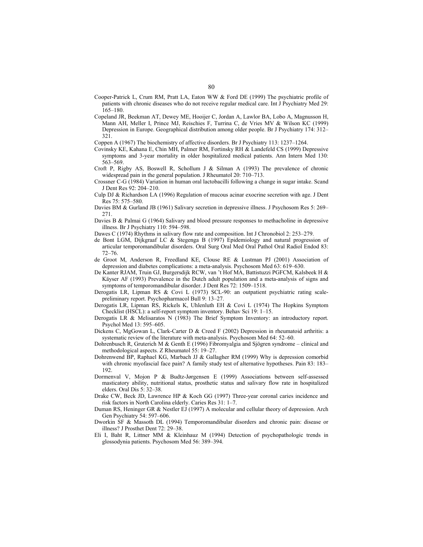- Cooper-Patrick L, Crum RM, Pratt LA, Eaton WW & Ford DE (1999) The psychiatric profile of patients with chronic diseases who do not receive regular medical care. Int J Psychiatry Med 29: 165–180.
- Copeland JR, Beekman AT, Dewey ME, Hooijer C, Jordan A, Lawlor BA, Lobo A, Magnusson H, Mann AH, Meller I, Prince MJ, Reischies F, Turrina C, de Vries MV & Wilson KC (1999) Depression in Europe. Geographical distribution among older people. Br J Psychiatry 174: 312– 321.
- Coppen A (1967) The biochemistry of affective disorders. Br J Psychiatry 113: 1237–1264.
- Covinsky KE, Kahana E, Chin MH, Palmer RM, Fortinsky RH & Landefeld CS (1999) Depressive symptoms and 3-year mortality in older hospitalized medical patients. Ann Intern Med 130: 563–569.
- Croft P, Rigby AS, Boswell R, Schollum J & Silman A (1993) The prevalence of chronic widespread pain in the general population. J Rheumatol 20: 710–713.
- Crossner C-G (1984) Variation in human oral lactobacilli following a change in sugar intake. Scand J Dent Res 92: 204–210.
- Culp DJ & Richardson LA (1996) Regulation of mucous acinar exocrine secretion with age. J Dent Res 75: 575–580.
- Davies BM & Gurland JB (1961) Salivary secretion in depressive illness. J Psychosom Res 5: 269– 271.
- Davies B & Palmai G (1964) Salivary and blood pressure responses to methacholine in depressive illness. Br J Psychiatry 110: 594–598.
- Dawes C (1974) Rhythms in salivary flow rate and composition. Int J Chronobiol 2: 253–279.
- de Bont LGM, Dijkgraaf LC & Stegenga B (1997) Epidemiology and natural progression of articular temporomandibular disorders. Oral Surg Oral Med Oral Pathol Oral Radiol Endod 83: 72–76.
- de Groot M, Anderson R, Freedland KE, Clouse RE & Lustman PJ (2001) Association of depression and diabetes complications: a meta-analysis. Psychosom Med 63: 619–630.
- De Kanter RJAM, Truin GJ, Burgersdijk RCW, van 't Hof MA, Battistuzzi PGFCM, Kalsbeek H & Käyser AF (1993) Prevalence in the Dutch adult population and a meta-analysis of signs and symptoms of temporomandibular disorder. J Dent Res 72: 1509–1518.
- Derogatis LR, Lipman RS & Covi L (1973) SCL-90: an outpatient psychiatric rating scalepreliminary report. Psychopharmacol Bull 9: 13–27.
- Derogatis LR, Lipman RS, Rickels K, Uhlenluth EH & Covi L (1974) The Hopkins Symptom Checklist (HSCL): a self-report symptom inventory. Behav Sci 19: 1–15.
- Derogatis LR & Melisaratos N (1983) The Brief Symptom Inventory: an introductory report. Psychol Med 13: 595–605.
- Dickens C, MgGowan L, Clark-Carter D & Creed F (2002) Depression in rheumatoid arthritis: a systematic review of the literature with meta-analysis. Psychosom Med 64: 52–60.
- Dohrenbusch R, Gruterich M & Genth E (1996) Fibromyalgia and Sjögren syndrome clinical and methodological aspects. Z Rheumatol 55: 19–27.
- Dohrenwend BP, Raphael KG, Marbach JJ & Gallagher RM (1999) Why is depression comorbid with chronic myofascial face pain? A family study test of alternative hypotheses. Pain 83: 183– 192.
- Dormenval V, Mojon P & Budtz-Jørgensen E (1999) Associations between self-assessed masticatory ability, nutritional status, prosthetic status and salivary flow rate in hospitalized elders. Oral Dis 5: 32–38.
- Drake CW, Beck JD, Lawrence HP & Koch GG (1997) Three-year coronal caries incidence and risk factors in North Carolina elderly. Caries Res 31: 1–7.
- Duman RS, Heninger GR & Nestler EJ (1997) A molecular and cellular theory of depression. Arch Gen Psychiatry 54: 597–606.
- Dworkin SF & Massoth DL (1994) Temporomandibular disorders and chronic pain: disease or illness? J Prosthet Dent 72: 29–38.
- Eli I, Baht R, Littner MM & Kleinhauz M (1994) Detection of psychopathologic trends in glossodynia patients. Psychosom Med 56: 389–394.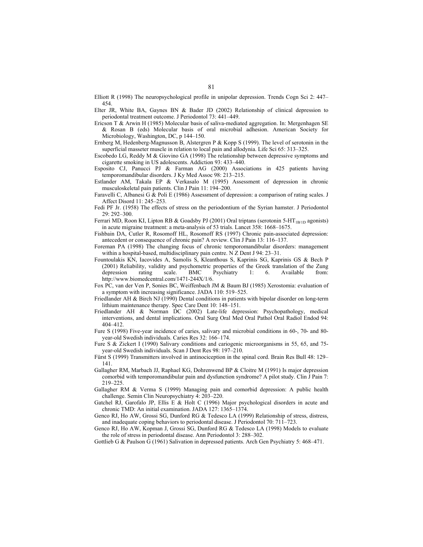Elliott R (1998) The neuropsychological profile in unipolar depression. Trends Cogn Sci 2: 447– 454.

- Elter JR, White BA, Gaynes BN & Bader JD (2002) Relationship of clinical depression to periodontal treatment outcome. J Periodontol 73: 441–449.
- Ericson T & Arwin H (1985) Molecular basis of saliva-mediated aggregation. In: Mergenhagen SE & Rosan B (eds) Molecular basis of oral microbial adhesion. American Society for Microbiology, Washington, DC, p 144–150.
- Ernberg M, Hedenberg-Magnusson B, Alstergren P & Kopp S (1999). The level of serotonin in the superficial masseter muscle in relation to local pain and allodynia. Life Sci 65: 313–325.
- Escobedo LG, Reddy M & Giovino GA (1998) The relationship between depressive symptoms and cigarette smoking in US adolescents. Addiction 93: 433–440.
- Esposito CJ, Panucci PJ & Farman AG (2000) Associations in 425 patients having temporomandibular disorders. J Ky Med Assoc 98: 213–215.
- Estlander AM, Takala EP & Verkasalo M (1995) Assessment of depression in chronic musculoskeletal pain patients. Clin J Pain 11: 194–200.
- Faravelli C, Albanesi G & Poli E (1986) Assessment of depression: a comparison of rating scales. J Affect Disord 11: 245–253.
- Fedi PF Jr. (1958) The effects of stress on the periodontium of the Syrian hamster. J Periodontol 29: 292–300.
- Ferrari MD, Roon KI, Lipton RB & Goadsby PJ (2001) Oral triptans (serotonin 5-HT<sub>1B/1D</sub> agonists) in acute migraine treatment: a meta-analysis of 53 trials. Lancet 358: 1668–1675.
- Fishbain DA, Cutler R, Rosomoff HL, Rosomoff RS (1997) Chronic pain-associated depression: antecedent or consequence of chronic pain? A review. Clin J Pain 13: 116–137.
- Foreman PA (1998) The changing focus of chronic temporomandibular disorders: management within a hospital-based, multidisciplinary pain centre. N Z Dent J 94: 23–31.
- Fountoulakis KN, Iacovides A, Samolis S, Kleanthous S, Kaprinis SG, Kaprinis GS & Bech P (2001) Reliability, validity and psychometric properties of the Greek translation of the Zung depression rating scale. BMC Psychiatry 1: 6. Available from: http://www.biomedcentral.com/1471-244X/1/6.
- Fox PC, van der Ven P, Sonies BC, Weiffenbach JM & Baum BJ (1985) Xerostomia: evaluation of a symptom with increasing significance. JADA 110: 519–525.
- Friedlander AH & Birch NJ (1990) Dental conditions in patients with bipolar disorder on long-term lithium maintenance therapy. Spec Care Dent 10: 148–151.
- Friedlander AH & Norman DC (2002) Late-life depression: Psychopathology, medical interventions, and dental implications. Oral Surg Oral Med Oral Pathol Oral Radiol Endod 94: 404–412.
- Fure S (1998) Five-year incidence of caries, salivary and microbial conditions in 60-, 70- and 80 year-old Swedish individuals. Caries Res 32: 166–174.
- Fure S & Zickert I (1990) Salivary conditions and cariogenic microorganisms in 55, 65, and 75 year-old Swedish individuals. Scan J Dent Res 98: 197–210.
- Fürst S (1999) Transmitters involved in antinociception in the spinal cord. Brain Res Bull 48: 129– 141.
- Gallagher RM, Marbach JJ, Raphael KG, Dohrenwend BP & Cloitre M (1991) Is major depression comorbid with temporomandibular pain and dysfunction syndrome? A pilot study. Clin J Pain 7: 219–225.
- Gallagher RM & Verma S (1999) Managing pain and comorbid depression: A public health challenge. Semin Clin Neuropsychiatry 4: 203–220.
- Gatchel RJ, Garofalo JP, Ellis E & Holt C (1996) Major psychological disorders in acute and chronic TMD: An initial examination. JADA 127: 1365–1374.
- Genco RJ, Ho AW, Grossi SG, Dunford RG & Tedesco LA (1999) Relationship of stress, distress, and inadequate coping behaviors to periodontal disease. J Periodontol 70: 711–723.
- Genco RJ, Ho AW, Kopman J, Grossi SG, Dunford RG & Tedesco LA (1998) Models to evaluate the role of stress in periodontal disease. Ann Periodontol 3: 288–302.
- Gottlieb G & Paulson G (1961) Salivation in depressed patients. Arch Gen Psychiatry 5: 468–471.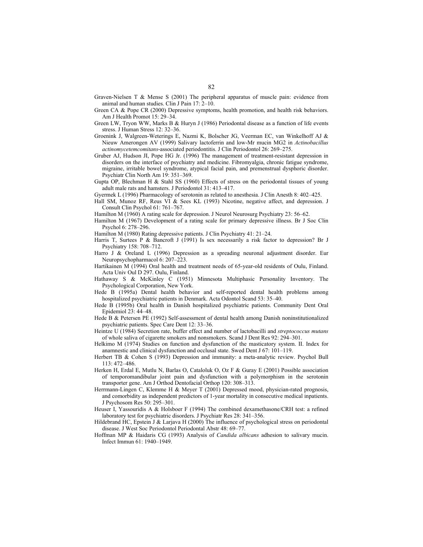- Graven-Nielsen T & Mense S (2001) The peripheral apparatus of muscle pain: evidence from animal and human studies. Clin J Pain 17: 2–10.
- Green CA & Pope CR (2000) Depressive symptoms, health promotion, and health risk behaviors. Am J Health Promot 15: 29–34.
- Green LW, Tryon WW, Marks B & Huryn J (1986) Periodontal disease as a function of life events stress. J Human Stress 12: 32–36.
- Groenink J, Walgreen-Weterings E, Nazmi K, Bolscher JG, Veerman EC, van Winkelhoff AJ & Nieuw Amerongen AV (1999) Salivary lactoferrin and low-Mr mucin MG2 in *Actinobacillus actinomycetemcomitans*-associated periodontitis. J Clin Periodontol 26: 269–275.
- Gruber AJ, Hudson JI, Pope HG Jr. (1996) The management of treatment-resistant depression in disorders on the interface of psychiatry and medicine. Fibromyalgia, chronic fatigue syndrome, migraine, irritable bowel syndrome, atypical facial pain, and premenstrual dysphoric disorder. Psychiatr Clin North Am 19: 351–369.
- Gupta OP, Blechman H & Stahl SS (1960) Effects of stress on the periodontal tissues of young adult male rats and hamsters. J Periodontol 31: 413–417.
- Gyermek L (1996) Pharmacology of serotonin as related to anesthesia. J Clin Anesth 8: 402–425.
- Hall SM, Munoz RF, Reus VI & Sees KL (1993) Nicotine, negative affect, and depression. J Consult Clin Psychol 61: 761–767.
- Hamilton M (1960) A rating scale for depression. J Neurol Neurosurg Psychiatry 23: 56–62.
- Hamilton M (1967) Development of a rating scale for primary depressive illness. Br J Soc Clin Psychol 6: 278–296.
- Hamilton M (1980) Rating depressive patients. J Clin Psychiatry 41: 21–24.
- Harris T, Surtees P & Bancroft J (1991) Is sex necessarily a risk factor to depression? Br J Psychiatry 158: 708–712.
- Harro J & Oreland L (1996) Depression as a spreading neuronal adjustment disorder. Eur Neuropsychopharmacol 6: 207–223.
- Hartikainen M (1994) Oral health and treatment needs of 65-year-old residents of Oulu, Finland. Acta Univ Oul D 297. Oulu, Finland.
- Hathaway S & McKinley C (1951) Minnesota Multiphasic Personality Inventory. The Psychological Corporation, New York.
- Hede B (1995a) Dental health behavior and self-reported dental health problems among hospitalized psychiatric patients in Denmark. Acta Odontol Scand 53: 35–40.
- Hede B (1995b) Oral health in Danish hospitalized psychiatric patients. Community Dent Oral Epidemiol 23: 44–48.
- Hede B & Petersen PE (1992) Self-assessment of dental health among Danish noninstitutionalized psychiatric patients. Spec Care Dent 12: 33–36.
- Heintze U (1984) Secretion rate, buffer effect and number of lactobacilli and *streptococcus mutans* of whole saliva of cigarette smokers and nonsmokers. Scand J Dent Res 92: 294–301.
- Helkimo M (1974) Studies on function and dysfunction of the masticatory system. II. Index for anamnestic and clinical dysfunction and occlusal state. Swed Dent J 67: 101–119.
- Herbert TB & Cohen S (1993) Depression and immunity: a meta-analytic review. Psychol Bull 113: 472–486.
- Herken H, Erdal E, Mutlu N, Barlas O, Cataloluk O, Oz F & Guray E (2001) Possible association of temporomandibular joint pain and dysfunction with a polymorphism in the serotonin transporter gene. Am J Orthod Dentofacial Orthop 120: 308–313.
- Herrmann-Lingen C, Klemme H & Meyer T (2001) Depressed mood, physician-rated prognosis, and comorbidity as independent predictors of 1-year mortality in consecutive medical inpatients. J Psychosom Res 50: 295–301.
- Heuser I, Yassouridis A & Holsboer F (1994) The combined dexamethasone/CRH test: a refined laboratory test for psychiatric disorders. J Psychiatr Res 28: 341–356.
- Hildebrand HC, Epstein J & Larjava H (2000) The influence of psychological stress on periodontal disease. J West Soc Periodontol Periodontal Abstr 48: 69–77.
- Hoffman MP & Haidaris CG (1993) Analysis of *Candida albicans* adhesion to salivary mucin. Infect Immun 61: 1940–1949.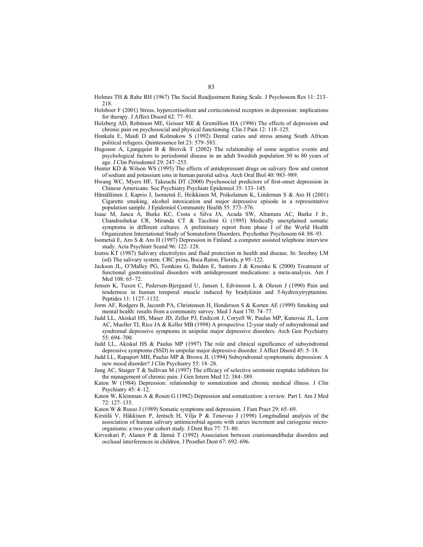- Holmes TH & Rahe RH (1967) The Social Readjustment Rating Scale. J Psychosom Res 11: 213– 218.
- Holsboer F (2001) Stress, hypercortisolism and corticosteroid receptors in depression: implications for therapy. J Affect Disord 62: 77–91.
- Holzberg AD, Robinson ME, Geisser ME & Gremillion HA (1996) The effects of depression and chronic pain on psychosocial and physical functioning. Clin J Pain 12: 118–125.
- Honkala E, Maidi D and Kolmakow S (1992) Dental caries and stress among South African political refugees. Quintessence Int 23: 579–583.
- Hugoson A, Ljungquist B & Breivik T (2002) The relationship of some negative events and psychological factors to periodontal disease in an adult Swedish population 50 to 80 years of age. J Clin Periodontol 29: 247–253.
- Hunter KD & Wilson WS (1995) The effects of antidepressant drugs on salivary flow and content of sodium and potassium ions in human parotid saliva. Arch Oral Biol 40: 983–989.
- Hwang WC, Myers HF, Takeuchi DT (2000) Psychosocial predictors of first-onset depression in Chinese Americans. Soc Psychiatry Psychiatr Epidemiol 35: 133–145.
- Hämäläinen J, Kaprio J, Isometsä E, Heikkinen M, Poikolainen K, Lindeman S & Aro H (2001) Cigarette smoking, alcohol intoxication and major depressive episode in a representative population sample. J Epidemiol Community Health 55: 573–576.
- Isaac M, Janca A, Burke KC, Costa e Silva JA, Acuda SW, Altamura AC, Burke J Jr., Chandrashekar CR, Miranda CT & Tacchini G (1995) Medically unexplained somatic symptoms in different cultures. A preliminary report from phase I of the World Health Organization International Study of Somatoform Disorders. Psychother Psychosom 64: 88–93.
- Isometsä E, Aro S & Aro H (1997) Depression in Finland: a computer assisted telephone interview study. Acta Psychiatr Scand 96: 122–128.
- Izutsu KT (1987) Salivary electrolytes and fluid protection in health and disease. In: Sreebny LM (ed) The salivary system. CRC press, Boca Raton, Florida, p 95–122.
- Jackson JL, O'Malley PG, Tomkins G, Balden E, Santoro J & Kroenke K (2000) Treatment of functional gastrointestinal disorders with antidepressant medications: a meta-analysis. Am J Med 108: 65–72.
- Jensen K, Tuxen C, Pedersen-Bjergaard U, Jansen I, Edvinsson L & Olesen J (1990) Pain and tenderness in human temporal muscle induced by bradykinin and 5-hydroxytryptamine. Peptides 11: 1127–1132.
- Jorm AF, Rodgers B, Jacomb PA, Christensen H, Henderson S & Korten AE (1999) Smoking and mental health: results from a community survey. Med J Aust 170: 74–77.
- Judd LL, Akiskal HS, Maser JD, Zeller PJ, Endicott J, Coryell W, Paulus MP, Kunovac JL, Leon AC, Mueller TI, Rice JA & Keller MB (1998) A prospective 12-year study of subsyndromal and syndromal depressive symptoms in unipolar major depressive disorders. Arch Gen Psychiatry 55: 694–700.
- Judd LL, Akiskal HS & Paulus MP (1997) The role and clinical significance of subsyndromal depressive symptoms (SSD) in unipolar major depressive disorder. J Affect Disord 45: 5–18.
- Judd LL, Rapaport MH, Paulus MP & Brown JL (1994) Subsyndromal symptomatic depression: A new mood disorder? J Clin Psychiatry 55: 18–28.
- Jung AC, Staiger T & Sullivan M (1997) The efficacy of selective serotonin reuptake inhibitors for the management of chronic pain. J Gen Intern Med 12: 384–389.
- Katon W (1984) Depression: relationship to somatization and chronic medical illness. J Clin Psychiatry 45: 4–12.
- Katon W, Kleinman A & Rosen G (1982) Depression and somatization: a review. Part I. Am J Med 72: 127–135.
- Katon W & Russo J (1989) Somatic symptoms and depression. J Fam Pract 29: 65–69.
- Kirstilä V, Häkkinen P, Jentsch H, Vilja P & Tenovuo J (1998) Longitudinal analysis of the association of human salivary antimicrobial agents with caries increment and cariogenic microorganisms: a two-year cohort study. J Dent Res 77: 73–80.
- Kirveskari P, Alanen P & Jämsä T (1992) Association between craniomandibular disorders and occlusal interferences in children. J Prosthet Dent 67: 692–696.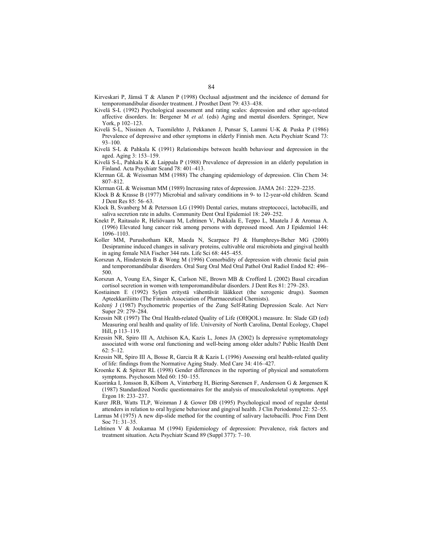- Kirveskari P, Jämsä T & Alanen P (1998) Occlusal adjustment and the incidence of demand for temporomandibular disorder treatment. J Prosthet Dent 79: 433–438.
- Kivelä S-L (1992) Psychological assessment and rating scales: depression and other age-related affective disorders. In: Bergener M *et al.* (eds) Aging and mental disorders. Springer, New York, p 102–123.
- Kivelä S-L, Nissinen A, Tuomilehto J, Pekkanen J, Punsar S, Lammi U-K & Puska P (1986) Prevalence of depressive and other symptoms in elderly Finnish men. Acta Psychiatr Scand 73: 93–100.
- Kivelä S-L & Pahkala K (1991) Relationships between health behaviour and depression in the aged. Aging 3: 153–159.
- Kivelä S-L, Pahkala K & Laippala P (1988) Prevalence of depression in an elderly population in Finland. Acta Psychiatr Scand 78: 401–413.
- Klerman GL & Weissman MM (1988) The changing epidemiology of depression. Clin Chem 34: 807–812.
- Klerman GL & Weissman MM (1989) Increasing rates of depression. JAMA 261: 2229–2235.
- Klock B & Krasse B (1977) Microbial and salivary conditions in 9- to 12-year-old children. Scand J Dent Res 85: 56–63.
- Klock B, Svanberg M & Petersson LG (1990) Dental caries, mutans streptococci, lactobacilli, and saliva secretion rate in adults. Community Dent Oral Epidemiol 18: 249–252.
- Knekt P, Raitasalo R, Heliövaara M, Lehtinen V, Pukkala E, Teppo L, Maatela J & Aromaa A. (1996) Elevated lung cancer risk among persons with depressed mood. Am J Epidemiol 144: 1096–1103.
- Koller MM, Purushotham KR, Maeda N, Scarpace PJ & Humphreys-Beher MG (2000) Desipramine induced changes in salivary proteins, cultivable oral microbiota and gingival health in aging female NIA Fischer 344 rats. Life Sci 68: 445–455.
- Korszun A, Hinderstein B & Wong M (1996) Comorbidity of depression with chronic facial pain and temporomandibular disorders. Oral Surg Oral Med Oral Pathol Oral Radiol Endod 82: 496– 500.
- Korszun A, Young EA, Singer K, Carlson NE, Brown MB & Crofford L (2002) Basal circadian cortisol secretion in women with temporomandibular disorders. J Dent Res 81: 279–283.
- Kostiainen E (1992) Syljen eritystä vähentävät lääkkeet (the xerogenic drugs). Suomen Apteekkariliitto (The Finnish Association of Pharmaceutical Chemists).
- Kožený J (1987) Psychometric properties of the Zung Self-Rating Depression Scale. Act Nerv Super 29: 279–284.
- Kressin NR (1997) The Oral Health-related Quality of Life (OHQOL) measure. In: Slade GD (ed) Measuring oral health and quality of life. University of North Carolina, Dental Ecology, Chapel Hill, p 113–119.
- Kressin NR, Spiro III A, Atchison KA, Kazis L, Jones JA (2002) Is depressive symptomatology associated with worse oral functioning and well-being among older adults? Public Health Dent 62: 5–12.
- Kressin NR, Spiro III A, Bosse R, Garcia R & Kazis L (1996) Assessing oral health-related quality of life: findings from the Normative Aging Study. Med Care 34: 416–427.
- Kroenke K & Spitzer RL (1998) Gender differences in the reporting of physical and somatoform symptoms. Psychosom Med 60: 150–155.
- Kuorinka I, Jonsson B, Kilbom A, Vinterberg H, Biering-Sørensen F, Andersson G & Jørgensen K (1987) Standardized Nordic questionnaires for the analysis of musculoskeletal symptoms. Appl Ergon 18: 233–237.
- Kurer JRB, Watts TLP, Weinman J & Gower DB (1995) Psychological mood of regular dental attenders in relation to oral hygiene behaviour and gingival health. J Clin Periodontol 22: 52–55.
- Larmas M (1975) A new dip-slide method for the counting of salivary lactobacilli. Proc Finn Dent Soc 71: 31–35.
- Lehtinen V & Joukamaa M (1994) Epidemiology of depression: Prevalence, risk factors and treatment situation. Acta Psychiatr Scand 89 (Suppl 377): 7–10.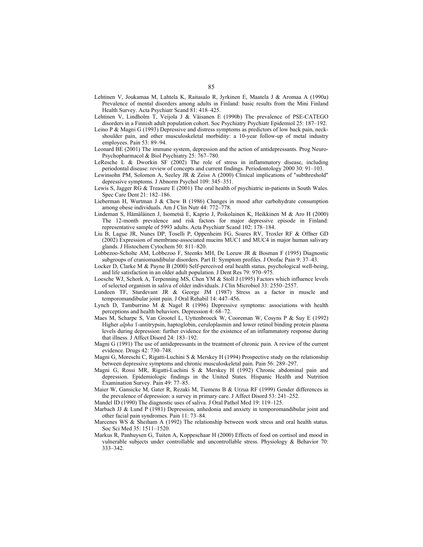- Lehtinen V, Joukamaa M, Lahtela K, Raitasalo R, Jyrkinen E, Maatela J & Aromaa A (1990a) Prevalence of mental disorders among adults in Finland: basic results from the Mini Finland Health Survey. Acta Psychiatr Scand 81: 418–425.
- Lehtinen V, Lindholm T, Veijola J & Väisanen E (1990b) The prevalence of PSE-CATEGO disorders in a Finnish adult population cohort. Soc Psychiatry Psychiatr Epidemiol 25: 187–192.
- Leino P & Magni G (1993) Depressive and distress symptoms as predictors of low back pain, neckshoulder pain, and other musculoskeletal morbidity: a 10-year follow-up of metal industry employees. Pain 53: 89–94.
- Leonard BE (2001) The immune system, depression and the action of antidepressants. Prog Neuro-Psychopharmacol & Biol Psychiatry 25: 767–780.
- LeResche L & Dworkin SF (2002) The role of stress in inflammatory disease, including periodontal disease: review of concepts and current findings. Periodontology 2000 30: 91–103.
- Lewinsohn PM, Solomon A, Seeley JR & Zeiss A (2000) Clinical implications of "subthreshold" depressive symptoms. J Abnorm Psychol 109: 345–351.
- Lewis S, Jagger RG & Treasure E (2001) The oral health of psychiatric in-patients in South Wales. Spec Care Dent 21: 182–186.
- Lieberman H, Wurtman J & Chew B (1986) Changes in mood after carbohydrate consumption among obese individuals. Am J Clin Nutr 44: 772–778.
- Lindeman S, Hämäläinen J, Isometsä E, Kaprio J, Poikolainen K, Heikkinen M & Aro H (2000) The 12-month prevalence and risk factors for major depressive episode in Finland: representative sample of 5993 adults. Acta Psychiatr Scand 102: 178–184.
- Liu B, Lague JR, Nunes DP, Toselli P, Oppenheim FG, Soares RV, Troxler RF & Offner GD (2002) Expression of membrane-associated mucins MUC1 and MUC4 in major human salivary glands. J Histochem Cytochem 50: 811–820.
- Lobbezoo-Scholte AM, Lobbezoo F, Steenks MH, De Leeuw JR & Bosman F (1995) Diagnostic subgroups of craniomandibular disorders. Part II: Symptom profiles. J Orofac Pain 9: 37–43.
- Locker D, Clarke M & Payne B (2000) Self-perceived oral health status, psychological well-being, and life satisfaction in an older adult population. J Dent Res 79: 970–975.
- Loesche WJ, Schork A, Terpenning MS, Chen YM & Stoll J (1995) Factors which influence levels of selected organism in saliva of older individuals. J Clin Microbiol 33: 2550–2557.
- Lundeen TF, Sturdevant JR & George JM (1987) Stress as a factor in muscle and temporomandibular joint pain. J Oral Rehabil 14: 447–456.
- Lynch D, Tamburrino M & Nagel R (1996) Depressive symptoms: associations with health perceptions and health behaviors. Depression 4: 68–72.
- Maes M, Scharpe S, Van Grootel L, Uyttenbroeck W, Cooreman W, Cosyns P & Suy E (1992) Higher *alpha* 1-antitrypsin, haptoglobin, ceruloplasmin and lower retinol binding protein plasma levels during depression: further evidence for the existence of an inflammatory response during that illness. J Affect Disord 24: 183–192.
- Magni G (1991) The use of antidepressants in the treatment of chronic pain. A review of the current evidence. Drugs 42: 730–748.
- Magni G, Moreschi C, Rigatti-Luchini S & Merskey H (1994) Prospective study on the relationship between depressive symptoms and chronic musculoskeletal pain. Pain 56: 289–297.
- Magni G, Rossi MR, Rigatti-Luchini S & Merskey H (1992) Chronic abdominal pain and depression. Epidemiologic findings in the United States. Hispanic Health and Nutrition Examination Survey. Pain 49: 77–85.
- Maier W, Gansicke M, Gater R, Rezaki M, Tiemens B & Urzua RF (1999) Gender differences in the prevalence of depression: a survey in primary care. J Affect Disord 53: 241–252.
- Mandel ID (1990) The diagnostic uses of saliva. J Oral Pathol Med 19: 119–125.
- Marbach JJ & Lund P (1981) Depression, anhedonia and anxiety in temporomandibular joint and other facial pain syndromes. Pain 11: 73–84.
- Marcenes WS & Sheiham A (1992) The relationship between work stress and oral health status. Soc Sci Med 35: 1511–1520.
- Markus R, Panhuysen G, Tuiten A, Koppeschaar H (2000) Effects of food on cortisol and mood in vulnerable subjects under controllable and uncontrollable stress. Physiology & Behavior 70: 333–342.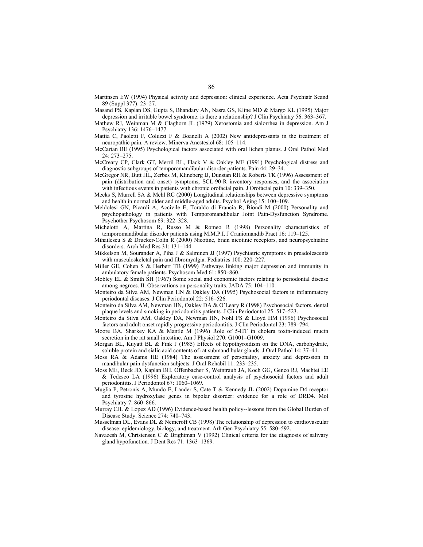- Martinsen EW (1994) Physical activity and depression: clinical experience. Acta Psychiatr Scand 89 (Suppl 377): 23–27.
- Masand PS, Kaplan DS, Gupta S, Bhandary AN, Nasra GS, Kline MD & Margo KL (1995) Major depression and irritable bowel syndrome: is there a relationship? J Clin Psychiatry 56: 363–367.
- Mathew RJ, Weinman M & Claghorn JL (1979) Xerostomia and sialorrhea in depression. Am J Psychiatry 136: 1476–1477.
- Mattia C, Paoletti F, Coluzzi F & Boanelli A (2002) New antidepressants in the treatment of neuropathic pain. A review. Minerva Anestesiol 68: 105–114.
- McCartan BE (1995) Psychological factors associated with oral lichen planus. J Oral Pathol Med 24: 273–275.
- McCreary CP, Clark GT, Merril RL, Flack V & Oakley ME (1991) Psychological distress and diagnostic subgroups of temporomandibular disorder patients. Pain 44: 29–34.
- McGregor NR, Butt HL, Zerbes M, Klineberg IJ, Dunstan RH & Roberts TK (1996) Assessment of pain (distribution and onset) symptoms, SCL-90-R inventory responses, and the association with infectious events in patients with chronic orofacial pain. J Orofacial pain 10: 339–350.
- Meeks S, Murrell SA & Mehl RC (2000) Longitudinal relationships between depressive symptoms and health in normal older and middle-aged adults. Psychol Aging 15: 100–109.
- Meldolesi GN, Picardi A, Accivile E, Toraldo di Francia R, Biondi M (2000) Personality and psychopathology in patients with Temporomandibular Joint Pain-Dysfunction Syndrome. Psychother Psychosom 69: 322–328.
- Michelotti A, Martina R, Russo M & Romeo R (1998) Personality characteristics of temporomandibular disorder patients using M.M.P.I. J Craniomandib Pract 16: 119–125.
- Mihailescu S & Drucker-Colín R (2000) Nicotine, brain nicotinic receptors, and neuropsychiatric disorders. Arch Med Res 31: 131–144.
- Mikkelson M, Sourander A, Piha J & Salminen JJ (1997) Psychiatric symptoms in preadolescents with musculoskeletal pain and fibromyalgia. Pediatrics 100: 220–227.
- Miller GE, Cohen S & Herbert TB (1999) Pathways linking major depression and immunity in ambulatory female patients. Psychosom Med 61: 850–860.
- Mobley EL & Smith SH (1967) Some social and economic factors relating to periodontal disease among negroes. II. Observations on personality traits. JADA 75: 104–110.
- Monteiro da Silva AM, Newman HN & Oakley DA (1995) Psychosocial factors in inflammatory periodontal diseases. J Clin Periodontol 22: 516–526.
- Monteiro da Silva AM, Newman HN, Oakley DA & O´Leary R (1998) Psychosocial factors, dental plaque levels and smoking in periodontitis patients. J Clin Periodontol 25: 517–523.
- Monteiro da Silva AM, Oakley DA, Newman HN, Nohl FS & Lloyd HM (1996) Psychosocial factors and adult onset rapidly progressive periodontitis. J Clin Periodontol 23: 789–794.
- Moore BA, Sharkey KA  $\&$  Mantle M (1996) Role of 5-HT in cholera toxin-induced mucin secretion in the rat small intestine. Am J Physiol 270: G1001–G1009.
- Morgan BL, Kuyatt BL & Fink J (1985) Effects of hypothyroidism on the DNA, carbohydrate, soluble protein and sialic acid contents of rat submandibular glands. J Oral Pathol 14: 37–41.
- Moss RA & Adams HE (1984) The assessment of personality, anxiety and depression in mandibular pain dysfunction subjects. J Oral Rehabil 11: 233–235.
- Moss ME, Beck JD, Kaplan BH, Offenbacher S, Weintraub JA, Koch GG, Genco RJ, Machtei EE & Tedesco LA (1996) Exploratory case-control analysis of psychosocial factors and adult periodontitis. J Periodontol 67: 1060–1069.
- Muglia P, Petronis A, Mundo E, Lander S, Cate T & Kennedy JL (2002) Dopamine D4 receptor and tyrosine hydroxylase genes in bipolar disorder: evidence for a role of DRD4. Mol Psychiatry 7: 860–866.
- Murray CJL & Lopez AD (1996) Evidence-based health policy--lessons from the Global Burden of Disease Study. Science 274: 740–743.
- Musselman DL, Evans DL & Nemeroff CB (1998) The relationship of depression to cardiovascular disease: epidemiology, biology, and treatment. Arh Gen Psychiatry 55: 580–592.
- Navazesh M, Christensen C & Brightman V (1992) Clinical criteria for the diagnosis of salivary gland hypofunction. J Dent Res 71: 1363–1369.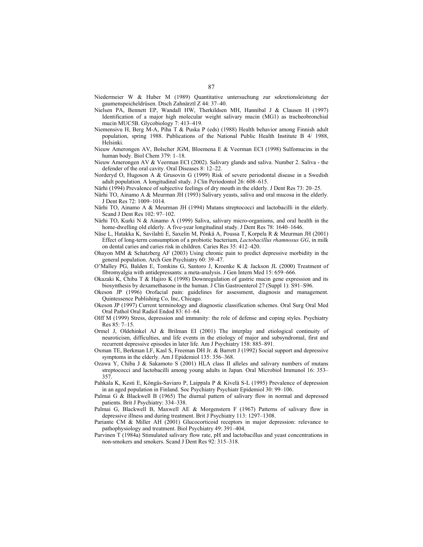- Niedermeier W & Huber M (1989) Quantitative untersuchung zur sekretionsleistung der gaumenspeicheldrüsen. Dtsch Zahnärztl Z 44: 37–40.
- Nielsen PA, Bennett EP, Wandall HW, Therkildsen MH, Hannibal J & Clausen H (1997) Identification of a major high molecular weight salivary mucin (MG1) as tracheobronchial mucin MUC5B. Glycobiology 7: 413–419.
- Niemensivu H, Berg M-A, Piha T & Puska P (eds) (1988) Health behavior among Finnish adult population, spring 1988. Publications of the National Public Health Institute B 4/ 1988, Helsinki.
- Nieuw Amerongen AV, Bolscher JGM, Bloemena E & Veerman ECI (1998) Sulfomucins in the human body. Biol Chem 379: 1–18.
- Nieuw Amerongen AV & Veerman ECI (2002). Salivary glands and saliva. Number 2. Saliva the defender of the oral cavity. Oral Diseases 8: 12–22.
- Norderyd O, Hugoson A & Grusovin G (1999) Risk of severe periodontal disease in a Swedish adult population. A longitudinal study. J Clin Periodontol 26: 608–615.

Närhi (1994) Prevalence of subjective feelings of dry mouth in the elderly. J Dent Res 73: 20–25.

- Närhi TO, Ainamo A & Meurman JH (1993) Salivary yeasts, saliva and oral mucosa in the elderly. J Dent Res 72: 1009–1014.
- Närhi TO, Ainamo A & Meurman JH (1994) Mutans streptococci and lactobacilli in the elderly. Scand J Dent Res 102: 97–102.
- Närhi TO, Kurki N & Ainamo A (1999) Saliva, salivary micro-organisms, and oral health in the home-dwelling old elderly. A five-year longitudinal study. J Dent Res 78: 1640–1646.
- Näse L, Hatakka K, Savilahti E, Saxelin M, Pönkä A, Poussa T, Korpela R & Meurman JH (2001) Effect of long-term consumption of a probiotic bacterium, *Lactobacillus rhamnosus GG*, in milk on dental caries and caries risk in children. Caries Res 35: 412–420.
- Ohayon MM & Schatzberg AF (2003) Using chronic pain to predict depressive morbidity in the general population. Arch Gen Psychiatry 60: 39–47.
- O'Malley PG, Balden E, Tomkins G, Santoro J, Kroenke K & Jackson JL (2000) Treatment of fibromyalgia with antidepressants: a meta-analysis. J Gen Intern Med 15: 659–666.
- Okazaki K, Chiba T & Hajiro K (1998) Downregulation of gastric mucin gene expression and its biosynthesis by dexamethasone in the human. J Clin Gastroenterol 27 (Suppl 1): S91–S96.
- Okeson JP (1996) Orofacial pain: guidelines for assessment, diagnosis and management. Quintessence Publishing Co, Inc, Chicago.
- Okeson JP (1997) Current terminology and diagnostic classification schemes. Oral Surg Oral Med Oral Pathol Oral Radiol Endod 83: 61–64.
- Olff M (1999) Stress, depression and immunity: the role of defense and coping styles. Psychiatry Res 85: 7–15.
- Ormel J, Oldehinkel AJ & Brilman EI (2001) The interplay and etiological continuity of neuroticism, difficulties, and life events in the etiology of major and subsyndromal, first and recurrent depressive episodes in later life. Am J Psychiatry 158: 885–891.
- Oxman TE, Berkman LF, Kasl S, Freeman DH Jr. & Barrett J (1992) Social support and depressive symptoms in the elderly. Am J Epidemiol 135: 356–368.
- Ozawa Y, Chiba J & Sakamoto S (2001) HLA class II alleles and salivary numbers of mutans streptococci and lactobacilli among young adults in Japan. Oral Microbiol Immunol 16: 353– 357.
- Pahkala K, Kesti E, Köngäs-Saviaro P, Laippala P & Kivelä S-L (1995) Prevalence of depression in an aged population in Finland. Soc Psychiatry Psychiatr Epidemiol 30: 99–106.
- Palmai G & Blackwell B (1965) The diurnal pattern of salivary flow in normal and depressed patients. Brit J Psychiatry: 334–338.
- Palmai G, Blackwell B, Maxwell AE & Morgenstern F (1967) Patterns of salivary flow in depressive illness and during treatment. Brit J Psychiatry 113: 1297–1308.
- Pariante CM & Miller AH (2001) Glucocorticoid receptors in major depression: relevance to pathophysiology and treatment. Biol Psychiatry 49: 391–404.
- Parvinen T (1984a) Stimulated salivary flow rate, pH and lactobacillus and yeast concentrations in non-smokers and smokers. Scand J Dent Res 92: 315–318.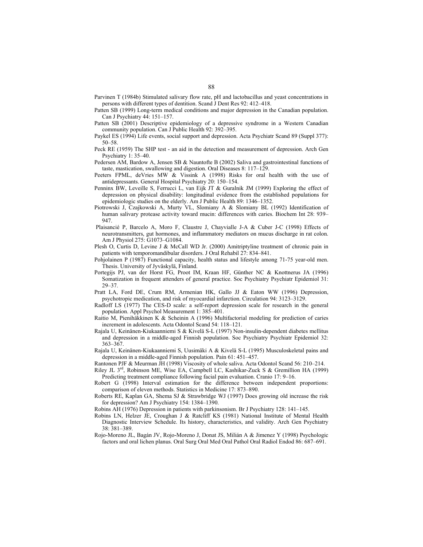- Parvinen T (1984b) Stimulated salivary flow rate, pH and lactobacillus and yeast concentrations in persons with different types of dentition. Scand J Dent Res 92: 412–418.
- Patten SB (1999) Long-term medical conditions and major depression in the Canadian population. Can J Psychiatry 44: 151–157.
- Patten SB (2001) Descriptive epidemiology of a depressive syndrome in a Western Canadian community population. Can J Public Health 92: 392–395.
- Paykel ES (1994) Life events, social support and depression. Acta Psychiatr Scand 89 (Suppl 377): 50–58.
- Peck RE (1959) The SHP test an aid in the detection and measurement of depression. Arch Gen Psychiatry 1: 35–40.
- Pedersen AM, Bardow A, Jensen SB & Nauntofte B (2002) Saliva and gastrointestinal functions of taste, mastication, swallowing and digestion. Oral Diseases 8: 117–129.
- Peeters FPML, deVries MW & Vissink A (1998) Risks for oral health with the use of antidepressants. General Hospital Psychiatry 20: 150–154.
- Penninx BW, Leveille S, Ferrucci L, van Eijk JT & Guralnik JM (1999) Exploring the effect of depression on physical disability: longitudinal evidence from the established populations for epidemiologic studies on the elderly. Am J Public Health 89: 1346–1352.
- Piotrowski J, Czajkowski A, Murty VL, Slomiany A & Slomiany BL (1992) Identification of human salivary protease activity toward mucin: differences with caries. Biochem Int 28: 939– 947.
- Plaisancié P, Barcelo A, Moro F, Claustre J, Chayvialle J-A & Cuber J-C (1998) Effects of neurotransmitters, gut hormones, and inflammatory mediators on mucus discharge in rat colon. Am J Physiol 275: G1073–G1084.
- Plesh O, Curtis D, Levine J & McCall WD Jr. (2000) Amitriptyline treatment of chronic pain in patients with temporomandibular disorders. J Oral Rehabil 27: 834–841.
- Pohjolainen P (1987) Functional capacity, health status and lifestyle among 71-75 year-old men. Thesis. University of Jyväskylä, Finland.
- Portegijs PJ, van der Horst FG, Proot IM, Kraan HF, Günther NC & Knottnerus JA (1996) Somatization in frequent attenders of general practice. Soc Psychiatry Psychiatr Epidemiol 31: 29–37.
- Pratt LA, Ford DE, Crum RM, Armenian HK, Gallo JJ & Eaton WW (1996) Depression, psychotropic medication, and risk of myocardial infarction. Circulation 94: 3123–3129.
- Radloff LS (1977) The CES-D scale: a self-report depression scale for research in the general population. Appl Psychol Measurement 1: 385–401.
- Raitio M, Pienihäkkinen K & Scheinin A (1996) Multifactorial modeling for prediction of caries increment in adolescents. Acta Odontol Scand 54: 118–121.
- Rajala U, Keinänen-Kiukaanniemi S & Kivelä S-L (1997) Non-insulin-dependent diabetes mellitus and depression in a middle-aged Finnish population. Soc Psychiatry Psychiatr Epidemiol 32: 363–367.
- Rajala U, Keinänen-Kiukaanniemi S, Uusimäki A & Kivelä S-L (1995) Musculoskeletal pains and depression in a middle-aged Finnish population. Pain 61: 451–457.
- Rantonen PJF & Meurman JH (1998) Viscosity of whole saliva. Acta Odontol Scand 56: 210–214.
- Riley JL 3rd, Robinson ME, Wise EA, Campbell LC, Kashikar-Zuck S & Gremillion HA (1999) Predicting treatment compliance following facial pain evaluation. Cranio 17: 9–16.
- Robert G (1998) Interval estimation for the difference between independent proportions: comparison of eleven methods. Statistics in Medicine 17: 873–890.
- Roberts RE, Kaplan GA, Shema SJ & Strawbridge WJ (1997) Does growing old increase the risk for depression? Am J Psychiatry 154: 1384–1390.
- Robins AH (1976) Depression in patients with parkinsonism. Br J Psychiatry 128: 141–145.
- Robins LN, Helzer JE, Croughan J & Ratcliff KS (1981) National Institute of Mental Health Diagnostic Interview Schedule. Its history, characteristics, and validity. Arch Gen Psychiatry 38: 381–389.
- Rojo-Moreno JL, Bagán JV, Rojo-Moreno J, Donat JS, Milián A & Jimenez Y (1998) Psychologic factors and oral lichen planus. Oral Surg Oral Med Oral Pathol Oral Radiol Endod 86: 687–691.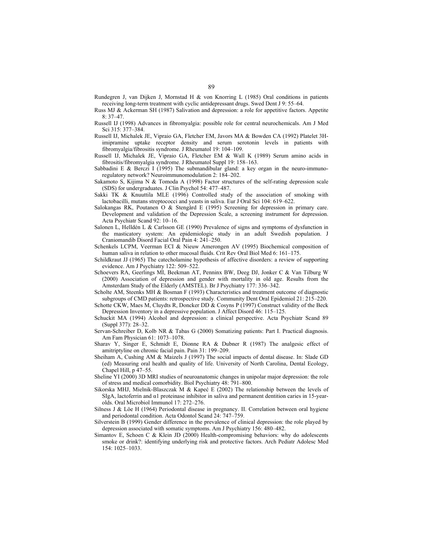- Rundegren J, van Dijken J, Mornstad H & von Knorring L (1985) Oral conditions in patients receiving long-term treatment with cyclic antidepressant drugs. Swed Dent J 9: 55–64.
- Russ MJ & Ackerman SH (1987) Salivation and depression: a role for appetitive factors. Appetite 8: 37–47.
- Russell IJ (1998) Advances in fibromyalgia: possible role for central neurochemicals. Am J Med Sci 315: 377–384.
- Russell IJ, Michalek JE, Vipraio GA, Fletcher EM, Javors MA & Bowden CA (1992) Platelet 3Himipramine uptake receptor density and serum serotonin levels in patients with fibromyalgia/fibrositis syndrome. J Rheumatol 19: 104–109.
- Russell IJ, Michalek JE, Vipraio GA, Fletcher EM & Wall K (1989) Serum amino acids in fibrositis/fibromyalgia syndrome. J Rheumatol Suppl 19: 158–163.
- Sabbadini E  $\&$  Berczi I (1995) The submandibular gland: a key organ in the neuro-immunoregulatory network? Neuroimmunomodulation 2: 184–202.
- Sakamoto S, Kijima N & Tomoda A (1998) Factor structures of the self-rating depression scale (SDS) for undergraduates. J Clin Psychol 54: 477–487.
- Sakki TK & Knuuttila MLE (1996) Controlled study of the association of smoking with lactobacilli, mutans streptococci and yeasts in saliva. Eur J Oral Sci 104: 619–622.
- Salokangas RK, Poutanen O & Stengård E (1995) Screening for depression in primary care. Development and validation of the Depression Scale, a screening instrument for depression. Acta Psychiatr Scand 92: 10–16.
- Salonen L, Helldén L & Carlsson GE (1990) Prevalence of signs and symptoms of dysfunction in the masticatory system: An epidemiologic study in an adult Swedish population. J Craniomandib Disord Facial Oral Pain 4: 241–250.
- Schenkels LCPM, Veerman ECI & Nieuw Amerongen AV (1995) Biochemical composition of human saliva in relation to other mucosal fluids. Crit Rev Oral Biol Med 6: 161–175.
- Schildkraut JJ (1965) The catecholamine hypothesis of affective disorders: a review of supporting evidence. Am J Psychiatry 122: 509–522.
- Schoevers RA, Geerlings MI, Beekman AT, Penninx BW, Deeg DJ, Jonker C & Van Tilburg W (2000) Association of depression and gender with mortality in old age. Results from the Amsterdam Study of the Elderly (AMSTEL). Br J Psychiatry 177: 336–342.
- Scholte AM, Steenks MH & Bosman F (1993) Characteristics and treatment outcome of diagnostic subgroups of CMD patients: retrospective study. Community Dent Oral Epidemiol 21: 215–220.
- Schotte CKW, Maes M, Cluydts R, Doncker DD & Cosyns P (1997) Construct validity of the Beck Depression Inventory in a depressive population. J Affect Disord 46: 115–125.
- Schuckit MA (1994) Alcohol and depression: a clinical perspective. Acta Psychiatr Scand 89 (Suppl 377): 28–32.
- Servan-Schreiber D, Kolb NR & Tabas G (2000) Somatizing patients: Part I. Practical diagnosis. Am Fam Physician 61: 1073–1078.
- Sharav Y, Singer E, Schmidt E, Dionne RA & Dubner R (1987) The analgesic effect of amitriptyline on chronic facial pain. Pain 31: 199–209.
- Sheiham A, Cushing AM & Maizels J (1997) The social impacts of dental disease. In: Slade GD (ed) Measuring oral health and quality of life. University of North Carolina, Dental Ecology, Chapel Hill, p 47–55.
- Sheline YI (2000) 3D MRI studies of neuroanatomic changes in unipolar major depression: the role of stress and medical comorbidity. Biol Psychiatry 48: 791–800.
- Sikorska MHJ, Mielnik-Blaszczak M & Kapeć E (2002) The relationship between the levels of SIgA, lactoferrin and α1 proteinase inhibitor in saliva and permanent dentition caries in 15-yearolds. Oral Microbiol Immunol 17: 272–276.
- Silness J & Löe H (1964) Periodontal disease in pregnancy. II. Correlation between oral hygiene and periodontal condition. Acta Odontol Scand 24: 747–759.
- Silverstein B (1999) Gender difference in the prevalence of clinical depression: the role played by depression associated with somatic symptoms. Am J Psychiatry 156: 480–482.
- Simantov E, Schoen C & Klein JD (2000) Health-compromising behaviors: why do adolescents smoke or drink?: identifying underlying risk and protective factors. Arch Pediatr Adolesc Med 154: 1025–1033.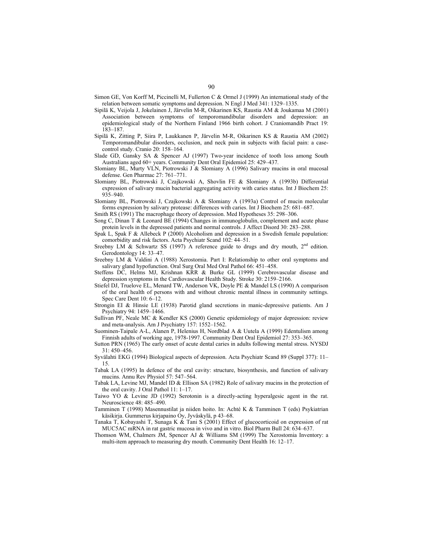- Simon GE, Von Korff M, Piccinelli M, Fullerton C & Ormel J (1999) An international study of the relation between somatic symptoms and depression. N Engl J Med 341: 1329–1335.
- Sipilä K, Veijola J, Jokelainen J, Järvelin M-R, Oikarinen KS, Raustia AM & Joukamaa M (2001) Association between symptoms of temporomandibular disorders and depression: an epidemiological study of the Northern Finland 1966 birth cohort. J Craniomandib Pract 19: 183–187.
- Sipilä K, Zitting P, Siira P, Laukkanen P, Järvelin M-R, Oikarinen KS & Raustia AM (2002) Temporomandibular disorders, occlusion, and neck pain in subjects with facial pain: a casecontrol study. Cranio 20: 158–164.
- Slade GD, Gansky SA & Spencer AJ (1997) Two-year incidence of tooth loss among South Australians aged 60+ years. Community Dent Oral Epidemiol 25: 429–437.
- Slomiany BL, Murty VLN, Piotrowski J & Slomiany A (1996) Salivary mucins in oral mucosal defense. Gen Pharmac 27: 761–771.
- Slomiany BL, Piotrowski J, Czajkowski A, Shovlin FE & Slomiany A (1993b) Differential expression of salivary mucin bacterial aggregating activity with caries status. Int J Biochem 25: 935–940.
- Slomiany BL, Piotrowski J, Czajkowski A & Slomiany A (1993a) Control of mucin molecular forms expression by salivary protease: differences with caries. Int J Biochem 25: 681–687.
- Smith RS (1991) The macrophage theory of depression. Med Hypotheses 35: 298–306.
- Song C, Dinan T & Leonard BE (1994) Changes in immunoglobulin, complement and acute phase protein levels in the depressed patients and normal controls. J Affect Disord 30: 283–288.
- Spak L, Spak F & Allebeck P (2000) Alcoholism and depression in a Swedish female population: comorbidity and risk factors. Acta Psychiatr Scand 102: 44–51.
- Sreebny LM & Schwartz SS (1997) A reference guide to drugs and dry mouth,  $2<sup>nd</sup>$  edition. Gerodontology 14: 33–47.
- Sreebny LM & Valdini A (1988) Xerostomia. Part I: Relationship to other oral symptoms and salivary gland hypofunction. Oral Surg Oral Med Oral Pathol 66: 451–458.
- Steffens DC, Helms MJ, Krishnan KRR & Burke GL (1999) Cerebrovascular disease and depression symptoms in the Cardiovascular Health Study. Stroke 30: 2159–2166.
- Stiefel DJ, Truelove EL, Menard TW, Anderson VK, Doyle PE & Mandel LS (1990) A comparison of the oral health of persons with and without chronic mental illness in community settings. Spec Care Dent 10: 6–12.
- Strongin EI & Hinsie LE (1938) Parotid gland secretions in manic-depressive patients. Am J Psychiatry 94: 1459–1466.
- Sullivan PF, Neale MC & Kendler KS (2000) Genetic epidemiology of major depression: review and meta-analysis. Am J Psychiatry 157: 1552–1562.
- Suominen-Taipale A-L, Alanen P, Helenius H, Nordblad A & Uutela A (1999) Edentulism among Finnish adults of working age, 1978-1997. Community Dent Oral Epidemiol 27: 353–365.
- Sutton PRN (1965) The early onset of acute dental caries in adults following mental stress. NYSDJ 31: 450–456.
- Syvälahti EKG (1994) Biological aspects of depression. Acta Psychiatr Scand 89 (Suppl 377): 11– 15.
- Tabak LA (1995) In defence of the oral cavity: structure, biosynthesis, and function of salivary mucins. Annu Rev Physiol 57: 547–564.
- Tabak LA, Levine MJ, Mandel ID & Ellison SA (1982) Role of salivary mucins in the protection of the oral cavity. J Oral Pathol 11: 1–17.
- Taiwo YO & Levine JD (1992) Serotonin is a directly-acting hyperalgesic agent in the rat. Neuroscience 48: 485–490.
- Tamminen T (1998) Masennustilat ja niiden hoito. In: Achté K & Tamminen T (eds) Psykiatrian käsikirja. Gummerus kirjapaino Oy, Jyväskylä, p 43–68.
- Tanaka T, Kobayashi T, Sunaga K & Tani S (2001) Effect of glucocorticoid on expression of rat MUC5AC mRNA in rat gastric mucosa in vivo and in vitro. Biol Pharm Bull 24: 634–637.
- Thomson WM, Chalmers JM, Spencer AJ & Williams SM (1999) The Xerostomia Inventory: a multi-item approach to measuring dry mouth. Community Dent Health 16: 12–17.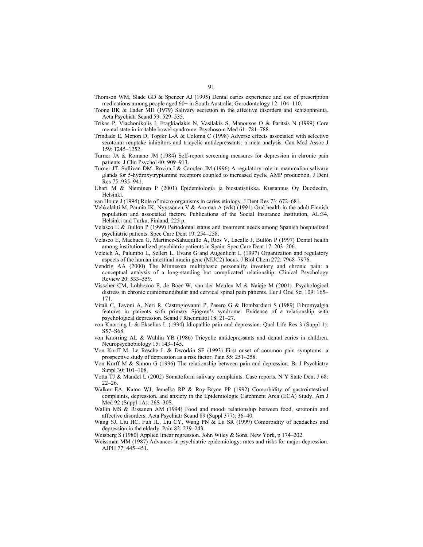- Thomson WM, Slade GD & Spencer AJ (1995) Dental caries experience and use of prescription medications among people aged 60+ in South Australia. Gerodontology 12: 104–110.
- Toone BK & Lader MH (1979) Salivary secretion in the affective disorders and schizophrenia. Acta Psychiatr Scand 59: 529–535.
- Trikas P, Vlachonikolis I, Fragkiadakis N, Vasilakis S, Manousos O & Paritsis N (1999) Core mental state in irritable bowel syndrome. Psychosom Med 61: 781–788.
- Trindade E, Menon D, Topfer L-A & Coloma C (1998) Adverse effects associated with selective serotonin reuptake inhibitors and tricyclic antidepressants: a meta-analysis. Can Med Assoc J 159: 1245–1252.
- Turner JA & Romano JM (1984) Self-report screening measures for depression in chronic pain patients. J Clin Psychol 40: 909–913.
- Turner JT, Sullivan DM, Rovira I & Camden JM (1996) A regulatory role in mammalian salivary glands for 5-hydroxytryptamine receptors coupled to increased cyclic AMP production. J Dent Res 75: 935–941.
- Uhari M & Nieminen P (2001) Epidemiologia ja biostatistiikka. Kustannus Oy Duodecim, Helsinki.
- van Houte J (1994) Role of micro-organisms in caries etiology. J Dent Res 73: 672–681.
- Vehkalahti M, Paunio IK, Nyyssönen V & Aromaa A (eds) (1991) Oral health in the adult Finnish population and associated factors. Publications of the Social Insurance Institution, AL:34, Helsinki and Turku, Finland, 225 p.
- Velasco E & Bullon P (1999) Periodontal status and treatment needs among Spanish hospitalized psychiatric patients. Spec Care Dent 19: 254–258.
- Velasco E, Machuca G, Martinez-Sahuquillo A, Rios V, Lacalle J, Bullón P (1997) Dental health among institutionalized psychiatric patients in Spain. Spec Care Dent 17: 203–206.
- Velcich A, Palumbo L, Selleri L, Evans G and Augenlicht L (1997) Organization and regulatory aspects of the human intestinal mucin gene (MUC2) locus. J Biol Chem 272: 7968–7976.
- Vendrig AA (2000) The Minnesota multiphasic personality inventory and chronic pain: a conceptual analysis of a long-standing but complicated relationship. Clinical Psychology Review 20: 533–559.
- Visscher CM, Lobbezoo F, de Boer W, van der Meulen M & Naieje M (2001). Psychological distress in chronic craniomandibular and cervical spinal pain patients. Eur J Oral Sci 109: 165– 171.
- Vitali C, Tavoni A, Neri R, Castrogiovanni P, Pasero G & Bombardieri S (1989) Fibromyalgia features in patients with primary Sjögren's syndrome. Evidence of a relationship with psychological depression. Scand J Rheumatol 18: 21–27.
- von Knorring L & Ekselius L (1994) Idiopathic pain and depression. Qual Life Res 3 (Suppl 1): S57–S68.
- von Knorring AL & Wahlin YB (1986) Tricyclic antidepressants and dental caries in children. Neuropsychobiology 15: 143–145.
- Von Korff M, Le Resche L & Dworkin SF (1993) First onset of common pain symptoms: a prospective study of depression as a risk factor. Pain 55: 251–258.
- Von Korff M & Simon G (1996) The relationship between pain and depression. Br J Psychiatry Suppl 30: 101–108.
- Votta TJ & Mandel L (2002) Somatoform salivary complaints. Case reports. N Y State Dent J 68: 22–26.
- Walker EA, Katon WJ, Jemelka RP & Roy-Bryne PP (1992) Comorbidity of gastrointestinal complaints, depression, and anxiety in the Epidemiologic Catchment Area (ECA) Study. Am J Med 92 (Suppl 1A): 26S–30S.
- Wallin MS & Rissanen AM (1994) Food and mood: relationship between food, serotonin and affective disorders. Acta Psychiatr Scand 89 (Suppl 377): 36–40.
- Wang SJ, Liu HC, Fuh JL, Liu CY, Wang PN & Lu SR (1999) Comorbidity of headaches and depression in the elderly. Pain 82: 239–243.
- Weisberg S (1980) Applied linear regression. John Wiley & Sons, New York, p 174–202.
- Weissman MM (1987) Advances in psychiatric epidemiology: rates and risks for major depression. AJPH 77: 445–451.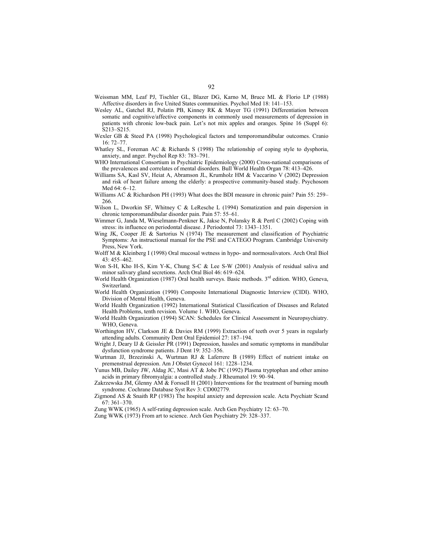- Weissman MM, Leaf PJ, Tischler GL, Blazer DG, Karno M, Bruce ML & Florio LP (1988) Affective disorders in five United States communities. Psychol Med 18: 141–153.
- Wesley AL, Gatchel RJ, Polatin PB, Kinney RK & Mayer TG (1991) Differentiation between somatic and cognitive/affective components in commonly used measurements of depression in patients with chronic low-back pain. Let's not mix apples and oranges. Spine 16 (Suppl 6): S213–S215.
- Wexler GB & Steed PA (1998) Psychological factors and temporomandibular outcomes. Cranio 16: 72–77.
- Whatley SL, Foreman AC & Richards S (1998) The relationship of coping style to dysphoria, anxiety, and anger. Psychol Rep 83: 783–791.
- WHO International Consortium in Psychiatric Epidemiology (2000) Cross-national comparisons of the prevalences and correlates of mental disorders. Bull World Health Organ 78: 413–426.
- Williams SA, Kasl SV, Heiat A, Abramson JL, Krumholz HM & Vaccarino V (2002) Depression and risk of heart failure among the elderly: a prospective community-based study. Psychosom Med 64: 6–12.
- Williams AC & Richardson PH (1993) What does the BDI measure in chronic pain? Pain 55: 259– 266.
- Wilson L, Dworkin SF, Whitney C & LeResche L (1994) Somatization and pain dispersion in chronic temporomandibular disorder pain. Pain 57: 55–61.
- Wimmer G, Janda M, Wieselmann-Penkner K, Jakse N, Polansky R & Pertl C (2002) Coping with stress: its influence on periodontal disease. J Periodontol 73: 1343–1351.
- Wing JK, Cooper JE & Sartorius N (1974) The measurement and classification of Psychiatric Symptoms: An instructional manual for the PSE and CATEGO Program. Cambridge University Press, New York.
- Wolff M & Kleinberg I (1998) Oral mucosal wetness in hypo- and normosalivators. Arch Oral Biol 43: 455–462.
- Won S-H, Kho H-S, Kim Y-K, Chung S-C & Lee S-W (2001) Analysis of residual saliva and minor salivary gland secretions. Arch Oral Biol 46: 619–624.
- World Health Organization (1987) Oral health surveys. Basic methods. 3<sup>rd</sup> edition. WHO, Geneva, Switzerland.
- World Health Organization (1990) Composite International Diagnostic Interview (CIDI). WHO, Division of Mental Health, Geneva.
- World Health Organization (1992) International Statistical Classification of Diseases and Related Health Problems, tenth revision. Volume 1. WHO, Geneva.
- World Health Organization (1994) SCAN: Schedules for Clinical Assessment in Neuropsychiatry. WHO, Geneva.
- Worthington HV, Clarkson JE & Davies RM (1999) Extraction of teeth over 5 years in regularly attending adults. Community Dent Oral Epidemiol 27: 187–194.
- Wright J, Deary IJ & Geissler PR (1991) Depression, hassles and somatic symptoms in mandibular dysfunction syndrome patients. J Dent 19: 352–356.
- Wurtman JJ, Brzezinski A, Wurtman RJ & Laferrere B (1989) Effect of nutrient intake on premenstrual depression. Am J Obstet Gynecol 161: 1228–1234.
- Yunus MB, Dailey JW, Aldag JC, Masi AT & Jobe PC (1992) Plasma tryptophan and other amino acids in primary fibromyalgia: a controlled study. J Rheumatol 19: 90–94.
- Zakrzewska JM, Glenny AM & Forssell H (2001) Interventions for the treatment of burning mouth syndrome. Cochrane Database Syst Rev 3: CD002779.
- Zigmond AS & Snaith RP (1983) The hospital anxiety and depression scale. Acta Psychiatr Scand 67: 361–370.
- Zung WWK (1965) A self-rating depression scale. Arch Gen Psychiatry 12: 63–70.
- Zung WWK (1973) From art to science. Arch Gen Psychiatry 29: 328–337.